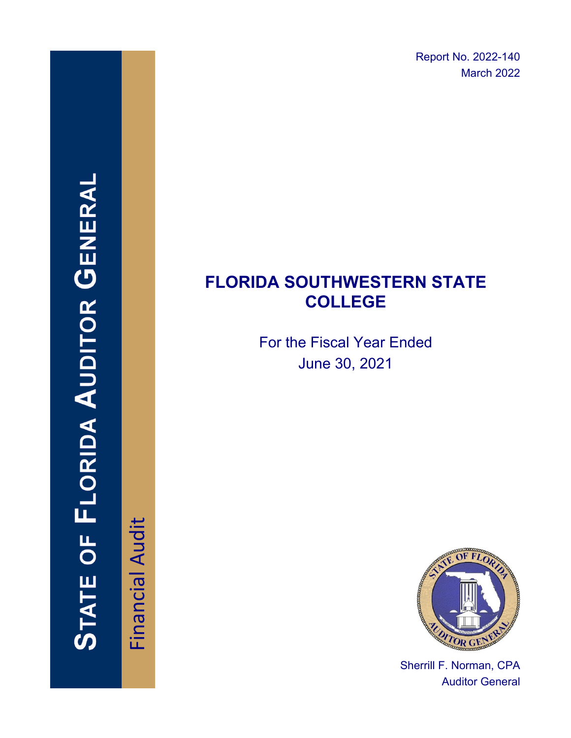Report No. 2022-140 March 2022

# STATE OF FLORIDA AUDITOR GENERAI

Financial Audit Financial Audit

# **FLORIDA SOUTHWESTERN STATE COLLEGE**

For the Fiscal Year Ended June 30, 2021



Sherrill F. Norman, CPA Auditor General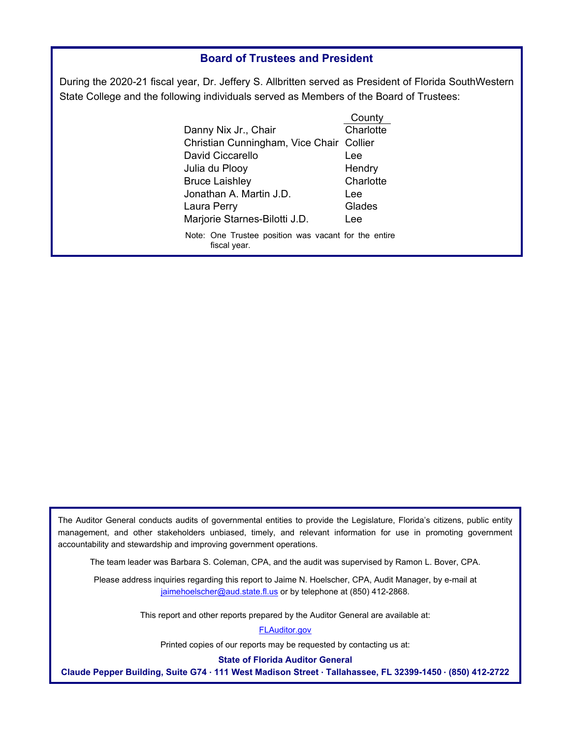### **Board of Trustees and President**

During the 2020-21 fiscal year, Dr. Jeffery S. Allbritten served as President of Florida SouthWestern State College and the following individuals served as Members of the Board of Trustees:

|                                                                      | County    |
|----------------------------------------------------------------------|-----------|
| Danny Nix Jr., Chair                                                 | Charlotte |
| Christian Cunningham, Vice Chair Collier                             |           |
| David Ciccarello                                                     | Lee       |
| Julia du Plooy                                                       | Hendry    |
| <b>Bruce Laishley</b>                                                | Charlotte |
| Jonathan A. Martin J.D.                                              | Lee       |
| Laura Perry                                                          | Glades    |
| Marjorie Starnes-Bilotti J.D.                                        | Lee       |
| Note: One Trustee position was vacant for the entire<br>fiscal year. |           |

The Auditor General conducts audits of governmental entities to provide the Legislature, Florida's citizens, public entity management, and other stakeholders unbiased, timely, and relevant information for use in promoting government accountability and stewardship and improving government operations.

The team leader was Barbara S. Coleman, CPA, and the audit was supervised by Ramon L. Bover, CPA.

Please address inquiries regarding this report to Jaime N. Hoelscher, CPA, Audit Manager, by e-mail at jaimehoelscher@aud.state.fl.us or by telephone at (850) 412-2868.

This report and other reports prepared by the Auditor General are available at:

[FLAuditor.gov](http://flauditor.gov/) 

Printed copies of our reports may be requested by contacting us at:

**State of Florida Auditor General** 

**Claude Pepper Building, Suite G74 · 111 West Madison Street · Tallahassee, FL 32399-1450 · (850) 412-2722**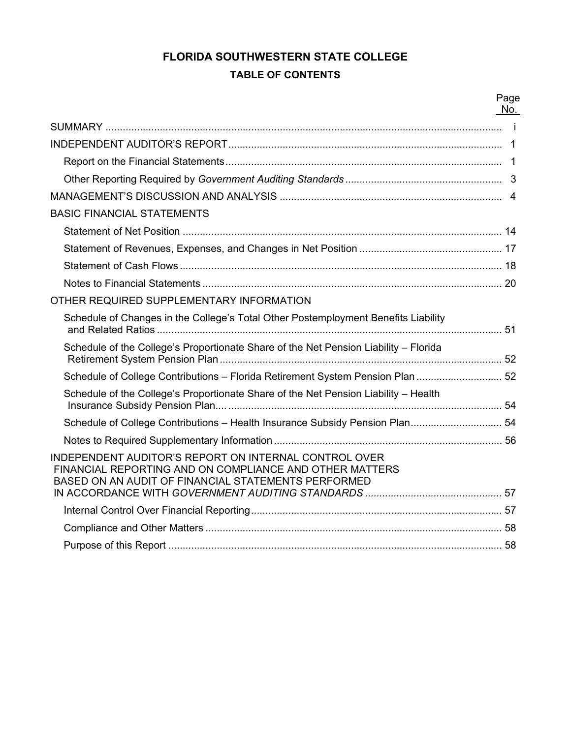# **FLORIDA SOUTHWESTERN STATE COLLEGE TABLE OF CONTENTS**

Page

|                                                                                                                                                                         | No. |
|-------------------------------------------------------------------------------------------------------------------------------------------------------------------------|-----|
|                                                                                                                                                                         |     |
|                                                                                                                                                                         |     |
|                                                                                                                                                                         |     |
|                                                                                                                                                                         |     |
|                                                                                                                                                                         |     |
| <b>BASIC FINANCIAL STATEMENTS</b>                                                                                                                                       |     |
|                                                                                                                                                                         |     |
|                                                                                                                                                                         |     |
|                                                                                                                                                                         |     |
|                                                                                                                                                                         |     |
| OTHER REQUIRED SUPPLEMENTARY INFORMATION                                                                                                                                |     |
| Schedule of Changes in the College's Total Other Postemployment Benefits Liability                                                                                      |     |
| Schedule of the College's Proportionate Share of the Net Pension Liability - Florida                                                                                    |     |
| Schedule of College Contributions - Florida Retirement System Pension Plan  52                                                                                          |     |
| Schedule of the College's Proportionate Share of the Net Pension Liability - Health                                                                                     |     |
| Schedule of College Contributions - Health Insurance Subsidy Pension Plan 54                                                                                            |     |
|                                                                                                                                                                         |     |
| INDEPENDENT AUDITOR'S REPORT ON INTERNAL CONTROL OVER<br>FINANCIAL REPORTING AND ON COMPLIANCE AND OTHER MATTERS<br>BASED ON AN AUDIT OF FINANCIAL STATEMENTS PERFORMED |     |
|                                                                                                                                                                         |     |
|                                                                                                                                                                         |     |
|                                                                                                                                                                         |     |
|                                                                                                                                                                         |     |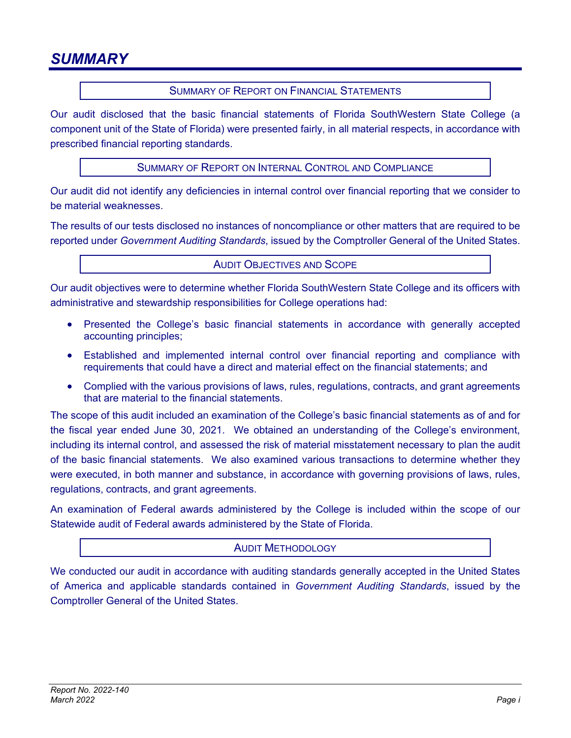### SUMMARY OF REPORT ON FINANCIAL STATEMENTS

<span id="page-3-0"></span>Our audit disclosed that the basic financial statements of Florida SouthWestern State College (a component unit of the State of Florida) were presented fairly, in all material respects, in accordance with prescribed financial reporting standards.

SUMMARY OF REPORT ON INTERNAL CONTROL AND COMPLIANCE

Our audit did not identify any deficiencies in internal control over financial reporting that we consider to be material weaknesses.

The results of our tests disclosed no instances of noncompliance or other matters that are required to be reported under *Government Auditing Standards*, issued by the Comptroller General of the United States.

### AUDIT OBJECTIVES AND SCOPE

Our audit objectives were to determine whether Florida SouthWestern State College and its officers with administrative and stewardship responsibilities for College operations had:

- Presented the College's basic financial statements in accordance with generally accepted accounting principles;
- Established and implemented internal control over financial reporting and compliance with requirements that could have a direct and material effect on the financial statements; and
- Complied with the various provisions of laws, rules, regulations, contracts, and grant agreements that are material to the financial statements.

The scope of this audit included an examination of the College's basic financial statements as of and for the fiscal year ended June 30, 2021. We obtained an understanding of the College's environment, including its internal control, and assessed the risk of material misstatement necessary to plan the audit of the basic financial statements. We also examined various transactions to determine whether they were executed, in both manner and substance, in accordance with governing provisions of laws, rules, regulations, contracts, and grant agreements.

An examination of Federal awards administered by the College is included within the scope of our Statewide audit of Federal awards administered by the State of Florida.

### AUDIT METHODOLOGY

We conducted our audit in accordance with auditing standards generally accepted in the United States of America and applicable standards contained in *Government Auditing Standards*, issued by the Comptroller General of the United States.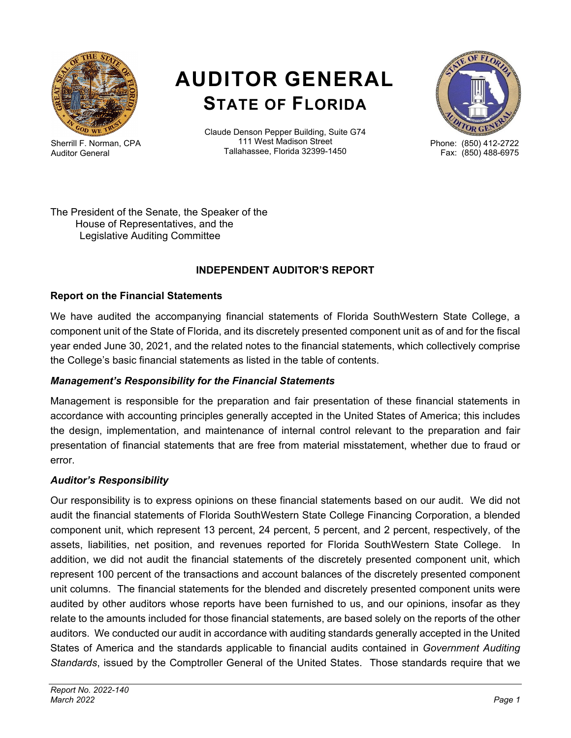<span id="page-4-0"></span>

Sherrill F. Norman, CPA Auditor General

# **AUDITOR GENERAL STATE OF FLORIDA**

Claude Denson Pepper Building, Suite G74 111 West Madison Street Tallahassee, Florida 32399-1450



Phone: (850) 412-2722 Fax: (850) 488-6975

The President of the Senate, the Speaker of the House of Representatives, and the Legislative Auditing Committee

# **INDEPENDENT AUDITOR'S REPORT**

## **Report on the Financial Statements**

We have audited the accompanying financial statements of Florida SouthWestern State College, a component unit of the State of Florida, and its discretely presented component unit as of and for the fiscal year ended June 30, 2021, and the related notes to the financial statements, which collectively comprise the College's basic financial statements as listed in the table of contents.

### *Management's Responsibility for the Financial Statements*

Management is responsible for the preparation and fair presentation of these financial statements in accordance with accounting principles generally accepted in the United States of America; this includes the design, implementation, and maintenance of internal control relevant to the preparation and fair presentation of financial statements that are free from material misstatement, whether due to fraud or error.

# *Auditor's Responsibility*

Our responsibility is to express opinions on these financial statements based on our audit. We did not audit the financial statements of Florida SouthWestern State College Financing Corporation, a blended component unit, which represent 13 percent, 24 percent, 5 percent, and 2 percent, respectively, of the assets, liabilities, net position, and revenues reported for Florida SouthWestern State College. In addition, we did not audit the financial statements of the discretely presented component unit, which represent 100 percent of the transactions and account balances of the discretely presented component unit columns. The financial statements for the blended and discretely presented component units were audited by other auditors whose reports have been furnished to us, and our opinions, insofar as they relate to the amounts included for those financial statements, are based solely on the reports of the other auditors. We conducted our audit in accordance with auditing standards generally accepted in the United States of America and the standards applicable to financial audits contained in *Government Auditing Standards*, issued by the Comptroller General of the United States. Those standards require that we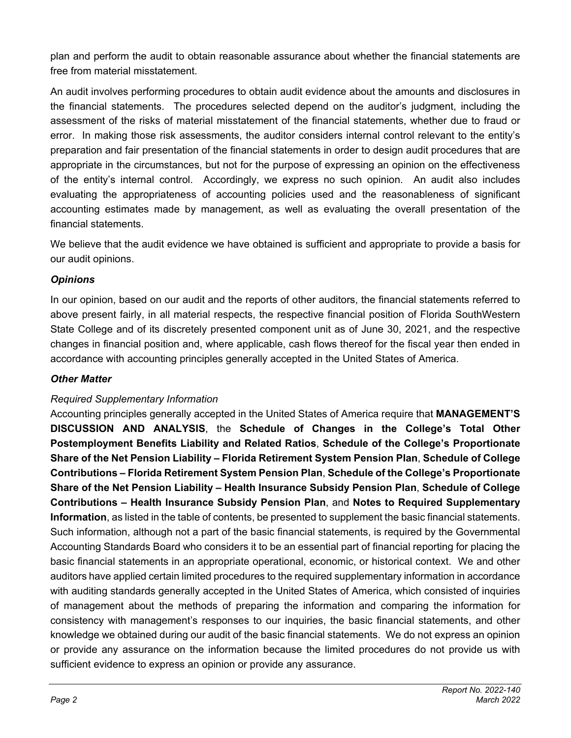plan and perform the audit to obtain reasonable assurance about whether the financial statements are free from material misstatement.

An audit involves performing procedures to obtain audit evidence about the amounts and disclosures in the financial statements. The procedures selected depend on the auditor's judgment, including the assessment of the risks of material misstatement of the financial statements, whether due to fraud or error. In making those risk assessments, the auditor considers internal control relevant to the entity's preparation and fair presentation of the financial statements in order to design audit procedures that are appropriate in the circumstances, but not for the purpose of expressing an opinion on the effectiveness of the entity's internal control. Accordingly, we express no such opinion. An audit also includes evaluating the appropriateness of accounting policies used and the reasonableness of significant accounting estimates made by management, as well as evaluating the overall presentation of the financial statements.

We believe that the audit evidence we have obtained is sufficient and appropriate to provide a basis for our audit opinions.

## *Opinions*

In our opinion, based on our audit and the reports of other auditors, the financial statements referred to above present fairly, in all material respects, the respective financial position of Florida SouthWestern State College and of its discretely presented component unit as of June 30, 2021, and the respective changes in financial position and, where applicable, cash flows thereof for the fiscal year then ended in accordance with accounting principles generally accepted in the United States of America.

# *Other Matter*

# *Required Supplementary Information*

Accounting principles generally accepted in the United States of America require that **MANAGEMENT'S DISCUSSION AND ANALYSIS**, the **Schedule of Changes in the College's Total Other Postemployment Benefits Liability and Related Ratios**, **Schedule of the College's Proportionate Share of the Net Pension Liability – Florida Retirement System Pension Plan**, **Schedule of College Contributions – Florida Retirement System Pension Plan**, **Schedule of the College's Proportionate Share of the Net Pension Liability – Health Insurance Subsidy Pension Plan**, **Schedule of College Contributions – Health Insurance Subsidy Pension Plan**, and **Notes to Required Supplementary Information**, as listed in the table of contents, be presented to supplement the basic financial statements. Such information, although not a part of the basic financial statements, is required by the Governmental Accounting Standards Board who considers it to be an essential part of financial reporting for placing the basic financial statements in an appropriate operational, economic, or historical context. We and other auditors have applied certain limited procedures to the required supplementary information in accordance with auditing standards generally accepted in the United States of America, which consisted of inquiries of management about the methods of preparing the information and comparing the information for consistency with management's responses to our inquiries, the basic financial statements, and other knowledge we obtained during our audit of the basic financial statements. We do not express an opinion or provide any assurance on the information because the limited procedures do not provide us with sufficient evidence to express an opinion or provide any assurance.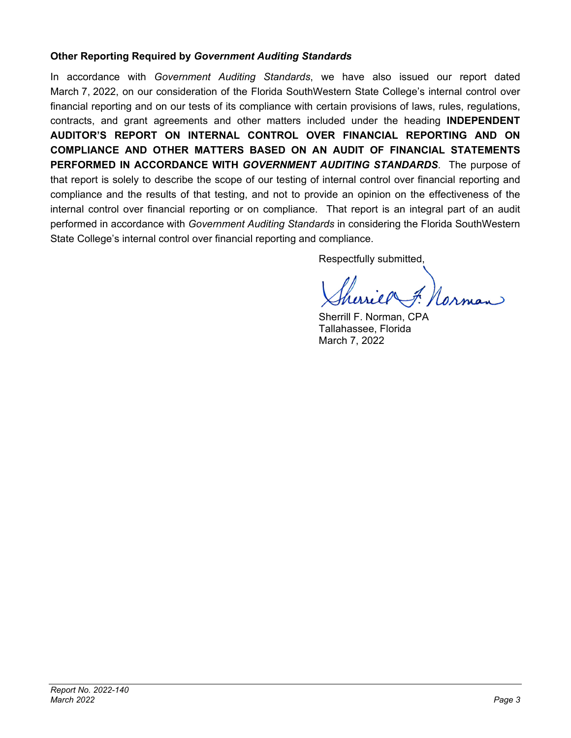### <span id="page-6-0"></span>**Other Reporting Required by** *Government Auditing Standards*

In accordance with *Government Auditing Standards*, we have also issued our report dated March 7, 2022, on our consideration of the Florida SouthWestern State College's internal control over financial reporting and on our tests of its compliance with certain provisions of laws, rules, regulations, contracts, and grant agreements and other matters included under the heading **INDEPENDENT AUDITOR'S REPORT ON INTERNAL CONTROL OVER FINANCIAL REPORTING AND ON COMPLIANCE AND OTHER MATTERS BASED ON AN AUDIT OF FINANCIAL STATEMENTS PERFORMED IN ACCORDANCE WITH** *GOVERNMENT AUDITING STANDARDS*. The purpose of that report is solely to describe the scope of our testing of internal control over financial reporting and compliance and the results of that testing, and not to provide an opinion on the effectiveness of the internal control over financial reporting or on compliance. That report is an integral part of an audit performed in accordance with *Government Auditing Standards* in considering the Florida SouthWestern State College's internal control over financial reporting and compliance.

Respectfully submitted,

Sherrill F. Norman, CPA Tallahassee, Florida March 7, 2022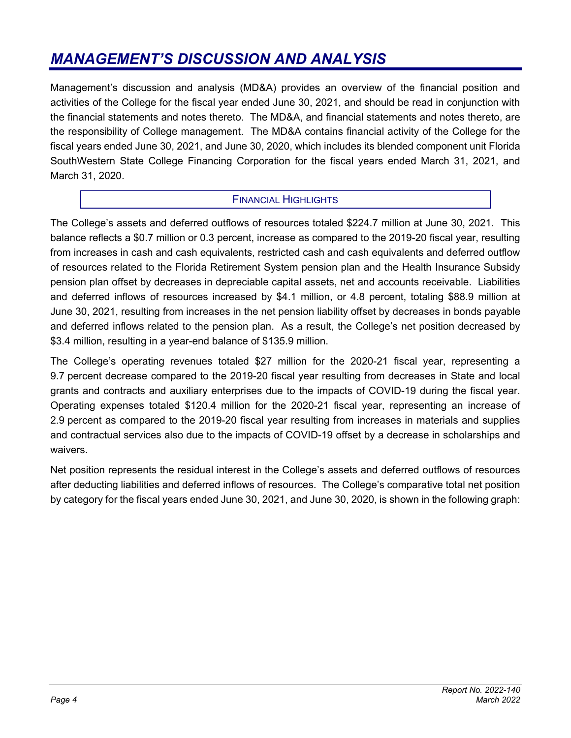# <span id="page-7-0"></span>*MANAGEMENT'S DISCUSSION AND ANALYSIS*

Management's discussion and analysis (MD&A) provides an overview of the financial position and activities of the College for the fiscal year ended June 30, 2021, and should be read in conjunction with the financial statements and notes thereto. The MD&A, and financial statements and notes thereto, are the responsibility of College management. The MD&A contains financial activity of the College for the fiscal years ended June 30, 2021, and June 30, 2020, which includes its blended component unit Florida SouthWestern State College Financing Corporation for the fiscal years ended March 31, 2021, and March 31, 2020.

# FINANCIAL HIGHLIGHTS

The College's assets and deferred outflows of resources totaled \$224.7 million at June 30, 2021. This balance reflects a \$0.7 million or 0.3 percent, increase as compared to the 2019-20 fiscal year, resulting from increases in cash and cash equivalents, restricted cash and cash equivalents and deferred outflow of resources related to the Florida Retirement System pension plan and the Health Insurance Subsidy pension plan offset by decreases in depreciable capital assets, net and accounts receivable. Liabilities and deferred inflows of resources increased by \$4.1 million, or 4.8 percent, totaling \$88.9 million at June 30, 2021, resulting from increases in the net pension liability offset by decreases in bonds payable and deferred inflows related to the pension plan. As a result, the College's net position decreased by \$3.4 million, resulting in a year-end balance of \$135.9 million.

The College's operating revenues totaled \$27 million for the 2020-21 fiscal year, representing a 9.7 percent decrease compared to the 2019-20 fiscal year resulting from decreases in State and local grants and contracts and auxiliary enterprises due to the impacts of COVID-19 during the fiscal year. Operating expenses totaled \$120.4 million for the 2020-21 fiscal year, representing an increase of 2.9 percent as compared to the 2019-20 fiscal year resulting from increases in materials and supplies and contractual services also due to the impacts of COVID-19 offset by a decrease in scholarships and waivers.

Net position represents the residual interest in the College's assets and deferred outflows of resources after deducting liabilities and deferred inflows of resources. The College's comparative total net position by category for the fiscal years ended June 30, 2021, and June 30, 2020, is shown in the following graph: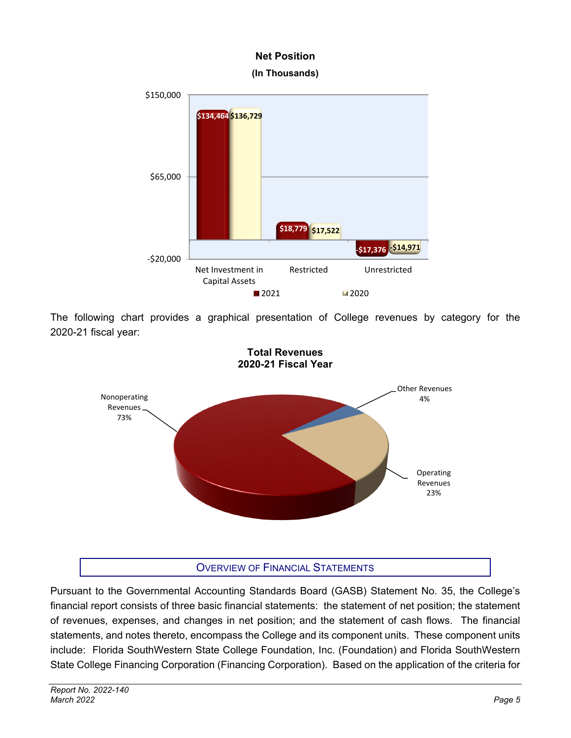**Net Position (In Thousands)** 



The following chart provides a graphical presentation of College revenues by category for the 2020-21 fiscal year:



# OVERVIEW OF FINANCIAL STATEMENTS

Pursuant to the Governmental Accounting Standards Board (GASB) Statement No. 35, the College's financial report consists of three basic financial statements: the statement of net position; the statement of revenues, expenses, and changes in net position; and the statement of cash flows. The financial statements, and notes thereto, encompass the College and its component units. These component units include: Florida SouthWestern State College Foundation, Inc. (Foundation) and Florida SouthWestern State College Financing Corporation (Financing Corporation). Based on the application of the criteria for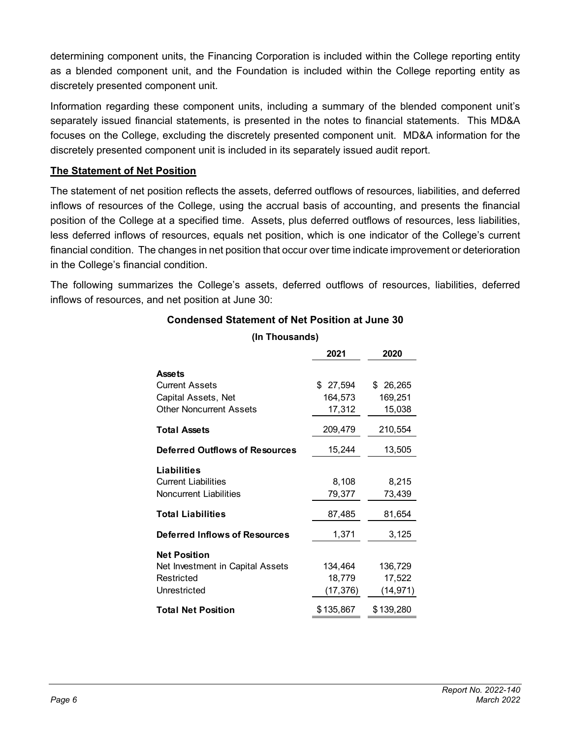determining component units, the Financing Corporation is included within the College reporting entity as a blended component unit, and the Foundation is included within the College reporting entity as discretely presented component unit.

Information regarding these component units, including a summary of the blended component unit's separately issued financial statements, is presented in the notes to financial statements. This MD&A focuses on the College, excluding the discretely presented component unit. MD&A information for the discretely presented component unit is included in its separately issued audit report.

### **The Statement of Net Position**

The statement of net position reflects the assets, deferred outflows of resources, liabilities, and deferred inflows of resources of the College, using the accrual basis of accounting, and presents the financial position of the College at a specified time. Assets, plus deferred outflows of resources, less liabilities, less deferred inflows of resources, equals net position, which is one indicator of the College's current financial condition. The changes in net position that occur over time indicate improvement or deterioration in the College's financial condition.

The following summarizes the College's assets, deferred outflows of resources, liabilities, deferred inflows of resources, and net position at June 30:

|                                                                                       | 2021                           | 2020                           |
|---------------------------------------------------------------------------------------|--------------------------------|--------------------------------|
| <b>Assets</b><br><b>Current Assets</b><br>Capital Assets, Net                         | \$27,594<br>164,573            | \$26,265<br>169,251            |
| <b>Other Noncurrent Assets</b><br><b>Total Assets</b>                                 | 17,312<br>209,479              | 15,038<br>210,554              |
| Deferred Outflows of Resources                                                        | 15,244                         | 13,505                         |
| Liabilities<br><b>Current Liabilities</b><br><b>Noncurrent Liabilities</b>            | 8,108<br>79,377                | 8,215<br>73,439                |
| <b>Total Liabilities</b>                                                              | 87,485                         | 81,654                         |
| Deferred Inflows of Resources                                                         | 1,371                          | 3,125                          |
| <b>Net Position</b><br>Net Investment in Capital Assets<br>Restricted<br>Unrestricted | 134,464<br>18,779<br>(17, 376) | 136,729<br>17,522<br>(14, 971) |
| <b>Total Net Position</b>                                                             | \$135,867                      | \$139,280                      |

### **Condensed Statement of Net Position at June 30**

**(In Thousands)**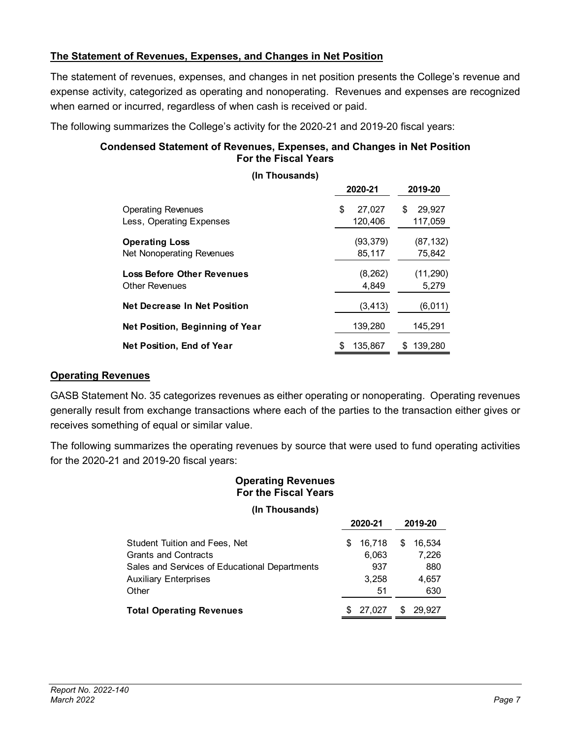## **The Statement of Revenues, Expenses, and Changes in Net Position**

The statement of revenues, expenses, and changes in net position presents the College's revenue and expense activity, categorized as operating and nonoperating. Revenues and expenses are recognized when earned or incurred, regardless of when cash is received or paid.

The following summarizes the College's activity for the 2020-21 and 2019-20 fiscal years:

# **Condensed Statement of Revenues, Expenses, and Changes in Net Position For the Fiscal Years**

| (In Thousands)                                             |                         |                         |
|------------------------------------------------------------|-------------------------|-------------------------|
|                                                            | 2020-21                 | 2019-20                 |
| <b>Operating Revenues</b><br>Less, Operating Expenses      | \$<br>27,027<br>120,406 | 29,927<br>\$<br>117,059 |
| <b>Operating Loss</b><br>Net Nonoperating Revenues         | (93, 379)<br>85,117     | (87, 132)<br>75,842     |
| <b>Loss Before Other Revenues</b><br><b>Other Revenues</b> | (8, 262)<br>4.849       | (11, 290)<br>5,279      |
| <b>Net Decrease In Net Position</b>                        | (3, 413)                | (6,011)                 |
| Net Position, Beginning of Year                            | 139,280                 | 145.291                 |
| <b>Net Position, End of Year</b>                           | 135,867<br>\$           | 139,280<br>\$.          |

### **Operating Revenues**

GASB Statement No. 35 categorizes revenues as either operating or nonoperating. Operating revenues generally result from exchange transactions where each of the parties to the transaction either gives or receives something of equal or similar value.

The following summarizes the operating revenues by source that were used to fund operating activities for the 2020-21 and 2019-20 fiscal years:

## **Operating Revenues For the Fiscal Years**

### **(In Thousands)**

|                                                                                        |    | 2020-21            | 2019-20 |                     |  |
|----------------------------------------------------------------------------------------|----|--------------------|---------|---------------------|--|
| Student Tuition and Fees, Net<br>Grants and Contracts                                  | S. | 16.718<br>6,063    | S       | 16.534<br>7,226     |  |
| Sales and Services of Educational Departments<br><b>Auxiliary Enterprises</b><br>Other |    | 937<br>3,258<br>51 |         | 880<br>4,657<br>630 |  |
| <b>Total Operating Revenues</b>                                                        |    | 27.027             | S       | 29.927              |  |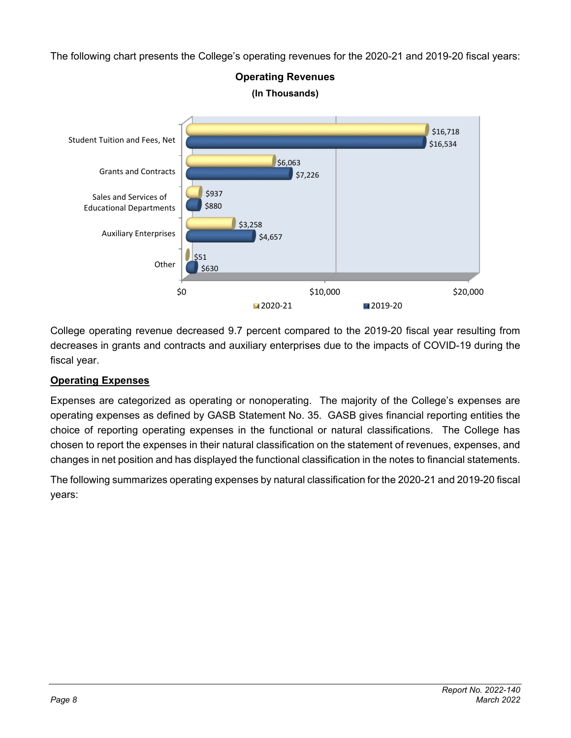The following chart presents the College's operating revenues for the 2020-21 and 2019-20 fiscal years:



College operating revenue decreased 9.7 percent compared to the 2019-20 fiscal year resulting from decreases in grants and contracts and auxiliary enterprises due to the impacts of COVID-19 during the fiscal year.

# **Operating Expenses**

Expenses are categorized as operating or nonoperating. The majority of the College's expenses are operating expenses as defined by GASB Statement No. 35. GASB gives financial reporting entities the choice of reporting operating expenses in the functional or natural classifications. The College has chosen to report the expenses in their natural classification on the statement of revenues, expenses, and changes in net position and has displayed the functional classification in the notes to financial statements.

The following summarizes operating expenses by natural classification for the 2020-21 and 2019-20 fiscal years: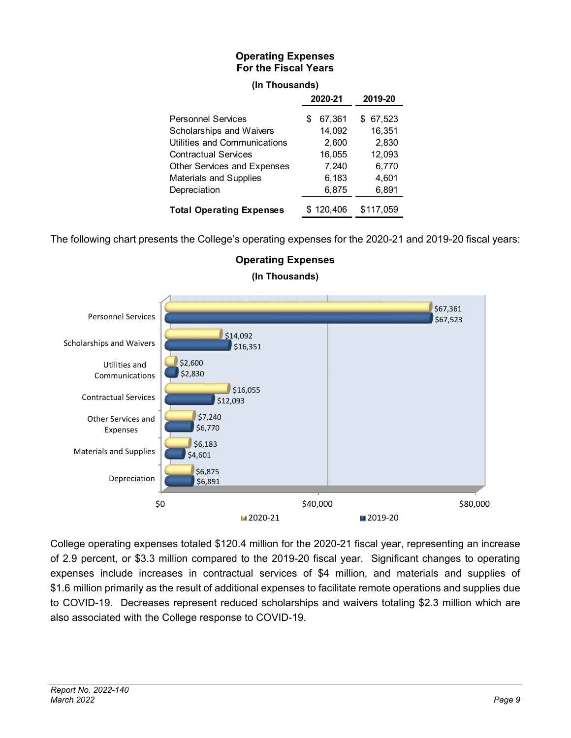### **Operating Expenses For the Fiscal Years**

### **(In Thousands)**

|                                                                                                                                                                                      |   | 2020-21                                                        |     |                                                                |  | 2019-20 |
|--------------------------------------------------------------------------------------------------------------------------------------------------------------------------------------|---|----------------------------------------------------------------|-----|----------------------------------------------------------------|--|---------|
| <b>Personnel Services</b><br>Scholarships and Waivers<br>Utilities and Communications<br><b>Contractual Services</b><br>Other Services and Expenses<br><b>Materials and Supplies</b> | S | 67,361<br>14,092<br>2,600<br>16,055<br>7,240<br>6,183<br>6,875 | \$. | 67,523<br>16,351<br>2,830<br>12,093<br>6,770<br>4,601<br>6,891 |  |         |
| Depreciation                                                                                                                                                                         |   |                                                                |     |                                                                |  |         |
| <b>Total Operating Expenses</b>                                                                                                                                                      |   | \$120,406                                                      |     | \$117,059                                                      |  |         |

The following chart presents the College's operating expenses for the 2020-21 and 2019-20 fiscal years:



### **Operating Expenses (In Thousands)**

College operating expenses totaled \$120.4 million for the 2020-21 fiscal year, representing an increase of 2.9 percent, or \$3.3 million compared to the 2019-20 fiscal year. Significant changes to operating expenses include increases in contractual services of \$4 million, and materials and supplies of \$1.6 million primarily as the result of additional expenses to facilitate remote operations and supplies due to COVID-19. Decreases represent reduced scholarships and waivers totaling \$2.3 million which are also associated with the College response to COVID-19.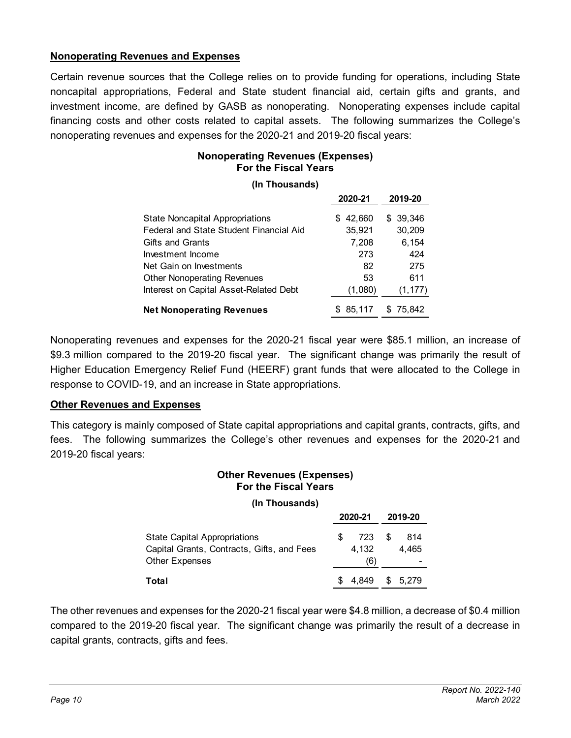### **Nonoperating Revenues and Expenses**

Certain revenue sources that the College relies on to provide funding for operations, including State noncapital appropriations, Federal and State student financial aid, certain gifts and grants, and investment income, are defined by GASB as nonoperating. Nonoperating expenses include capital financing costs and other costs related to capital assets. The following summarizes the College's nonoperating revenues and expenses for the 2020-21 and 2019-20 fiscal years:

### **Nonoperating Revenues (Expenses) For the Fiscal Years**

|                                              | 2020-21       | 2019-20      |
|----------------------------------------------|---------------|--------------|
| <b>State Noncapital Appropriations</b>       | 42,660<br>\$. | \$39,346     |
| Federal and State Student Financial Aid      | 35,921        | 30,209       |
| Gifts and Grants                             | 7.208         | 6,154<br>424 |
| Investment Income<br>Net Gain on Investments | 273<br>82     | 275          |
| <b>Other Nonoperating Revenues</b>           | 53            | 611          |
| Interest on Capital Asset-Related Debt       | (1,080)       | (1,177)      |
| <b>Net Nonoperating Revenues</b>             | 85,117<br>\$. | 75.842<br>S. |

### **(In Thousands)**

Nonoperating revenues and expenses for the 2020-21 fiscal year were \$85.1 million, an increase of \$9.3 million compared to the 2019-20 fiscal year. The significant change was primarily the result of Higher Education Emergency Relief Fund (HEERF) grant funds that were allocated to the College in response to COVID-19, and an increase in State appropriations.

### **Other Revenues and Expenses**

This category is mainly composed of State capital appropriations and capital grants, contracts, gifts, and fees. The following summarizes the College's other revenues and expenses for the 2020-21 and 2019-20 fiscal years:

### **Other Revenues (Expenses) For the Fiscal Years**

### **(In Thousands)**

|                                            |  | 2020-21 | 2019-20 |         |  |
|--------------------------------------------|--|---------|---------|---------|--|
| <b>State Capital Appropriations</b>        |  | 723     | \$      | 814     |  |
| Capital Grants, Contracts, Gifts, and Fees |  | 4.132   | 4.465   |         |  |
| <b>Other Expenses</b>                      |  | (6)     |         |         |  |
| Total                                      |  | 4.849   |         | \$5,279 |  |

The other revenues and expenses for the 2020-21 fiscal year were \$4.8 million, a decrease of \$0.4 million compared to the 2019-20 fiscal year. The significant change was primarily the result of a decrease in capital grants, contracts, gifts and fees.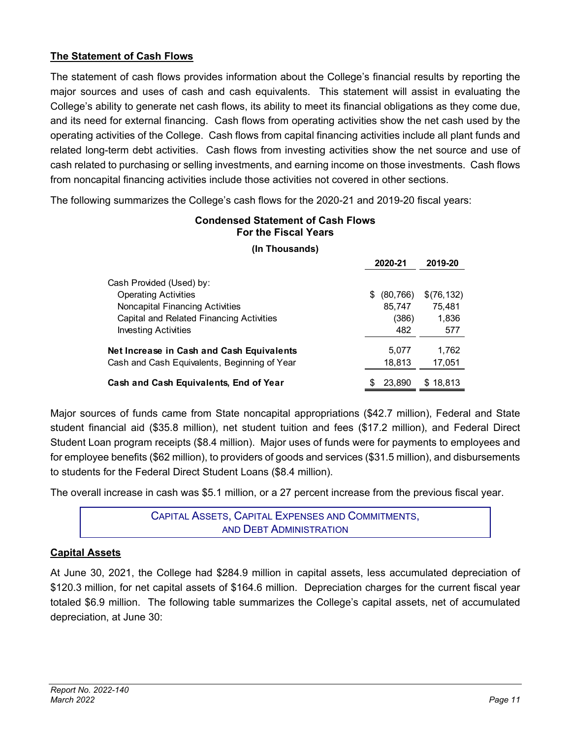# **The Statement of Cash Flows**

The statement of cash flows provides information about the College's financial results by reporting the major sources and uses of cash and cash equivalents. This statement will assist in evaluating the College's ability to generate net cash flows, its ability to meet its financial obligations as they come due, and its need for external financing. Cash flows from operating activities show the net cash used by the operating activities of the College. Cash flows from capital financing activities include all plant funds and related long-term debt activities. Cash flows from investing activities show the net source and use of cash related to purchasing or selling investments, and earning income on those investments. Cash flows from noncapital financing activities include those activities not covered in other sections.

The following summarizes the College's cash flows for the 2020-21 and 2019-20 fiscal years:

| (In Thousands)                               |   |           |             |
|----------------------------------------------|---|-----------|-------------|
|                                              |   | 2020-21   | 2019-20     |
| Cash Provided (Used) by:                     |   |           |             |
| <b>Operating Activities</b>                  | S | (80, 766) | \$(76, 132) |
| <b>Noncapital Financing Activities</b>       |   | 85,747    | 75,481      |
| Capital and Related Financing Activities     |   | (386)     | 1,836       |
| <b>Investing Activities</b>                  |   | 482       | 577         |
| Net Increase in Cash and Cash Equivalents    |   | 5,077     | 1,762       |
| Cash and Cash Equivalents, Beginning of Year |   | 18,813    | 17,051      |
| Cash and Cash Equivalents, End of Year       |   | 23.890    | \$18.813    |

### **Condensed Statement of Cash Flows For the Fiscal Years**

Major sources of funds came from State noncapital appropriations (\$42.7 million), Federal and State student financial aid (\$35.8 million), net student tuition and fees (\$17.2 million), and Federal Direct Student Loan program receipts (\$8.4 million). Major uses of funds were for payments to employees and for employee benefits (\$62 million), to providers of goods and services (\$31.5 million), and disbursements to students for the Federal Direct Student Loans (\$8.4 million).

The overall increase in cash was \$5.1 million, or a 27 percent increase from the previous fiscal year.

CAPITAL ASSETS, CAPITAL EXPENSES AND COMMITMENTS, AND DEBT ADMINISTRATION

### **Capital Assets**

At June 30, 2021, the College had \$284.9 million in capital assets, less accumulated depreciation of \$120.3 million, for net capital assets of \$164.6 million. Depreciation charges for the current fiscal year totaled \$6.9 million. The following table summarizes the College's capital assets, net of accumulated depreciation, at June 30: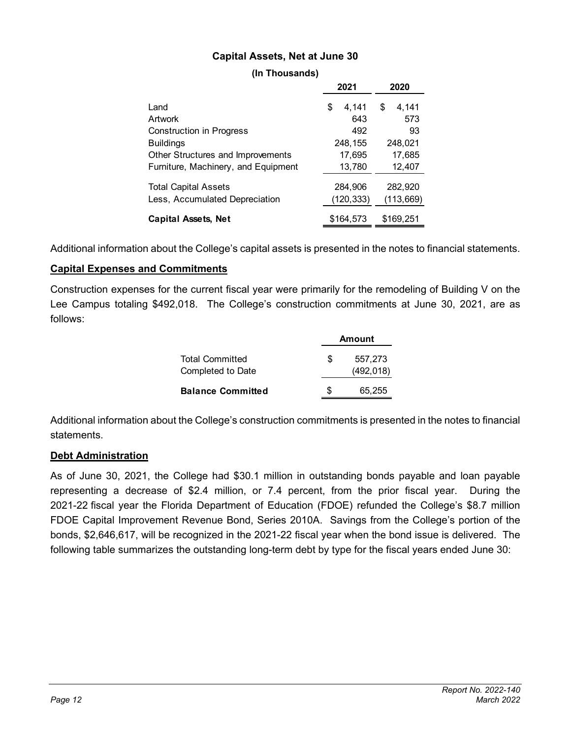## **Capital Assets, Net at June 30**

|                                                               | 2021                  | 2020                  |
|---------------------------------------------------------------|-----------------------|-----------------------|
| Land                                                          | 4,141<br>S            | 4,141<br>\$           |
| Artwork                                                       | 643                   | 573                   |
| <b>Construction in Progress</b>                               | 492                   | 93                    |
| <b>Buildings</b>                                              | 248,155               | 248,021               |
| Other Structures and Improvements                             | 17,695                | 17,685                |
| Furniture, Machinery, and Equipment                           | 13,780                | 12,407                |
| <b>Total Capital Assets</b><br>Less, Accumulated Depreciation | 284,906<br>(120, 333) | 282,920<br>(113, 669) |
| <b>Capital Assets, Net</b>                                    | \$164,573             | \$169,251             |

### **(In Thousands)**

Additional information about the College's capital assets is presented in the notes to financial statements.

### **Capital Expenses and Commitments**

Construction expenses for the current fiscal year were primarily for the remodeling of Building V on the Lee Campus totaling \$492,018. The College's construction commitments at June 30, 2021, are as follows:

|                                             |     | Amount                |
|---------------------------------------------|-----|-----------------------|
| <b>Total Committed</b><br>Completed to Date | \$. | 557,273<br>(492, 018) |
| <b>Balance Committed</b>                    | \$  | 65,255                |

Additional information about the College's construction commitments is presented in the notes to financial statements.

### **Debt Administration**

As of June 30, 2021, the College had \$30.1 million in outstanding bonds payable and loan payable representing a decrease of \$2.4 million, or 7.4 percent, from the prior fiscal year. During the 2021-22 fiscal year the Florida Department of Education (FDOE) refunded the College's \$8.7 million FDOE Capital Improvement Revenue Bond, Series 2010A. Savings from the College's portion of the bonds, \$2,646,617, will be recognized in the 2021-22 fiscal year when the bond issue is delivered. The following table summarizes the outstanding long-term debt by type for the fiscal years ended June 30: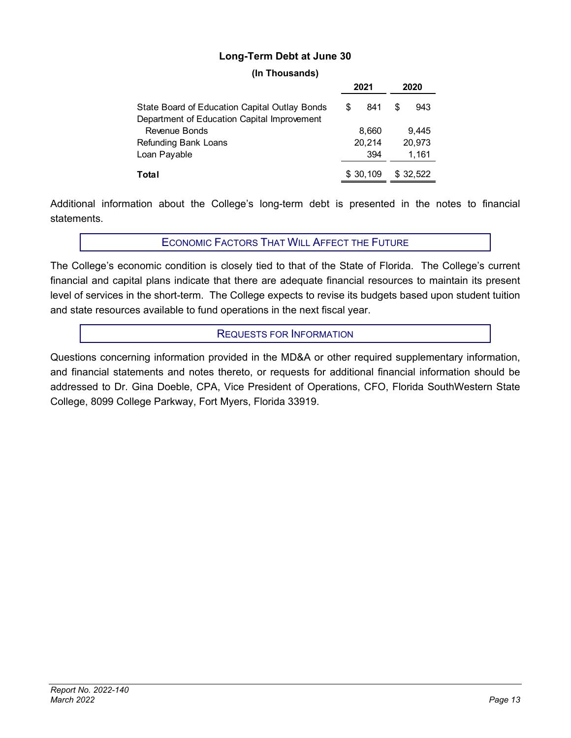# **Long-Term Debt at June 30**

### **(In Thousands)**

|                                                                                              |     | 2021                   | 2020 |                          |  |
|----------------------------------------------------------------------------------------------|-----|------------------------|------|--------------------------|--|
| State Board of Education Capital Outlay Bonds<br>Department of Education Capital Improvement | \$. | 841                    | \$.  | 943                      |  |
| Revenue Bonds<br>Refunding Bank Loans<br>Loan Payable                                        |     | 8,660<br>20,214<br>394 |      | 9.445<br>20,973<br>1.161 |  |
| Total                                                                                        |     | \$30,109               |      | \$32,522                 |  |

Additional information about the College's long-term debt is presented in the notes to financial statements.

ECONOMIC FACTORS THAT WILL AFFECT THE FUTURE

The College's economic condition is closely tied to that of the State of Florida. The College's current financial and capital plans indicate that there are adequate financial resources to maintain its present level of services in the short-term. The College expects to revise its budgets based upon student tuition and state resources available to fund operations in the next fiscal year.

### REQUESTS FOR INFORMATION

Questions concerning information provided in the MD&A or other required supplementary information, and financial statements and notes thereto, or requests for additional financial information should be addressed to Dr. Gina Doeble, CPA, Vice President of Operations, CFO, Florida SouthWestern State College, 8099 College Parkway, Fort Myers, Florida 33919.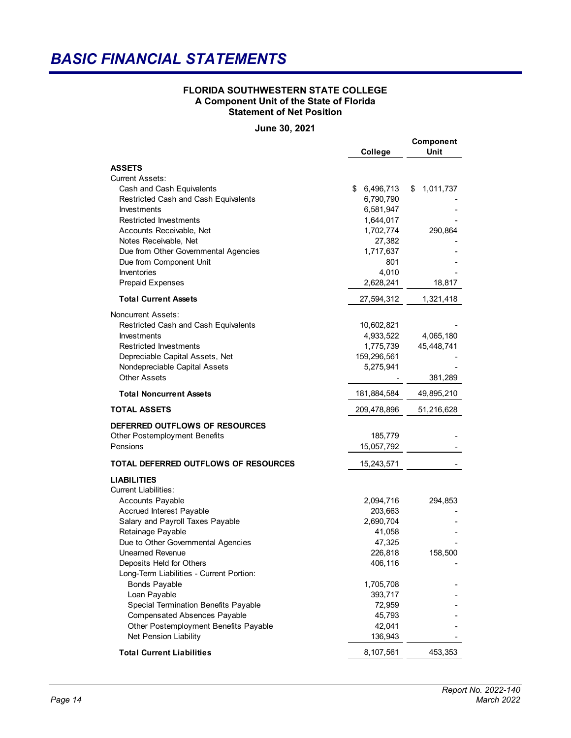# <span id="page-17-0"></span>*BASIC FINANCIAL STATEMENTS*

### **FLORIDA SOUTHWESTERN STATE COLLEGE A Component Unit of the State of Florida Statement of Net Position**

**June 30, 2021** 

|                                                      |                          | Component       |
|------------------------------------------------------|--------------------------|-----------------|
|                                                      | College                  | Unit            |
| <b>ASSETS</b>                                        |                          |                 |
| <b>Current Assets:</b>                               |                          |                 |
| Cash and Cash Equivalents                            | \$6,496,713              | 1,011,737<br>\$ |
| Restricted Cash and Cash Equivalents                 | 6,790,790                |                 |
| Investments                                          | 6,581,947                |                 |
| <b>Restricted Investments</b>                        | 1,644,017                |                 |
| Accounts Receivable, Net                             | 1,702,774                | 290,864         |
| Notes Receivable, Net                                | 27,382                   |                 |
| Due from Other Governmental Agencies                 | 1,717,637                |                 |
| Due from Component Unit                              | 801                      |                 |
| Inventories                                          | 4,010                    |                 |
| <b>Prepaid Expenses</b>                              | 2,628,241                | 18,817          |
| <b>Total Current Assets</b>                          | 27,594,312               | 1,321,418       |
|                                                      |                          |                 |
| <b>Noncurrent Assets:</b>                            |                          |                 |
| Restricted Cash and Cash Equivalents                 | 10,602,821               |                 |
| Investments<br><b>Restricted Investments</b>         | 4,933,522                | 4,065,180       |
|                                                      | 1,775,739<br>159,296,561 | 45,448,741      |
| Depreciable Capital Assets, Net                      | 5,275,941                |                 |
| Nondepreciable Capital Assets<br><b>Other Assets</b> |                          | 381,289         |
|                                                      |                          |                 |
| <b>Total Noncurrent Assets</b>                       | 181,884,584              | 49,895,210      |
| <b>TOTAL ASSETS</b>                                  | 209,478,896              | 51,216,628      |
| DEFERRED OUTFLOWS OF RESOURCES                       |                          |                 |
| <b>Other Postemployment Benefits</b>                 | 185,779                  |                 |
| Pensions                                             | 15,057,792               |                 |
| TOTAL DEFERRED OUTFLOWS OF RESOURCES                 | 15,243,571               |                 |
| <b>LIABILITIES</b>                                   |                          |                 |
| <b>Current Liabilities:</b>                          |                          |                 |
| <b>Accounts Payable</b>                              | 2,094,716                | 294,853         |
| Accrued Interest Payable                             | 203,663                  |                 |
| Salary and Payroll Taxes Payable                     | 2,690,704                |                 |
| Retainage Payable                                    | 41,058                   |                 |
| Due to Other Governmental Agencies                   | 47,325                   |                 |
| <b>Unearned Revenue</b>                              | 226,818                  | 158,500         |
| Deposits Held for Others                             | 406,116                  |                 |
| Long-Term Liabilities - Current Portion:             |                          |                 |
| <b>Bonds Payable</b>                                 | 1,705,708                |                 |
| Loan Payable                                         | 393,717                  |                 |
| Special Termination Benefits Payable                 | 72,959                   |                 |
| <b>Compensated Absences Payable</b>                  | 45,793                   |                 |
| Other Postemployment Benefits Payable                | 42,041                   |                 |
| Net Pension Liability                                | 136,943                  |                 |
| <b>Total Current Liabilities</b>                     | 8,107,561                | 453,353         |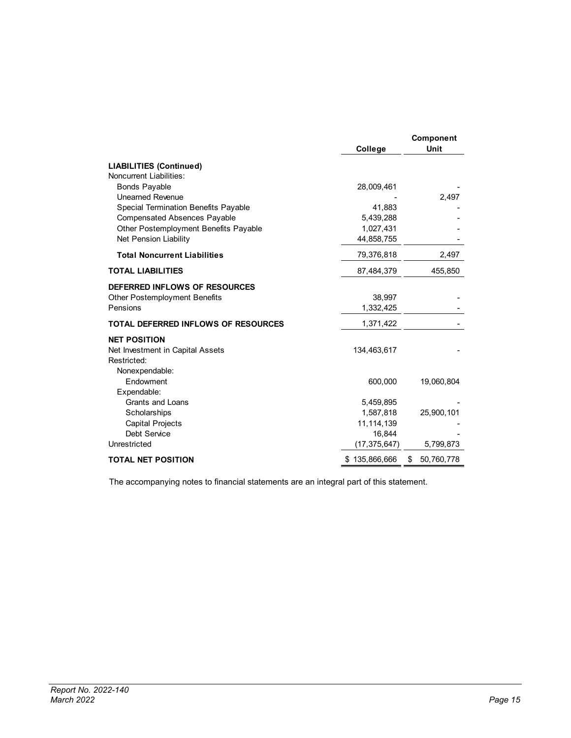|                                       |                | Component        |
|---------------------------------------|----------------|------------------|
|                                       | College        | Unit             |
| <b>LIABILITIES (Continued)</b>        |                |                  |
| Noncurrent Liabilities:               |                |                  |
| <b>Bonds Payable</b>                  | 28,009,461     |                  |
| Unearned Revenue                      |                | 2,497            |
| Special Termination Benefits Payable  | 41,883         |                  |
| <b>Compensated Absences Payable</b>   | 5,439,288      |                  |
| Other Postemployment Benefits Payable | 1,027,431      |                  |
| Net Pension Liability                 | 44,858,755     |                  |
| <b>Total Noncurrent Liabilities</b>   | 79,376,818     | 2,497            |
| <b>TOTAL LIABILITIES</b>              | 87,484,379     | 455,850          |
| DEFERRED INFLOWS OF RESOURCES         |                |                  |
| <b>Other Postemployment Benefits</b>  | 38,997         |                  |
| Pensions                              | 1,332,425      |                  |
| TOTAL DEFERRED INFLOWS OF RESOURCES   | 1,371,422      |                  |
| <b>NET POSITION</b>                   |                |                  |
| Net Investment in Capital Assets      | 134,463,617    |                  |
| Restricted:                           |                |                  |
| Nonexpendable:                        |                |                  |
| Endowment                             | 600,000        | 19,060,804       |
| Expendable:                           |                |                  |
| <b>Grants and Loans</b>               | 5,459,895      |                  |
| Scholarships                          | 1,587,818      | 25,900,101       |
| <b>Capital Projects</b>               | 11, 114, 139   |                  |
| Debt Service                          | 16.844         |                  |
| Unrestricted                          | (17, 375, 647) | 5,799,873        |
| <b>TOTAL NET POSITION</b>             | \$135,866,666  | 50,760,778<br>\$ |

The accompanying notes to financial statements are an integral part of this statement.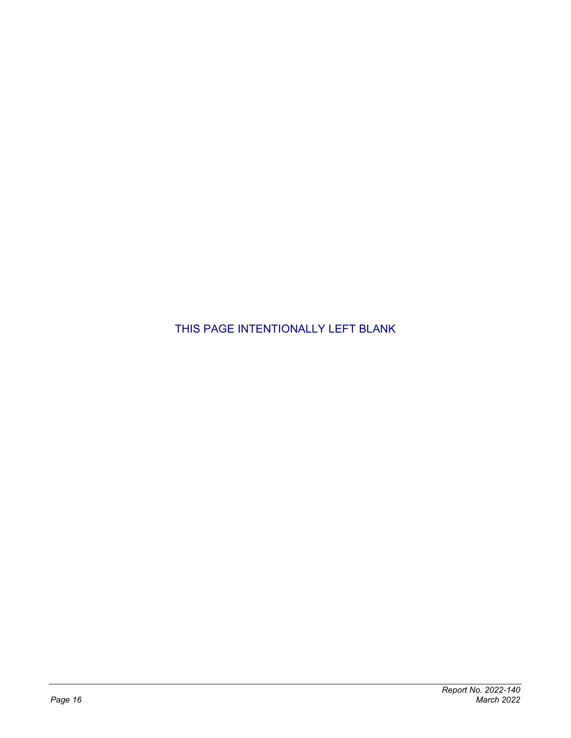THIS PAGE INTENTIONALLY LEFT BLANK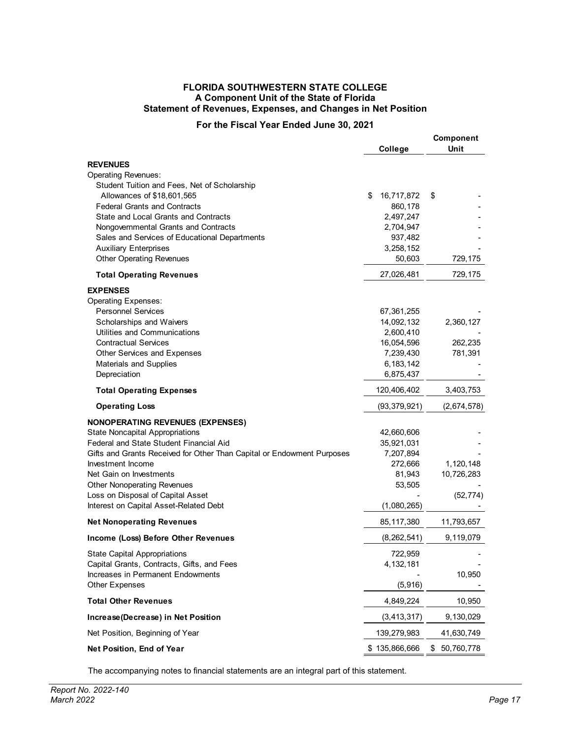### **FLORIDA SOUTHWESTERN STATE COLLEGE A Component Unit of the State of Florida Statement of Revenues, Expenses, and Changes in Net Position**

### **For the Fiscal Year Ended June 30, 2021**

<span id="page-20-0"></span>

|                                                                        |                  | Component        |
|------------------------------------------------------------------------|------------------|------------------|
|                                                                        | College          | Unit             |
| <b>REVENUES</b>                                                        |                  |                  |
| <b>Operating Revenues:</b>                                             |                  |                  |
| Student Tuition and Fees, Net of Scholarship                           |                  |                  |
| Allowances of \$18,601,565                                             | \$<br>16,717,872 | \$               |
| <b>Federal Grants and Contracts</b>                                    | 860,178          |                  |
| State and Local Grants and Contracts                                   | 2,497,247        |                  |
| Nongovernmental Grants and Contracts                                   | 2,704,947        |                  |
| Sales and Services of Educational Departments                          | 937,482          |                  |
| <b>Auxiliary Enterprises</b>                                           | 3,258,152        |                  |
| <b>Other Operating Revenues</b>                                        | 50,603           | 729,175          |
| <b>Total Operating Revenues</b>                                        | 27,026,481       | 729,175          |
| <b>EXPENSES</b>                                                        |                  |                  |
| <b>Operating Expenses:</b>                                             |                  |                  |
| <b>Personnel Services</b>                                              | 67,361,255       |                  |
| Scholarships and Waivers                                               | 14,092,132       | 2,360,127        |
| Utilities and Communications                                           | 2,600,410        |                  |
| <b>Contractual Services</b>                                            | 16,054,596       | 262,235          |
| Other Services and Expenses                                            | 7,239,430        | 781,391          |
| <b>Materials and Supplies</b>                                          | 6,183,142        |                  |
| Depreciation                                                           | 6,875,437        |                  |
| <b>Total Operating Expenses</b>                                        | 120,406,402      | 3,403,753        |
| <b>Operating Loss</b>                                                  | (93, 379, 921)   | (2,674,578)      |
| <b>NONOPERATING REVENUES (EXPENSES)</b>                                |                  |                  |
| <b>State Noncapital Appropriations</b>                                 | 42,660,606       |                  |
| Federal and State Student Financial Aid                                | 35,921,031       |                  |
| Gifts and Grants Received for Other Than Capital or Endowment Purposes | 7,207,894        |                  |
| Investment Income                                                      | 272,666          | 1,120,148        |
| Net Gain on Investments                                                | 81,943           | 10,726,283       |
| <b>Other Nonoperating Revenues</b>                                     | 53,505           |                  |
| Loss on Disposal of Capital Asset                                      |                  | (52, 774)        |
| Interest on Capital Asset-Related Debt                                 | (1,080,265)      |                  |
| <b>Net Nonoperating Revenues</b>                                       | 85, 117, 380     | 11,793,657       |
| Income (Loss) Before Other Revenues                                    | (8, 262, 541)    | 9,119,079        |
| <b>State Capital Appropriations</b>                                    | 722,959          |                  |
| Capital Grants, Contracts, Gifts, and Fees                             | 4, 132, 181      |                  |
| Increases in Permanent Endowments                                      |                  | 10,950           |
| <b>Other Expenses</b>                                                  | (5,916)          |                  |
| <b>Total Other Revenues</b>                                            | 4,849,224        | 10,950           |
| Increase(Decrease) in Net Position                                     | (3, 413, 317)    | 9,130,029        |
| Net Position, Beginning of Year                                        | 139,279,983      | 41,630,749       |
| Net Position, End of Year                                              | \$135,866,666    | \$<br>50,760,778 |

The accompanying notes to financial statements are an integral part of this statement.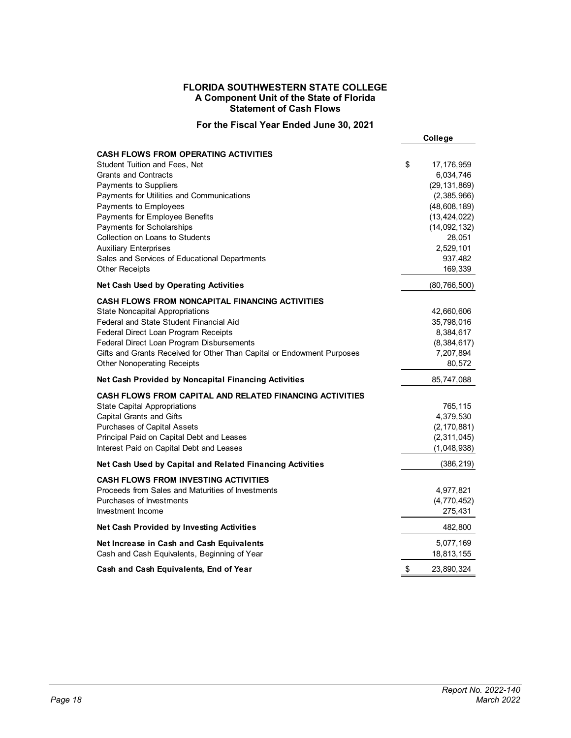### **FLORIDA SOUTHWESTERN STATE COLLEGE A Component Unit of the State of Florida Statement of Cash Flows**

**For the Fiscal Year Ended June 30, 2021** 

<span id="page-21-0"></span>

|                                                                                                                                                                                                                                                                                                                                                                                                                        | College                                                                                                                                                           |
|------------------------------------------------------------------------------------------------------------------------------------------------------------------------------------------------------------------------------------------------------------------------------------------------------------------------------------------------------------------------------------------------------------------------|-------------------------------------------------------------------------------------------------------------------------------------------------------------------|
| <b>CASH FLOWS FROM OPERATING ACTIVITIES</b><br>Student Tuition and Fees, Net<br><b>Grants and Contracts</b><br>Payments to Suppliers<br>Payments for Utilities and Communications<br>Payments to Employees<br>Payments for Employee Benefits<br>Payments for Scholarships<br>Collection on Loans to Students<br><b>Auxiliary Enterprises</b><br>Sales and Services of Educational Departments<br><b>Other Receipts</b> | \$<br>17, 176, 959<br>6,034,746<br>(29, 131, 869)<br>(2,385,966)<br>(48, 608, 189)<br>(13, 424, 022)<br>(14,092,132)<br>28,051<br>2,529,101<br>937,482<br>169,339 |
| <b>Net Cash Used by Operating Activities</b>                                                                                                                                                                                                                                                                                                                                                                           | (80, 766, 500)                                                                                                                                                    |
| <b>CASH FLOWS FROM NONCAPITAL FINANCING ACTIVITIES</b><br><b>State Noncapital Appropriations</b><br>Federal and State Student Financial Aid<br>Federal Direct Loan Program Receipts<br>Federal Direct Loan Program Disbursements<br>Gifts and Grants Received for Other Than Capital or Endowment Purposes<br><b>Other Nonoperating Receipts</b>                                                                       | 42,660,606<br>35,798,016<br>8,384,617<br>(8,384,617)<br>7,207,894<br>80,572                                                                                       |
| Net Cash Provided by Noncapital Financing Activities                                                                                                                                                                                                                                                                                                                                                                   | 85,747,088                                                                                                                                                        |
| <b>CASH FLOWS FROM CAPITAL AND RELATED FINANCING ACTIVITIES</b><br><b>State Capital Appropriations</b><br><b>Capital Grants and Gifts</b><br>Purchases of Capital Assets<br>Principal Paid on Capital Debt and Leases<br>Interest Paid on Capital Debt and Leases                                                                                                                                                      | 765,115<br>4,379,530<br>(2, 170, 881)<br>(2,311,045)<br>(1,048,938)                                                                                               |
| Net Cash Used by Capital and Related Financing Activities                                                                                                                                                                                                                                                                                                                                                              | (386, 219)                                                                                                                                                        |
| <b>CASH FLOWS FROM INVESTING ACTIVITIES</b><br>Proceeds from Sales and Maturities of Investments<br>Purchases of Investments<br>Investment Income                                                                                                                                                                                                                                                                      | 4,977,821<br>(4,770,452)<br>275,431                                                                                                                               |
| <b>Net Cash Provided by Investing Activities</b>                                                                                                                                                                                                                                                                                                                                                                       | 482,800                                                                                                                                                           |
| Net Increase in Cash and Cash Equivalents<br>Cash and Cash Equivalents, Beginning of Year                                                                                                                                                                                                                                                                                                                              | 5,077,169<br>18,813,155                                                                                                                                           |
| Cash and Cash Equivalents, End of Year                                                                                                                                                                                                                                                                                                                                                                                 | \$<br>23,890,324                                                                                                                                                  |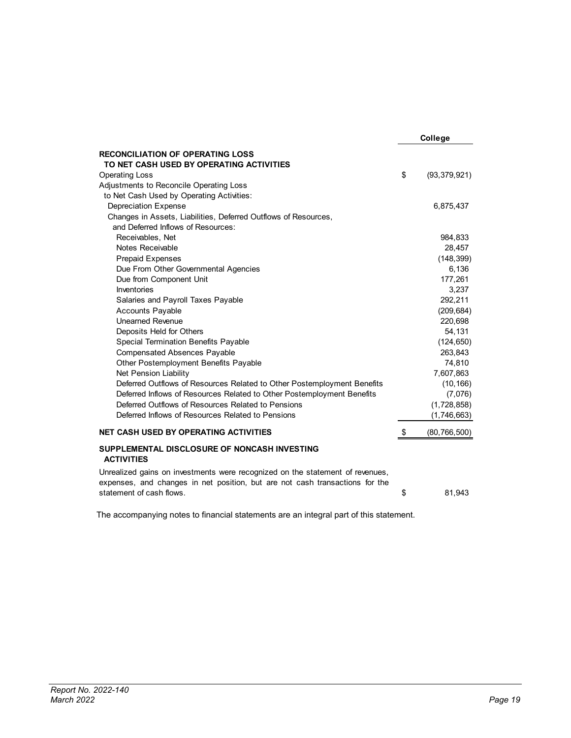|                                                                                                                                                                                           | College              |
|-------------------------------------------------------------------------------------------------------------------------------------------------------------------------------------------|----------------------|
| <b>RECONCILIATION OF OPERATING LOSS</b>                                                                                                                                                   |                      |
| TO NET CASH USED BY OPERATING ACTIVITIES                                                                                                                                                  |                      |
| <b>Operating Loss</b>                                                                                                                                                                     | \$<br>(93, 379, 921) |
| Adjustments to Reconcile Operating Loss                                                                                                                                                   |                      |
| to Net Cash Used by Operating Activities:                                                                                                                                                 |                      |
| <b>Depreciation Expense</b>                                                                                                                                                               | 6,875,437            |
| Changes in Assets, Liabilities, Deferred Outflows of Resources,                                                                                                                           |                      |
| and Deferred Inflows of Resources:                                                                                                                                                        |                      |
| Receivables, Net                                                                                                                                                                          | 984,833              |
| Notes Receivable                                                                                                                                                                          | 28,457               |
| <b>Prepaid Expenses</b>                                                                                                                                                                   | (148, 399)           |
| Due From Other Governmental Agencies                                                                                                                                                      | 6.136                |
| Due from Component Unit                                                                                                                                                                   | 177,261              |
| Inventories                                                                                                                                                                               | 3,237                |
| Salaries and Payroll Taxes Payable                                                                                                                                                        | 292.211              |
| <b>Accounts Payable</b>                                                                                                                                                                   | (209, 684)           |
| <b>Unearned Revenue</b>                                                                                                                                                                   | 220,698              |
| Deposits Held for Others                                                                                                                                                                  | 54,131               |
| Special Termination Benefits Payable                                                                                                                                                      | (124, 650)           |
| <b>Compensated Absences Payable</b>                                                                                                                                                       | 263,843              |
| Other Postemployment Benefits Payable                                                                                                                                                     | 74.810               |
| Net Pension Liability                                                                                                                                                                     | 7,607,863            |
| Deferred Outflows of Resources Related to Other Postemployment Benefits                                                                                                                   | (10, 166)            |
| Deferred Inflows of Resources Related to Other Postemployment Benefits                                                                                                                    | (7,076)              |
| Deferred Outflows of Resources Related to Pensions                                                                                                                                        | (1,728,858)          |
| Deferred Inflows of Resources Related to Pensions                                                                                                                                         | (1,746,663)          |
| <b>NET CASH USED BY OPERATING ACTIVITIES</b>                                                                                                                                              | \$<br>(80, 766, 500) |
| SUPPLEMENTAL DISCLOSURE OF NONCASH INVESTING<br><b>ACTIVITIES</b>                                                                                                                         |                      |
| Unrealized gains on investments were recognized on the statement of revenues,<br>expenses, and changes in net position, but are not cash transactions for the<br>statement of cash flows. | \$<br>81,943         |

The accompanying notes to financial statements are an integral part of this statement.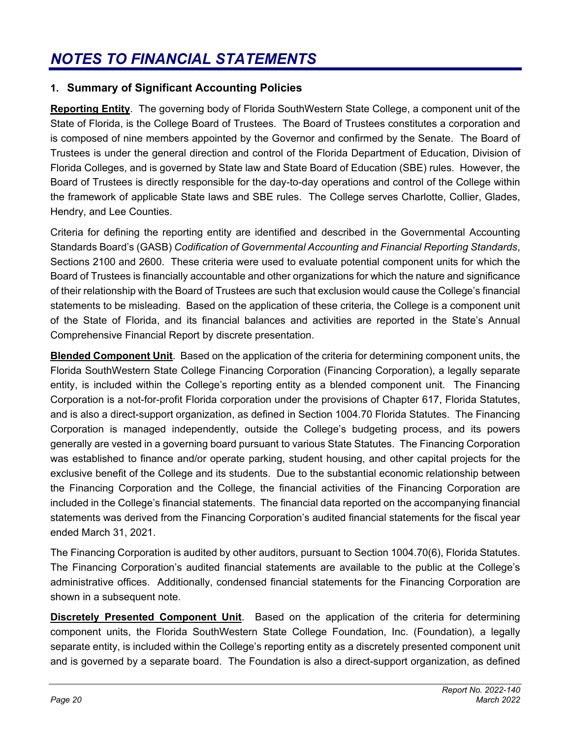# <span id="page-23-0"></span>*NOTES TO FINANCIAL STATEMENTS*

## **1. Summary of Significant Accounting Policies**

**Reporting Entity**. The governing body of Florida SouthWestern State College, a component unit of the State of Florida, is the College Board of Trustees. The Board of Trustees constitutes a corporation and is composed of nine members appointed by the Governor and confirmed by the Senate. The Board of Trustees is under the general direction and control of the Florida Department of Education, Division of Florida Colleges, and is governed by State law and State Board of Education (SBE) rules. However, the Board of Trustees is directly responsible for the day-to-day operations and control of the College within the framework of applicable State laws and SBE rules. The College serves Charlotte, Collier, Glades, Hendry, and Lee Counties.

Criteria for defining the reporting entity are identified and described in the Governmental Accounting Standards Board's (GASB) *Codification of Governmental Accounting and Financial Reporting Standards*, Sections 2100 and 2600. These criteria were used to evaluate potential component units for which the Board of Trustees is financially accountable and other organizations for which the nature and significance of their relationship with the Board of Trustees are such that exclusion would cause the College's financial statements to be misleading. Based on the application of these criteria, the College is a component unit of the State of Florida, and its financial balances and activities are reported in the State's Annual Comprehensive Financial Report by discrete presentation.

**Blended Component Unit**. Based on the application of the criteria for determining component units, the Florida SouthWestern State College Financing Corporation (Financing Corporation), a legally separate entity, is included within the College's reporting entity as a blended component unit. The Financing Corporation is a not-for-profit Florida corporation under the provisions of Chapter 617, Florida Statutes, and is also a direct-support organization, as defined in Section 1004.70 Florida Statutes. The Financing Corporation is managed independently, outside the College's budgeting process, and its powers generally are vested in a governing board pursuant to various State Statutes. The Financing Corporation was established to finance and/or operate parking, student housing, and other capital projects for the exclusive benefit of the College and its students. Due to the substantial economic relationship between the Financing Corporation and the College, the financial activities of the Financing Corporation are included in the College's financial statements. The financial data reported on the accompanying financial statements was derived from the Financing Corporation's audited financial statements for the fiscal year ended March 31, 2021.

The Financing Corporation is audited by other auditors, pursuant to Section 1004.70(6), Florida Statutes. The Financing Corporation's audited financial statements are available to the public at the College's administrative offices. Additionally, condensed financial statements for the Financing Corporation are shown in a subsequent note.

**Discretely Presented Component Unit**. Based on the application of the criteria for determining component units, the Florida SouthWestern State College Foundation, Inc. (Foundation), a legally separate entity, is included within the College's reporting entity as a discretely presented component unit and is governed by a separate board. The Foundation is also a direct-support organization, as defined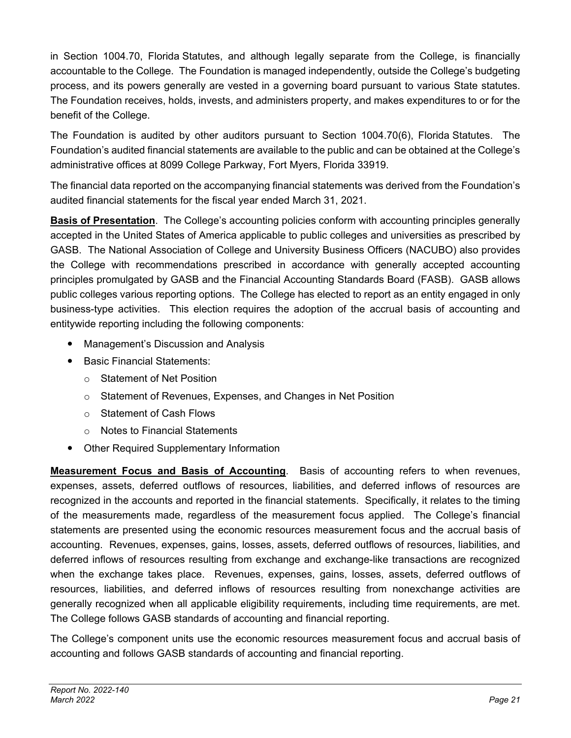in Section 1004.70, Florida Statutes, and although legally separate from the College, is financially accountable to the College. The Foundation is managed independently, outside the College's budgeting process, and its powers generally are vested in a governing board pursuant to various State statutes. The Foundation receives, holds, invests, and administers property, and makes expenditures to or for the benefit of the College.

The Foundation is audited by other auditors pursuant to Section 1004.70(6), Florida Statutes. The Foundation's audited financial statements are available to the public and can be obtained at the College's administrative offices at 8099 College Parkway, Fort Myers, Florida 33919.

The financial data reported on the accompanying financial statements was derived from the Foundation's audited financial statements for the fiscal year ended March 31, 2021.

**Basis of Presentation**. The College's accounting policies conform with accounting principles generally accepted in the United States of America applicable to public colleges and universities as prescribed by GASB. The National Association of College and University Business Officers (NACUBO) also provides the College with recommendations prescribed in accordance with generally accepted accounting principles promulgated by GASB and the Financial Accounting Standards Board (FASB). GASB allows public colleges various reporting options. The College has elected to report as an entity engaged in only business-type activities. This election requires the adoption of the accrual basis of accounting and entitywide reporting including the following components:

- Management's Discussion and Analysis
- Basic Financial Statements:
	- o Statement of Net Position
	- o Statement of Revenues, Expenses, and Changes in Net Position
	- o Statement of Cash Flows
	- o Notes to Financial Statements
- Other Required Supplementary Information

**Measurement Focus and Basis of Accounting**. Basis of accounting refers to when revenues, expenses, assets, deferred outflows of resources, liabilities, and deferred inflows of resources are recognized in the accounts and reported in the financial statements. Specifically, it relates to the timing of the measurements made, regardless of the measurement focus applied. The College's financial statements are presented using the economic resources measurement focus and the accrual basis of accounting. Revenues, expenses, gains, losses, assets, deferred outflows of resources, liabilities, and deferred inflows of resources resulting from exchange and exchange-like transactions are recognized when the exchange takes place. Revenues, expenses, gains, losses, assets, deferred outflows of resources, liabilities, and deferred inflows of resources resulting from nonexchange activities are generally recognized when all applicable eligibility requirements, including time requirements, are met. The College follows GASB standards of accounting and financial reporting.

The College's component units use the economic resources measurement focus and accrual basis of accounting and follows GASB standards of accounting and financial reporting.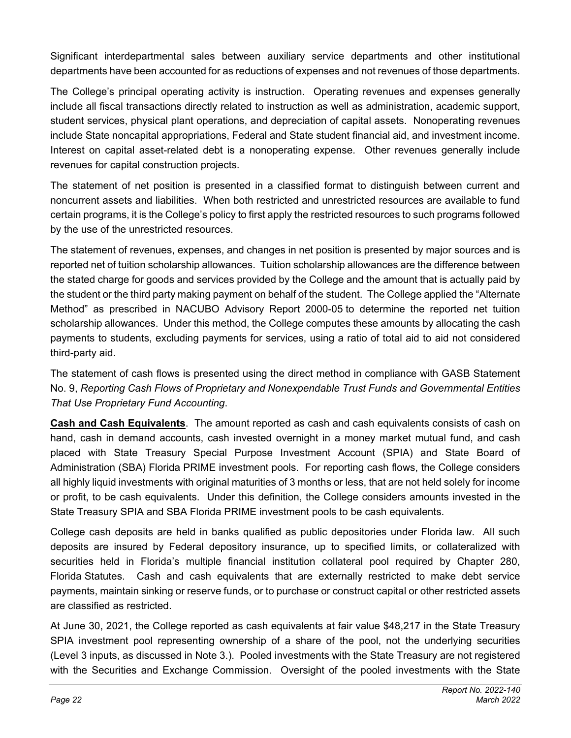Significant interdepartmental sales between auxiliary service departments and other institutional departments have been accounted for as reductions of expenses and not revenues of those departments.

The College's principal operating activity is instruction. Operating revenues and expenses generally include all fiscal transactions directly related to instruction as well as administration, academic support, student services, physical plant operations, and depreciation of capital assets. Nonoperating revenues include State noncapital appropriations, Federal and State student financial aid, and investment income. Interest on capital asset-related debt is a nonoperating expense. Other revenues generally include revenues for capital construction projects.

The statement of net position is presented in a classified format to distinguish between current and noncurrent assets and liabilities. When both restricted and unrestricted resources are available to fund certain programs, it is the College's policy to first apply the restricted resources to such programs followed by the use of the unrestricted resources.

The statement of revenues, expenses, and changes in net position is presented by major sources and is reported net of tuition scholarship allowances. Tuition scholarship allowances are the difference between the stated charge for goods and services provided by the College and the amount that is actually paid by the student or the third party making payment on behalf of the student. The College applied the "Alternate Method" as prescribed in NACUBO Advisory Report 2000-05 to determine the reported net tuition scholarship allowances. Under this method, the College computes these amounts by allocating the cash payments to students, excluding payments for services, using a ratio of total aid to aid not considered third-party aid.

The statement of cash flows is presented using the direct method in compliance with GASB Statement No. 9, *Reporting Cash Flows of Proprietary and Nonexpendable Trust Funds and Governmental Entities That Use Proprietary Fund Accounting*.

**Cash and Cash Equivalents**. The amount reported as cash and cash equivalents consists of cash on hand, cash in demand accounts, cash invested overnight in a money market mutual fund, and cash placed with State Treasury Special Purpose Investment Account (SPIA) and State Board of Administration (SBA) Florida PRIME investment pools. For reporting cash flows, the College considers all highly liquid investments with original maturities of 3 months or less, that are not held solely for income or profit, to be cash equivalents. Under this definition, the College considers amounts invested in the State Treasury SPIA and SBA Florida PRIME investment pools to be cash equivalents.

College cash deposits are held in banks qualified as public depositories under Florida law. All such deposits are insured by Federal depository insurance, up to specified limits, or collateralized with securities held in Florida's multiple financial institution collateral pool required by Chapter 280, Florida Statutes. Cash and cash equivalents that are externally restricted to make debt service payments, maintain sinking or reserve funds, or to purchase or construct capital or other restricted assets are classified as restricted.

At June 30, 2021, the College reported as cash equivalents at fair value \$48,217 in the State Treasury SPIA investment pool representing ownership of a share of the pool, not the underlying securities (Level 3 inputs, as discussed in Note 3.). Pooled investments with the State Treasury are not registered with the Securities and Exchange Commission. Oversight of the pooled investments with the State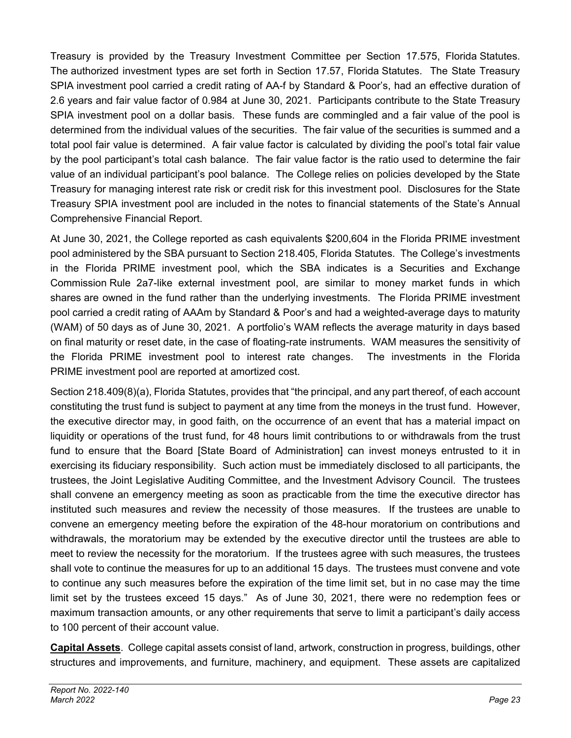Treasury is provided by the Treasury Investment Committee per Section 17.575, Florida Statutes. The authorized investment types are set forth in Section 17.57, Florida Statutes. The State Treasury SPIA investment pool carried a credit rating of AA-f by Standard & Poor's, had an effective duration of 2.6 years and fair value factor of 0.984 at June 30, 2021. Participants contribute to the State Treasury SPIA investment pool on a dollar basis. These funds are commingled and a fair value of the pool is determined from the individual values of the securities. The fair value of the securities is summed and a total pool fair value is determined. A fair value factor is calculated by dividing the pool's total fair value by the pool participant's total cash balance. The fair value factor is the ratio used to determine the fair value of an individual participant's pool balance. The College relies on policies developed by the State Treasury for managing interest rate risk or credit risk for this investment pool. Disclosures for the State Treasury SPIA investment pool are included in the notes to financial statements of the State's Annual Comprehensive Financial Report.

At June 30, 2021, the College reported as cash equivalents \$200,604 in the Florida PRIME investment pool administered by the SBA pursuant to Section 218.405, Florida Statutes. The College's investments in the Florida PRIME investment pool, which the SBA indicates is a Securities and Exchange Commission Rule 2a7-like external investment pool, are similar to money market funds in which shares are owned in the fund rather than the underlying investments. The Florida PRIME investment pool carried a credit rating of AAAm by Standard & Poor's and had a weighted-average days to maturity (WAM) of 50 days as of June 30, 2021. A portfolio's WAM reflects the average maturity in days based on final maturity or reset date, in the case of floating-rate instruments. WAM measures the sensitivity of the Florida PRIME investment pool to interest rate changes. The investments in the Florida PRIME investment pool are reported at amortized cost.

Section 218.409(8)(a), Florida Statutes, provides that "the principal, and any part thereof, of each account constituting the trust fund is subject to payment at any time from the moneys in the trust fund. However, the executive director may, in good faith, on the occurrence of an event that has a material impact on liquidity or operations of the trust fund, for 48 hours limit contributions to or withdrawals from the trust fund to ensure that the Board [State Board of Administration] can invest moneys entrusted to it in exercising its fiduciary responsibility. Such action must be immediately disclosed to all participants, the trustees, the Joint Legislative Auditing Committee, and the Investment Advisory Council. The trustees shall convene an emergency meeting as soon as practicable from the time the executive director has instituted such measures and review the necessity of those measures. If the trustees are unable to convene an emergency meeting before the expiration of the 48-hour moratorium on contributions and withdrawals, the moratorium may be extended by the executive director until the trustees are able to meet to review the necessity for the moratorium. If the trustees agree with such measures, the trustees shall vote to continue the measures for up to an additional 15 days. The trustees must convene and vote to continue any such measures before the expiration of the time limit set, but in no case may the time limit set by the trustees exceed 15 days." As of June 30, 2021, there were no redemption fees or maximum transaction amounts, or any other requirements that serve to limit a participant's daily access to 100 percent of their account value.

**Capital Assets**. College capital assets consist of land, artwork, construction in progress, buildings, other structures and improvements, and furniture, machinery, and equipment. These assets are capitalized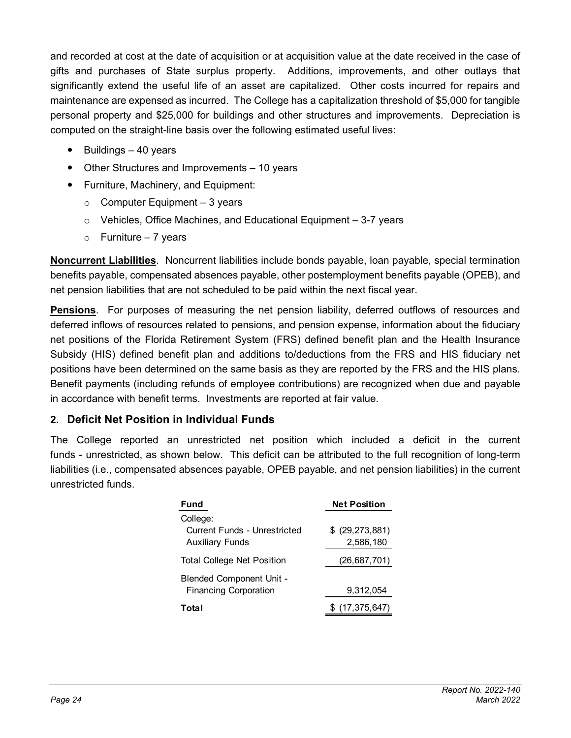and recorded at cost at the date of acquisition or at acquisition value at the date received in the case of gifts and purchases of State surplus property. Additions, improvements, and other outlays that significantly extend the useful life of an asset are capitalized. Other costs incurred for repairs and maintenance are expensed as incurred. The College has a capitalization threshold of \$5,000 for tangible personal property and \$25,000 for buildings and other structures and improvements. Depreciation is computed on the straight-line basis over the following estimated useful lives:

- $\bullet$  Buildings  $-$  40 years
- Other Structures and Improvements 10 years
- Furniture, Machinery, and Equipment:
	- $\circ$  Computer Equipment 3 years
	- $\circ$  Vehicles, Office Machines, and Educational Equipment 3-7 years
	- $\circ$  Furniture 7 years

**Noncurrent Liabilities**. Noncurrent liabilities include bonds payable, loan payable, special termination benefits payable, compensated absences payable, other postemployment benefits payable (OPEB), and net pension liabilities that are not scheduled to be paid within the next fiscal year.

**Pensions**. For purposes of measuring the net pension liability, deferred outflows of resources and deferred inflows of resources related to pensions, and pension expense, information about the fiduciary net positions of the Florida Retirement System (FRS) defined benefit plan and the Health Insurance Subsidy (HIS) defined benefit plan and additions to/deductions from the FRS and HIS fiduciary net positions have been determined on the same basis as they are reported by the FRS and the HIS plans. Benefit payments (including refunds of employee contributions) are recognized when due and payable in accordance with benefit terms. Investments are reported at fair value.

# **2. Deficit Net Position in Individual Funds**

The College reported an unrestricted net position which included a deficit in the current funds - unrestricted, as shown below. This deficit can be attributed to the full recognition of long-term liabilities (i.e., compensated absences payable, OPEB payable, and net pension liabilities) in the current unrestricted funds.

| Fund                                                               | <b>Net Position</b>            |
|--------------------------------------------------------------------|--------------------------------|
| College:<br>Current Funds - Unrestricted<br><b>Auxiliary Funds</b> | \$ (29, 273, 881)<br>2,586,180 |
| <b>Total College Net Position</b>                                  | (26, 687, 701)                 |
| <b>Blended Component Unit -</b><br><b>Financing Corporation</b>    | 9,312,054                      |
| Total                                                              | (17, 375, 647)                 |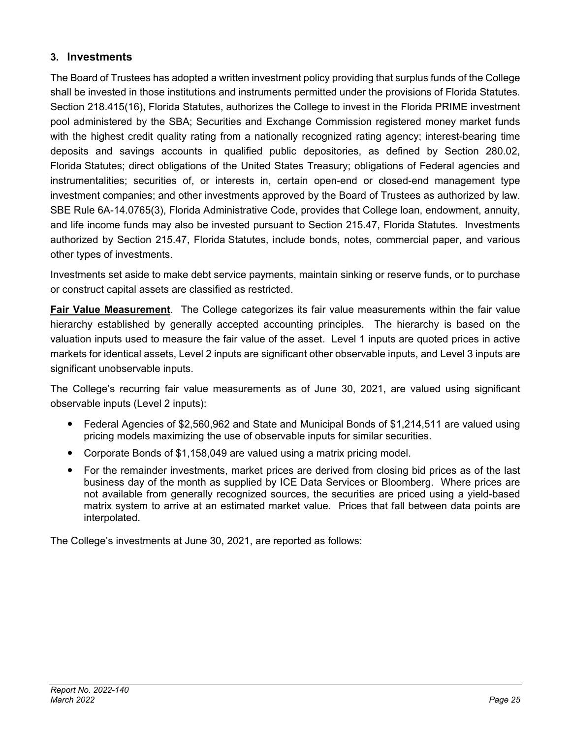# **3. Investments**

The Board of Trustees has adopted a written investment policy providing that surplus funds of the College shall be invested in those institutions and instruments permitted under the provisions of Florida Statutes. Section 218.415(16), Florida Statutes, authorizes the College to invest in the Florida PRIME investment pool administered by the SBA; Securities and Exchange Commission registered money market funds with the highest credit quality rating from a nationally recognized rating agency; interest-bearing time deposits and savings accounts in qualified public depositories, as defined by Section 280.02, Florida Statutes; direct obligations of the United States Treasury; obligations of Federal agencies and instrumentalities; securities of, or interests in, certain open-end or closed-end management type investment companies; and other investments approved by the Board of Trustees as authorized by law. SBE Rule 6A-14.0765(3), Florida Administrative Code, provides that College loan, endowment, annuity, and life income funds may also be invested pursuant to Section 215.47, Florida Statutes. Investments authorized by Section 215.47, Florida Statutes, include bonds, notes, commercial paper, and various other types of investments.

Investments set aside to make debt service payments, maintain sinking or reserve funds, or to purchase or construct capital assets are classified as restricted.

**Fair Value Measurement**. The College categorizes its fair value measurements within the fair value hierarchy established by generally accepted accounting principles. The hierarchy is based on the valuation inputs used to measure the fair value of the asset. Level 1 inputs are quoted prices in active markets for identical assets, Level 2 inputs are significant other observable inputs, and Level 3 inputs are significant unobservable inputs.

The College's recurring fair value measurements as of June 30, 2021, are valued using significant observable inputs (Level 2 inputs):

- Federal Agencies of \$2,560,962 and State and Municipal Bonds of \$1,214,511 are valued using pricing models maximizing the use of observable inputs for similar securities.
- Corporate Bonds of \$1,158,049 are valued using a matrix pricing model.
- For the remainder investments, market prices are derived from closing bid prices as of the last business day of the month as supplied by ICE Data Services or Bloomberg. Where prices are not available from generally recognized sources, the securities are priced using a yield-based matrix system to arrive at an estimated market value. Prices that fall between data points are interpolated.

The College's investments at June 30, 2021, are reported as follows: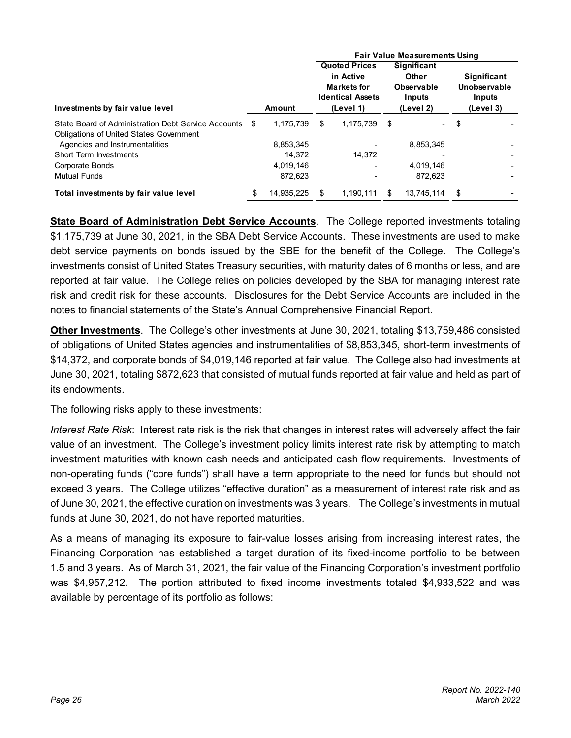|                                                                                                          |               |            | <b>Fair Value Measurements Using</b> |                                                                                                 |     |                                                                         |    |                                                           |
|----------------------------------------------------------------------------------------------------------|---------------|------------|--------------------------------------|-------------------------------------------------------------------------------------------------|-----|-------------------------------------------------------------------------|----|-----------------------------------------------------------|
| Investments by fair value level                                                                          | <b>Amount</b> |            |                                      | <b>Quoted Prices</b><br>in Active<br><b>Markets for</b><br><b>Identical Assets</b><br>(Level 1) |     | <b>Significant</b><br><b>Other</b><br>Observable<br>Inputs<br>(Level 2) |    | <b>Significant</b><br>Unobservable<br>Inputs<br>(Level 3) |
| State Board of Administration Debt Service Accounts \$<br><b>Obligations of United States Government</b> |               | 1.175.739  | S                                    | 1.175.739                                                                                       | -\$ | $\sim$                                                                  | \$ |                                                           |
| Agencies and Instrumentalities                                                                           |               | 8.853.345  |                                      |                                                                                                 |     | 8.853.345                                                               |    |                                                           |
| Short Term Investments                                                                                   |               | 14.372     |                                      | 14.372                                                                                          |     |                                                                         |    |                                                           |
| Corporate Bonds                                                                                          |               | 4,019,146  |                                      |                                                                                                 |     | 4.019.146                                                               |    |                                                           |
| <b>Mutual Funds</b>                                                                                      |               | 872.623    |                                      |                                                                                                 |     | 872,623                                                                 |    |                                                           |
| Total investments by fair value level                                                                    |               | 14,935,225 |                                      | 1,190,111                                                                                       | \$. | 13,745,114                                                              |    |                                                           |

**State Board of Administration Debt Service Accounts**. The College reported investments totaling \$1,175,739 at June 30, 2021, in the SBA Debt Service Accounts. These investments are used to make debt service payments on bonds issued by the SBE for the benefit of the College. The College's investments consist of United States Treasury securities, with maturity dates of 6 months or less, and are reported at fair value. The College relies on policies developed by the SBA for managing interest rate risk and credit risk for these accounts. Disclosures for the Debt Service Accounts are included in the notes to financial statements of the State's Annual Comprehensive Financial Report.

**Other Investments**. The College's other investments at June 30, 2021, totaling \$13,759,486 consisted of obligations of United States agencies and instrumentalities of \$8,853,345, short-term investments of \$14,372, and corporate bonds of \$4,019,146 reported at fair value. The College also had investments at June 30, 2021, totaling \$872,623 that consisted of mutual funds reported at fair value and held as part of its endowments.

The following risks apply to these investments:

*Interest Rate Risk*: Interest rate risk is the risk that changes in interest rates will adversely affect the fair value of an investment. The College's investment policy limits interest rate risk by attempting to match investment maturities with known cash needs and anticipated cash flow requirements. Investments of non-operating funds ("core funds") shall have a term appropriate to the need for funds but should not exceed 3 years. The College utilizes "effective duration" as a measurement of interest rate risk and as of June 30, 2021, the effective duration on investments was 3 years. The College's investments in mutual funds at June 30, 2021, do not have reported maturities.

As a means of managing its exposure to fair-value losses arising from increasing interest rates, the Financing Corporation has established a target duration of its fixed-income portfolio to be between 1.5 and 3 years. As of March 31, 2021, the fair value of the Financing Corporation's investment portfolio was \$4,957,212. The portion attributed to fixed income investments totaled \$4,933,522 and was available by percentage of its portfolio as follows: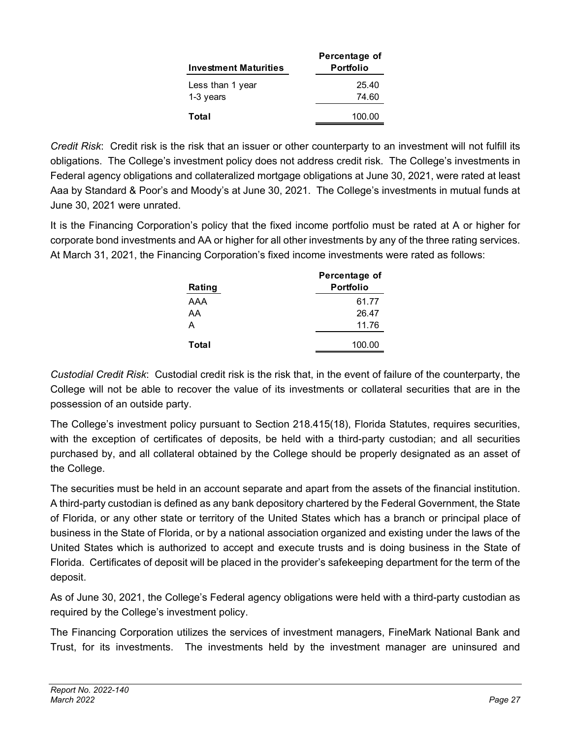| <b>Investment Maturities</b>  | Percentage of<br><b>Portfolio</b> |
|-------------------------------|-----------------------------------|
| Less than 1 year<br>1-3 years | 25.40<br>74.60                    |
| Total                         | 100.00                            |

*Credit Risk*: Credit risk is the risk that an issuer or other counterparty to an investment will not fulfill its obligations. The College's investment policy does not address credit risk. The College's investments in Federal agency obligations and collateralized mortgage obligations at June 30, 2021, were rated at least Aaa by Standard & Poor's and Moody's at June 30, 2021. The College's investments in mutual funds at June 30, 2021 were unrated.

It is the Financing Corporation's policy that the fixed income portfolio must be rated at A or higher for corporate bond investments and AA or higher for all other investments by any of the three rating services. At March 31, 2021, the Financing Corporation's fixed income investments were rated as follows:

| Rating | Percentage of<br><b>Portfolio</b> |
|--------|-----------------------------------|
| AAA    | 61.77                             |
| AA     | 26.47                             |
| А      | 11.76                             |
| Total  | 100.00                            |

*Custodial Credit Risk*: Custodial credit risk is the risk that, in the event of failure of the counterparty, the College will not be able to recover the value of its investments or collateral securities that are in the possession of an outside party.

The College's investment policy pursuant to Section 218.415(18), Florida Statutes, requires securities, with the exception of certificates of deposits, be held with a third-party custodian; and all securities purchased by, and all collateral obtained by the College should be properly designated as an asset of the College.

The securities must be held in an account separate and apart from the assets of the financial institution. A third-party custodian is defined as any bank depository chartered by the Federal Government, the State of Florida, or any other state or territory of the United States which has a branch or principal place of business in the State of Florida, or by a national association organized and existing under the laws of the United States which is authorized to accept and execute trusts and is doing business in the State of Florida. Certificates of deposit will be placed in the provider's safekeeping department for the term of the deposit.

As of June 30, 2021, the College's Federal agency obligations were held with a third-party custodian as required by the College's investment policy.

The Financing Corporation utilizes the services of investment managers, FineMark National Bank and Trust, for its investments. The investments held by the investment manager are uninsured and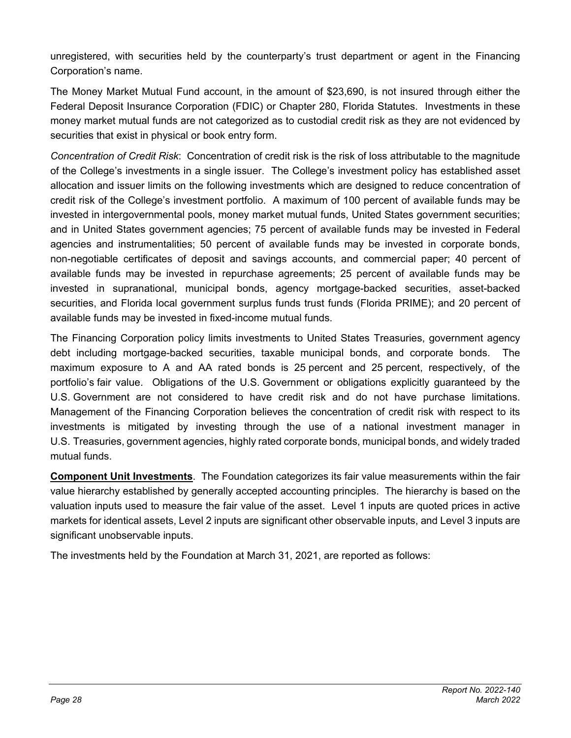unregistered, with securities held by the counterparty's trust department or agent in the Financing Corporation's name.

The Money Market Mutual Fund account, in the amount of \$23,690, is not insured through either the Federal Deposit Insurance Corporation (FDIC) or Chapter 280, Florida Statutes. Investments in these money market mutual funds are not categorized as to custodial credit risk as they are not evidenced by securities that exist in physical or book entry form.

*Concentration of Credit Risk*: Concentration of credit risk is the risk of loss attributable to the magnitude of the College's investments in a single issuer. The College's investment policy has established asset allocation and issuer limits on the following investments which are designed to reduce concentration of credit risk of the College's investment portfolio. A maximum of 100 percent of available funds may be invested in intergovernmental pools, money market mutual funds, United States government securities; and in United States government agencies; 75 percent of available funds may be invested in Federal agencies and instrumentalities; 50 percent of available funds may be invested in corporate bonds, non-negotiable certificates of deposit and savings accounts, and commercial paper; 40 percent of available funds may be invested in repurchase agreements; 25 percent of available funds may be invested in supranational, municipal bonds, agency mortgage-backed securities, asset-backed securities, and Florida local government surplus funds trust funds (Florida PRIME); and 20 percent of available funds may be invested in fixed-income mutual funds.

The Financing Corporation policy limits investments to United States Treasuries, government agency debt including mortgage-backed securities, taxable municipal bonds, and corporate bonds. The maximum exposure to A and AA rated bonds is 25 percent and 25 percent, respectively, of the portfolio's fair value. Obligations of the U.S. Government or obligations explicitly guaranteed by the U.S. Government are not considered to have credit risk and do not have purchase limitations. Management of the Financing Corporation believes the concentration of credit risk with respect to its investments is mitigated by investing through the use of a national investment manager in U.S. Treasuries, government agencies, highly rated corporate bonds, municipal bonds, and widely traded mutual funds.

**Component Unit Investments**. The Foundation categorizes its fair value measurements within the fair value hierarchy established by generally accepted accounting principles. The hierarchy is based on the valuation inputs used to measure the fair value of the asset. Level 1 inputs are quoted prices in active markets for identical assets, Level 2 inputs are significant other observable inputs, and Level 3 inputs are significant unobservable inputs.

The investments held by the Foundation at March 31, 2021, are reported as follows: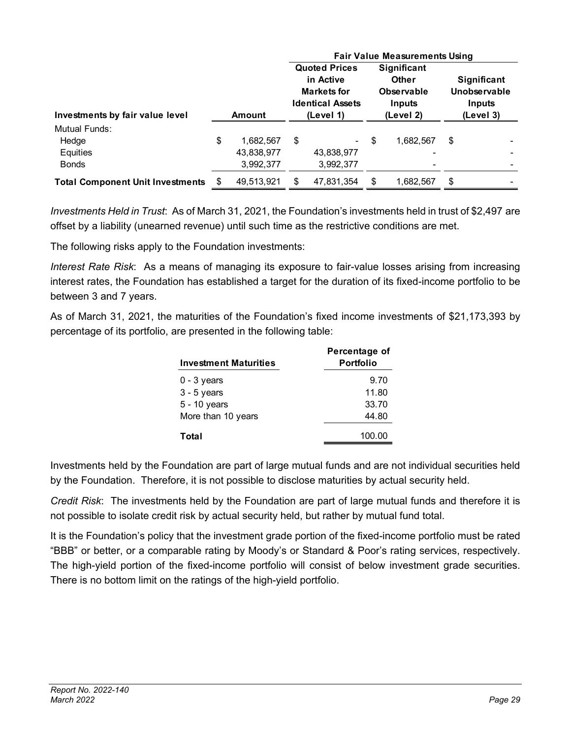|                                         |               |            | <b>Fair Value Measurements Using</b>                                                            |            |                                                                                       |           |                                                           |   |
|-----------------------------------------|---------------|------------|-------------------------------------------------------------------------------------------------|------------|---------------------------------------------------------------------------------------|-----------|-----------------------------------------------------------|---|
| Investments by fair value level         | <b>Amount</b> |            | <b>Quoted Prices</b><br>in Active<br><b>Markets for</b><br><b>Identical Assets</b><br>(Level 1) |            | <b>Significant</b><br><b>Other</b><br><b>Observable</b><br><b>Inputs</b><br>(Level 2) |           | Significant<br>Unobservable<br><b>Inputs</b><br>(Level 3) |   |
| Mutual Funds:                           |               |            |                                                                                                 |            |                                                                                       |           |                                                           |   |
| Hedge                                   | \$            | 1.682.567  | \$                                                                                              | $\sim$ $-$ | -S                                                                                    | 1.682.567 | \$                                                        |   |
| Equities                                |               | 43,838,977 |                                                                                                 | 43,838,977 |                                                                                       |           |                                                           | ۰ |
| <b>Bonds</b>                            |               | 3,992,377  |                                                                                                 | 3,992,377  |                                                                                       |           |                                                           |   |
| <b>Total Component Unit Investments</b> |               | 49,513,921 |                                                                                                 | 47,831,354 | \$                                                                                    | 1,682,567 | \$                                                        |   |

*Investments Held in Trust*: As of March 31, 2021, the Foundation's investments held in trust of \$2,497 are offset by a liability (unearned revenue) until such time as the restrictive conditions are met.

The following risks apply to the Foundation investments:

*Interest Rate Risk*: As a means of managing its exposure to fair-value losses arising from increasing interest rates, the Foundation has established a target for the duration of its fixed-income portfolio to be between 3 and 7 years.

As of March 31, 2021, the maturities of the Foundation's fixed income investments of \$21,173,393 by percentage of its portfolio, are presented in the following table:

| <b>Investment Maturities</b> | Percentage of<br><b>Portfolio</b> |
|------------------------------|-----------------------------------|
| $0 - 3$ years                | 9.70                              |
| $3 - 5$ years                | 11.80                             |
| 5 - 10 years                 | 33.70                             |
| More than 10 years           | 44.80                             |
| Total                        | 100.00                            |

Investments held by the Foundation are part of large mutual funds and are not individual securities held by the Foundation. Therefore, it is not possible to disclose maturities by actual security held.

*Credit Risk*: The investments held by the Foundation are part of large mutual funds and therefore it is not possible to isolate credit risk by actual security held, but rather by mutual fund total.

It is the Foundation's policy that the investment grade portion of the fixed-income portfolio must be rated "BBB" or better, or a comparable rating by Moody's or Standard & Poor's rating services, respectively. The high-yield portion of the fixed-income portfolio will consist of below investment grade securities. There is no bottom limit on the ratings of the high-yield portfolio.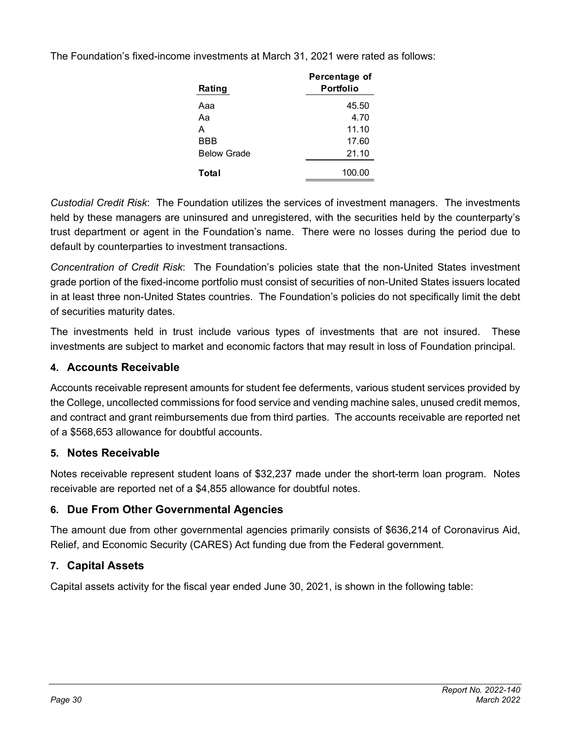| Rating             | Percentage of<br><b>Portfolio</b> |
|--------------------|-----------------------------------|
| Ааа                | 45.50                             |
| Αа                 | 4.70                              |
| A                  | 11.10                             |
| BBB                | 17.60                             |
| <b>Below Grade</b> | 21.10                             |
| Total              | 100.00                            |

The Foundation's fixed-income investments at March 31, 2021 were rated as follows:

*Custodial Credit Risk*: The Foundation utilizes the services of investment managers. The investments held by these managers are uninsured and unregistered, with the securities held by the counterparty's trust department or agent in the Foundation's name. There were no losses during the period due to default by counterparties to investment transactions.

*Concentration of Credit Risk*: The Foundation's policies state that the non-United States investment grade portion of the fixed-income portfolio must consist of securities of non-United States issuers located in at least three non-United States countries. The Foundation's policies do not specifically limit the debt of securities maturity dates.

The investments held in trust include various types of investments that are not insured. These investments are subject to market and economic factors that may result in loss of Foundation principal.

# **4. Accounts Receivable**

Accounts receivable represent amounts for student fee deferments, various student services provided by the College, uncollected commissions for food service and vending machine sales, unused credit memos, and contract and grant reimbursements due from third parties. The accounts receivable are reported net of a \$568,653 allowance for doubtful accounts.

# **5. Notes Receivable**

Notes receivable represent student loans of \$32,237 made under the short-term loan program. Notes receivable are reported net of a \$4,855 allowance for doubtful notes.

# **6. Due From Other Governmental Agencies**

The amount due from other governmental agencies primarily consists of \$636,214 of Coronavirus Aid, Relief, and Economic Security (CARES) Act funding due from the Federal government.

# **7. Capital Assets**

Capital assets activity for the fiscal year ended June 30, 2021, is shown in the following table: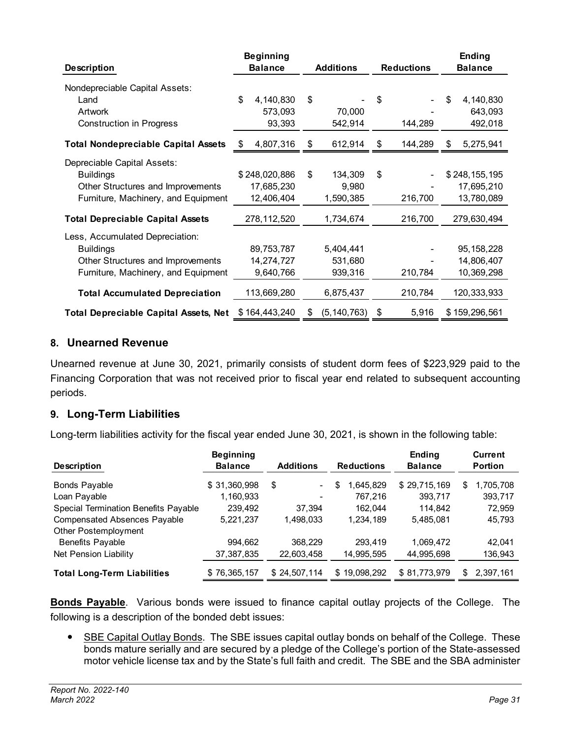| <b>Description</b>                           | <b>Beginning</b><br><b>Balance</b> |    | <b>Additions</b> | <b>Reductions</b> | <b>Ending</b><br><b>Balance</b> |
|----------------------------------------------|------------------------------------|----|------------------|-------------------|---------------------------------|
|                                              |                                    |    |                  |                   |                                 |
| Nondepreciable Capital Assets:               |                                    |    |                  |                   |                                 |
| Land                                         | \$<br>4,140,830                    | \$ |                  | \$                | \$<br>4,140,830                 |
| Artwork                                      | 573,093                            |    | 70,000           |                   | 643,093                         |
| <b>Construction in Progress</b>              | 93,393                             |    | 542,914          | 144,289           | 492,018                         |
| <b>Total Nondepreciable Capital Assets</b>   | \$<br>4,807,316                    | \$ | 612,914          | \$<br>144,289     | \$<br>5,275,941                 |
| Depreciable Capital Assets:                  |                                    |    |                  |                   |                                 |
| <b>Buildings</b>                             | \$248,020,886                      | \$ | 134,309          | \$                | \$248,155,195                   |
| Other Structures and Improvements            | 17,685,230                         |    | 9,980            |                   | 17,695,210                      |
| Furniture, Machinery, and Equipment          | 12,406,404                         |    | 1,590,385        | 216,700           | 13,780,089                      |
| <b>Total Depreciable Capital Assets</b>      | 278, 112, 520                      |    | 1,734,674        | 216,700           | 279,630,494                     |
| Less, Accumulated Depreciation:              |                                    |    |                  |                   |                                 |
| <b>Buildings</b>                             | 89,753,787                         |    | 5,404,441        |                   | 95, 158, 228                    |
| Other Structures and Improvements            | 14,274,727                         |    | 531,680          |                   | 14,806,407                      |
| Furniture, Machinery, and Equipment          | 9,640,766                          |    | 939,316          | 210,784           | 10,369,298                      |
| <b>Total Accumulated Depreciation</b>        | 113,669,280                        |    | 6,875,437        | 210,784           | 120,333,933                     |
| <b>Total Depreciable Capital Assets, Net</b> | \$164,443,240                      | S  | (5, 140, 763)    | \$<br>5,916       | \$159,296,561                   |

## **8. Unearned Revenue**

Unearned revenue at June 30, 2021, primarily consists of student dorm fees of \$223,929 paid to the Financing Corporation that was not received prior to fiscal year end related to subsequent accounting periods.

# **9. Long-Term Liabilities**

Long-term liabilities activity for the fiscal year ended June 30, 2021, is shown in the following table:

| <b>Description</b>                   | <b>Beginning</b><br><b>Balance</b> | <b>Additions</b> | <b>Reductions</b> | <b>Ending</b><br><b>Balance</b> | <b>Current</b><br><b>Portion</b> |
|--------------------------------------|------------------------------------|------------------|-------------------|---------------------------------|----------------------------------|
| <b>Bonds Payable</b>                 | \$31,360,998                       | \$<br>۰.         | 1.645.829<br>S    | \$29,715,169                    | 1,705,708<br>S                   |
| Loan Payable                         | 1,160,933                          |                  | 767.216           | 393,717                         | 393,717                          |
| Special Termination Benefits Payable | 239.492                            | 37.394           | 162.044           | 114.842                         | 72,959                           |
| <b>Compensated Absences Payable</b>  | 5,221,237                          | 1,498,033        | 1,234,189         | 5,485,081                       | 45,793                           |
| Other Postemployment                 |                                    |                  |                   |                                 |                                  |
| <b>Benefits Payable</b>              | 994,662                            | 368.229          | 293.419           | 1,069,472                       | 42.041                           |
| Net Pension Liability                | 37,387,835                         | 22,603,458       | 14,995,595        | 44,995,698                      | 136,943                          |
| <b>Total Long-Term Liabilities</b>   | \$76,365,157                       | \$24,507,114     | \$19,098,292      | \$81,773,979                    | 2,397,161<br>\$.                 |

**Bonds Payable**. Various bonds were issued to finance capital outlay projects of the College. The following is a description of the bonded debt issues:

• SBE Capital Outlay Bonds. The SBE issues capital outlay bonds on behalf of the College. These bonds mature serially and are secured by a pledge of the College's portion of the State-assessed motor vehicle license tax and by the State's full faith and credit. The SBE and the SBA administer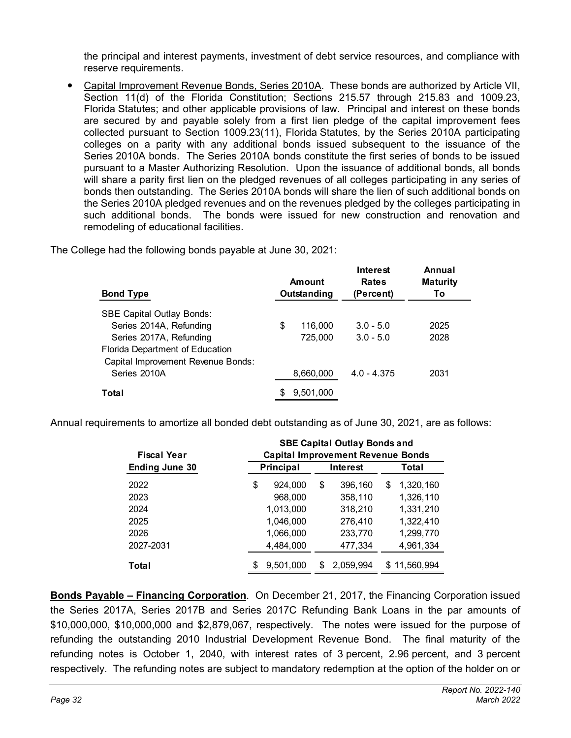the principal and interest payments, investment of debt service resources, and compliance with reserve requirements.

 Capital Improvement Revenue Bonds, Series 2010A. These bonds are authorized by Article VII, Section 11(d) of the Florida Constitution; Sections 215.57 through 215.83 and 1009.23, Florida Statutes; and other applicable provisions of law. Principal and interest on these bonds are secured by and payable solely from a first lien pledge of the capital improvement fees collected pursuant to Section 1009.23(11), Florida Statutes, by the Series 2010A participating colleges on a parity with any additional bonds issued subsequent to the issuance of the Series 2010A bonds. The Series 2010A bonds constitute the first series of bonds to be issued pursuant to a Master Authorizing Resolution. Upon the issuance of additional bonds, all bonds will share a parity first lien on the pledged revenues of all colleges participating in any series of bonds then outstanding. The Series 2010A bonds will share the lien of such additional bonds on the Series 2010A pledged revenues and on the revenues pledged by the colleges participating in such additional bonds. The bonds were issued for new construction and renovation and remodeling of educational facilities.

The College had the following bonds payable at June 30, 2021:

| <b>Bond Type</b>                                                                                                                                                |   | Amount<br>Outstanding | Interest<br><b>Rates</b><br>(Percent) | Annual<br><b>Maturity</b><br>To |
|-----------------------------------------------------------------------------------------------------------------------------------------------------------------|---|-----------------------|---------------------------------------|---------------------------------|
| <b>SBE Capital Outlay Bonds:</b><br>Series 2014A, Refunding<br>Series 2017A, Refunding<br>Florida Department of Education<br>Capital Improvement Revenue Bonds: | S | 116,000<br>725.000    | $3.0 - 5.0$<br>$3.0 - 5.0$            | 2025<br>2028                    |
| Series 2010A                                                                                                                                                    |   | 8,660,000             | $4.0 - 4.375$                         | 2031                            |
| Total                                                                                                                                                           |   | 9,501,000             |                                       |                                 |

Annual requirements to amortize all bonded debt outstanding as of June 30, 2021, are as follows:

|                       | <b>SBE Capital Outlay Bonds and</b> |           |    |                                          |   |              |
|-----------------------|-------------------------------------|-----------|----|------------------------------------------|---|--------------|
| <b>Fiscal Year</b>    |                                     |           |    | <b>Capital Improvement Revenue Bonds</b> |   |              |
| <b>Ending June 30</b> | Principal                           |           |    | Interest                                 |   | Total        |
| 2022                  | \$                                  | 924,000   | \$ | 396,160                                  | S | 1,320,160    |
| 2023                  |                                     | 968,000   |    | 358,110                                  |   | 1,326,110    |
| 2024                  |                                     | 1,013,000 |    | 318,210                                  |   | 1,331,210    |
| 2025                  |                                     | 1,046,000 |    | 276,410                                  |   | 1,322,410    |
| 2026                  |                                     | 1,066,000 |    | 233,770                                  |   | 1,299,770    |
| 2027-2031             |                                     | 4,484,000 |    | 477,334                                  |   | 4,961,334    |
| Total                 | \$                                  | 9,501,000 | S  | 2,059,994                                |   | \$11,560,994 |

**Bonds Payable – Financing Corporation**. On December 21, 2017, the Financing Corporation issued the Series 2017A, Series 2017B and Series 2017C Refunding Bank Loans in the par amounts of \$10,000,000, \$10,000,000 and \$2,879,067, respectively. The notes were issued for the purpose of refunding the outstanding 2010 Industrial Development Revenue Bond. The final maturity of the refunding notes is October 1, 2040, with interest rates of 3 percent, 2.96 percent, and 3 percent respectively. The refunding notes are subject to mandatory redemption at the option of the holder on or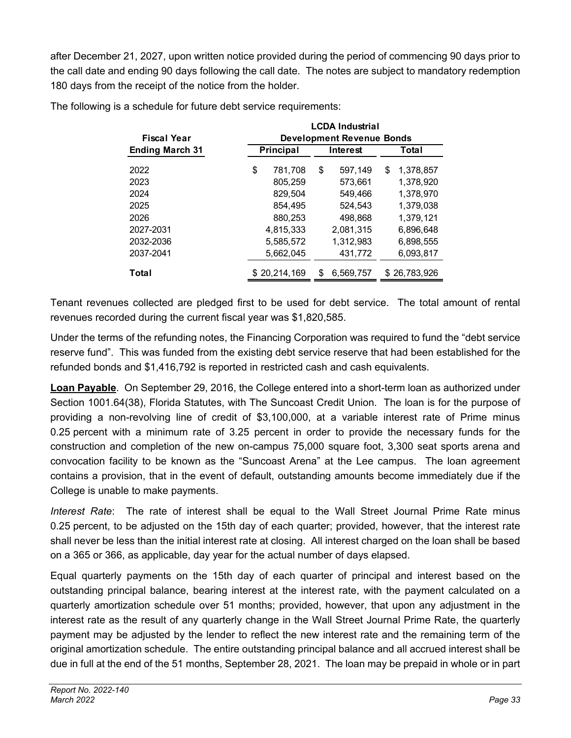after December 21, 2027, upon written notice provided during the period of commencing 90 days prior to the call date and ending 90 days following the call date. The notes are subject to mandatory redemption 180 days from the receipt of the notice from the holder.

|                        | <b>LCDA Industrial</b>           |                 |                 |  |  |  |
|------------------------|----------------------------------|-----------------|-----------------|--|--|--|
| <b>Fiscal Year</b>     | <b>Development Revenue Bonds</b> |                 |                 |  |  |  |
| <b>Ending March 31</b> | <b>Principal</b>                 | Interest        | Total           |  |  |  |
| 2022                   | \$<br>781.708                    | \$<br>597.149   | 1.378.857<br>\$ |  |  |  |
| 2023                   | 805,259                          | 573,661         | 1.378.920       |  |  |  |
| 2024                   | 829.504                          | 549.466         | 1,378,970       |  |  |  |
| 2025                   | 854.495                          | 524.543         | 1.379.038       |  |  |  |
| 2026                   | 880,253                          | 498.868         | 1.379.121       |  |  |  |
| 2027-2031              | 4,815,333                        | 2,081,315       | 6.896.648       |  |  |  |
| 2032-2036              | 5,585,572                        | 1,312,983       | 6,898,555       |  |  |  |
| 2037-2041              | 5.662.045                        | 431,772         | 6,093,817       |  |  |  |
| Total                  | \$20.214.169                     | 6.569.757<br>\$ | \$26,783,926    |  |  |  |

The following is a schedule for future debt service requirements:

Tenant revenues collected are pledged first to be used for debt service. The total amount of rental revenues recorded during the current fiscal year was \$1,820,585.

Under the terms of the refunding notes, the Financing Corporation was required to fund the "debt service reserve fund". This was funded from the existing debt service reserve that had been established for the refunded bonds and \$1,416,792 is reported in restricted cash and cash equivalents.

**Loan Payable**. On September 29, 2016, the College entered into a short-term loan as authorized under Section 1001.64(38), Florida Statutes, with The Suncoast Credit Union. The loan is for the purpose of providing a non-revolving line of credit of \$3,100,000, at a variable interest rate of Prime minus 0.25 percent with a minimum rate of 3.25 percent in order to provide the necessary funds for the construction and completion of the new on-campus 75,000 square foot, 3,300 seat sports arena and convocation facility to be known as the "Suncoast Arena" at the Lee campus. The loan agreement contains a provision, that in the event of default, outstanding amounts become immediately due if the College is unable to make payments.

*Interest Rate*: The rate of interest shall be equal to the Wall Street Journal Prime Rate minus 0.25 percent, to be adjusted on the 15th day of each quarter; provided, however, that the interest rate shall never be less than the initial interest rate at closing. All interest charged on the loan shall be based on a 365 or 366, as applicable, day year for the actual number of days elapsed.

Equal quarterly payments on the 15th day of each quarter of principal and interest based on the outstanding principal balance, bearing interest at the interest rate, with the payment calculated on a quarterly amortization schedule over 51 months; provided, however, that upon any adjustment in the interest rate as the result of any quarterly change in the Wall Street Journal Prime Rate, the quarterly payment may be adjusted by the lender to reflect the new interest rate and the remaining term of the original amortization schedule. The entire outstanding principal balance and all accrued interest shall be due in full at the end of the 51 months, September 28, 2021. The loan may be prepaid in whole or in part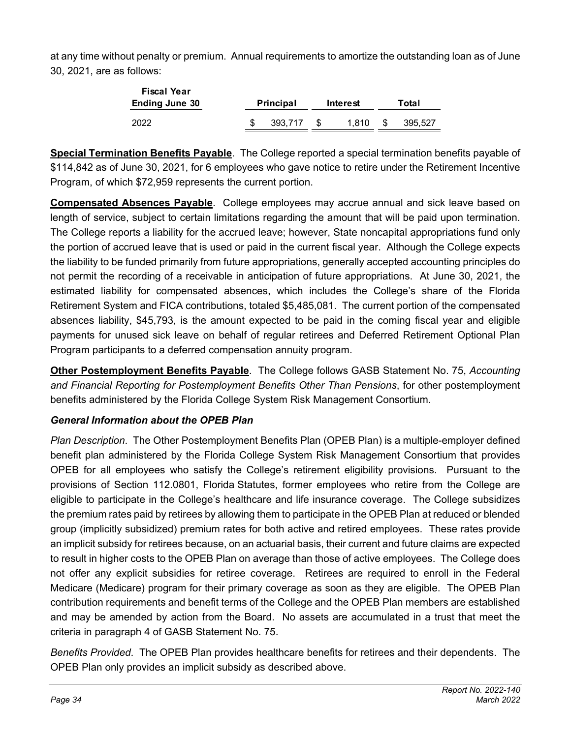at any time without penalty or premium. Annual requirements to amortize the outstanding loan as of June 30, 2021, are as follows:

| <b>Fiscal Year</b><br><b>Ending June 30</b> | Principal | Interest | Total   |
|---------------------------------------------|-----------|----------|---------|
| 2022                                        | 393.717   | 1.810    | 395.527 |

**Special Termination Benefits Payable**. The College reported a special termination benefits payable of \$114,842 as of June 30, 2021, for 6 employees who gave notice to retire under the Retirement Incentive Program, of which \$72,959 represents the current portion.

**Compensated Absences Payable**. College employees may accrue annual and sick leave based on length of service, subject to certain limitations regarding the amount that will be paid upon termination. The College reports a liability for the accrued leave; however, State noncapital appropriations fund only the portion of accrued leave that is used or paid in the current fiscal year. Although the College expects the liability to be funded primarily from future appropriations, generally accepted accounting principles do not permit the recording of a receivable in anticipation of future appropriations. At June 30, 2021, the estimated liability for compensated absences, which includes the College's share of the Florida Retirement System and FICA contributions, totaled \$5,485,081. The current portion of the compensated absences liability, \$45,793, is the amount expected to be paid in the coming fiscal year and eligible payments for unused sick leave on behalf of regular retirees and Deferred Retirement Optional Plan Program participants to a deferred compensation annuity program.

**Other Postemployment Benefits Payable**. The College follows GASB Statement No. 75, *Accounting and Financial Reporting for Postemployment Benefits Other Than Pensions*, for other postemployment benefits administered by the Florida College System Risk Management Consortium.

# *General Information about the OPEB Plan*

*Plan Description*. The Other Postemployment Benefits Plan (OPEB Plan) is a multiple-employer defined benefit plan administered by the Florida College System Risk Management Consortium that provides OPEB for all employees who satisfy the College's retirement eligibility provisions. Pursuant to the provisions of Section 112.0801, Florida Statutes, former employees who retire from the College are eligible to participate in the College's healthcare and life insurance coverage. The College subsidizes the premium rates paid by retirees by allowing them to participate in the OPEB Plan at reduced or blended group (implicitly subsidized) premium rates for both active and retired employees. These rates provide an implicit subsidy for retirees because, on an actuarial basis, their current and future claims are expected to result in higher costs to the OPEB Plan on average than those of active employees. The College does not offer any explicit subsidies for retiree coverage. Retirees are required to enroll in the Federal Medicare (Medicare) program for their primary coverage as soon as they are eligible. The OPEB Plan contribution requirements and benefit terms of the College and the OPEB Plan members are established and may be amended by action from the Board. No assets are accumulated in a trust that meet the criteria in paragraph 4 of GASB Statement No. 75.

*Benefits Provided*. The OPEB Plan provides healthcare benefits for retirees and their dependents. The OPEB Plan only provides an implicit subsidy as described above.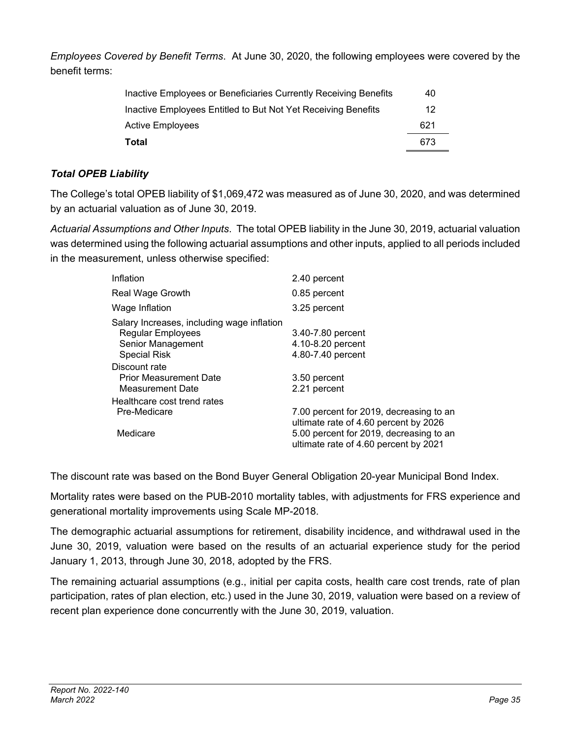*Employees Covered by Benefit Terms*. At June 30, 2020, the following employees were covered by the benefit terms:

| Inactive Employees or Beneficiaries Currently Receiving Benefits | 40  |  |
|------------------------------------------------------------------|-----|--|
| Inactive Employees Entitled to But Not Yet Receiving Benefits    | 12  |  |
| Active Employees                                                 | 621 |  |
| Total                                                            | 673 |  |

# *Total OPEB Liability*

The College's total OPEB liability of \$1,069,472 was measured as of June 30, 2020, and was determined by an actuarial valuation as of June 30, 2019.

*Actuarial Assumptions and Other Inputs*. The total OPEB liability in the June 30, 2019, actuarial valuation was determined using the following actuarial assumptions and other inputs, applied to all periods included in the measurement, unless otherwise specified:

| Inflation                                                                                                                 | 2.40 percent                                                                                                                |
|---------------------------------------------------------------------------------------------------------------------------|-----------------------------------------------------------------------------------------------------------------------------|
| <b>Real Wage Growth</b>                                                                                                   | 0.85 percent                                                                                                                |
| Wage Inflation                                                                                                            | 3.25 percent                                                                                                                |
| Salary Increases, including wage inflation<br><b>Regular Employees</b><br><b>Senior Management</b><br><b>Special Risk</b> | 3.40-7.80 percent<br>4.10-8.20 percent<br>4.80-7.40 percent                                                                 |
| Discount rate<br><b>Prior Measurement Date</b><br><b>Measurement Date</b>                                                 | 3.50 percent<br>2.21 percent                                                                                                |
| Healthcare cost trend rates<br>Pre-Medicare<br>Medicare                                                                   | 7.00 percent for 2019, decreasing to an<br>ultimate rate of 4.60 percent by 2026<br>5.00 percent for 2019, decreasing to an |
|                                                                                                                           | ultimate rate of 4.60 percent by 2021                                                                                       |

The discount rate was based on the Bond Buyer General Obligation 20-year Municipal Bond Index.

Mortality rates were based on the PUB-2010 mortality tables, with adjustments for FRS experience and generational mortality improvements using Scale MP-2018.

The demographic actuarial assumptions for retirement, disability incidence, and withdrawal used in the June 30, 2019, valuation were based on the results of an actuarial experience study for the period January 1, 2013, through June 30, 2018, adopted by the FRS.

The remaining actuarial assumptions (e.g., initial per capita costs, health care cost trends, rate of plan participation, rates of plan election, etc.) used in the June 30, 2019, valuation were based on a review of recent plan experience done concurrently with the June 30, 2019, valuation.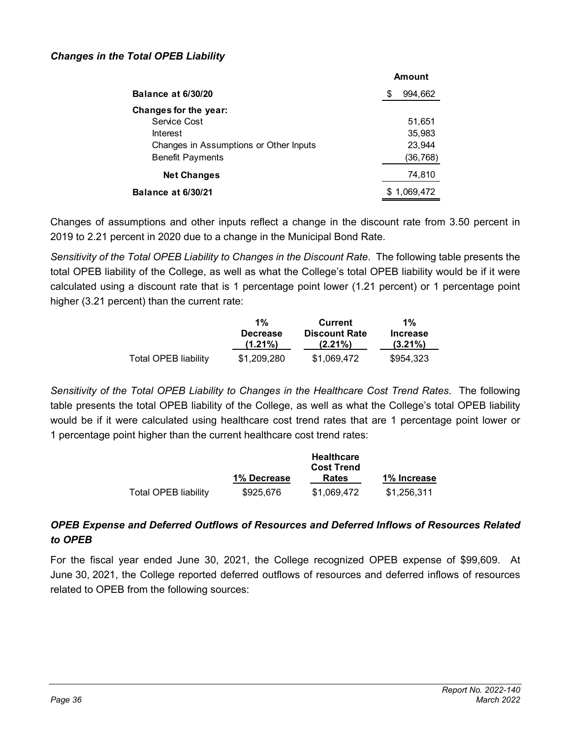### *Changes in the Total OPEB Liability*

|                                        |    | Amount    |
|----------------------------------------|----|-----------|
| Balance at 6/30/20                     | \$ | 994,662   |
| Changes for the year:                  |    |           |
| Service Cost                           |    | 51,651    |
| <b>Interest</b>                        |    | 35,983    |
| Changes in Assumptions or Other Inputs |    | 23,944    |
| <b>Benefit Payments</b>                |    | (36, 768) |
| <b>Net Changes</b>                     |    | 74,810    |
| Balance at 6/30/21                     | S  | 1,069,472 |

Changes of assumptions and other inputs reflect a change in the discount rate from 3.50 percent in 2019 to 2.21 percent in 2020 due to a change in the Municipal Bond Rate.

*Sensitivity of the Total OPEB Liability to Changes in the Discount Rate*. The following table presents the total OPEB liability of the College, as well as what the College's total OPEB liability would be if it were calculated using a discount rate that is 1 percentage point lower (1.21 percent) or 1 percentage point higher (3.21 percent) than the current rate:

|                             | 1%                            | Current                            | $1\%$                         |
|-----------------------------|-------------------------------|------------------------------------|-------------------------------|
|                             | <b>Decrease</b><br>$(1.21\%)$ | <b>Discount Rate</b><br>$(2.21\%)$ | <b>Increase</b><br>$(3.21\%)$ |
| <b>Total OPEB liability</b> | \$1,209,280                   | \$1.069.472                        | \$954.323                     |

*Sensitivity of the Total OPEB Liability to Changes in the Healthcare Cost Trend Rates*. The following table presents the total OPEB liability of the College, as well as what the College's total OPEB liability would be if it were calculated using healthcare cost trend rates that are 1 percentage point lower or 1 percentage point higher than the current healthcare cost trend rates:

|                      |             | <b>Healthcare</b><br><b>Cost Trend</b> |             |
|----------------------|-------------|----------------------------------------|-------------|
|                      | 1% Decrease | Rates                                  | 1% Increase |
| Total OPEB liability | \$925,676   | \$1.069.472                            | \$1.256.311 |

## *OPEB Expense and Deferred Outflows of Resources and Deferred Inflows of Resources Related to OPEB*

For the fiscal year ended June 30, 2021, the College recognized OPEB expense of \$99,609. At June 30, 2021, the College reported deferred outflows of resources and deferred inflows of resources related to OPEB from the following sources: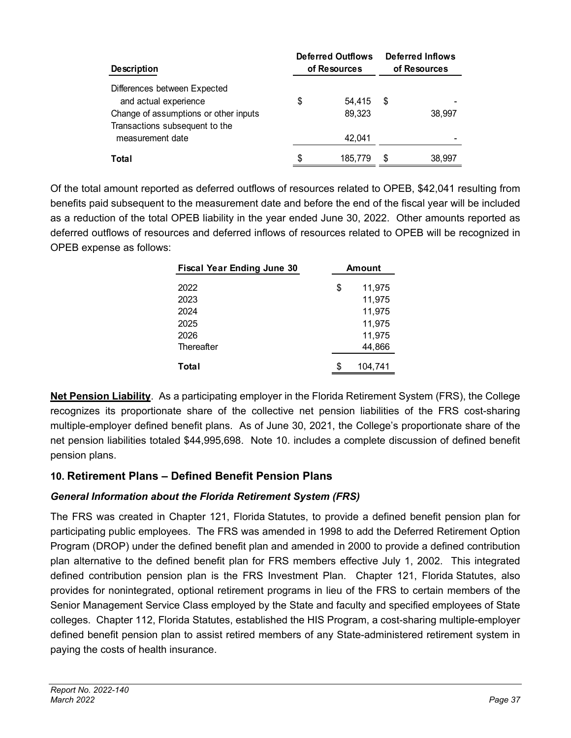| <b>Description</b>                                                      |    | <b>Deferred Outflows</b><br>of Resources | Deferred Inflows<br>of Resources |        |
|-------------------------------------------------------------------------|----|------------------------------------------|----------------------------------|--------|
| Differences between Expected<br>and actual experience                   | \$ | 54.415                                   | \$                               |        |
| Change of assumptions or other inputs<br>Transactions subsequent to the |    | 89,323                                   |                                  | 38,997 |
| measurement date                                                        |    | 42,041                                   |                                  |        |
| Total                                                                   | S  | 185,779                                  | S.                               | 38,997 |

Of the total amount reported as deferred outflows of resources related to OPEB, \$42,041 resulting from benefits paid subsequent to the measurement date and before the end of the fiscal year will be included as a reduction of the total OPEB liability in the year ended June 30, 2022. Other amounts reported as deferred outflows of resources and deferred inflows of resources related to OPEB will be recognized in OPEB expense as follows:

| <b>Fiscal Year Ending June 30</b> |    | Amount  |  |
|-----------------------------------|----|---------|--|
| 2022                              | \$ | 11,975  |  |
| 2023                              |    | 11,975  |  |
| 2024                              |    | 11,975  |  |
| 2025                              |    | 11,975  |  |
| 2026                              |    | 11,975  |  |
| Thereafter                        |    | 44,866  |  |
| Total                             | \$ | 104,741 |  |

**Net Pension Liability**. As a participating employer in the Florida Retirement System (FRS), the College recognizes its proportionate share of the collective net pension liabilities of the FRS cost-sharing multiple-employer defined benefit plans. As of June 30, 2021, the College's proportionate share of the net pension liabilities totaled \$44,995,698. Note 10. includes a complete discussion of defined benefit pension plans.

# **10. Retirement Plans – Defined Benefit Pension Plans**

# *General Information about the Florida Retirement System (FRS)*

The FRS was created in Chapter 121, Florida Statutes, to provide a defined benefit pension plan for participating public employees. The FRS was amended in 1998 to add the Deferred Retirement Option Program (DROP) under the defined benefit plan and amended in 2000 to provide a defined contribution plan alternative to the defined benefit plan for FRS members effective July 1, 2002. This integrated defined contribution pension plan is the FRS Investment Plan. Chapter 121, Florida Statutes, also provides for nonintegrated, optional retirement programs in lieu of the FRS to certain members of the Senior Management Service Class employed by the State and faculty and specified employees of State colleges. Chapter 112, Florida Statutes, established the HIS Program, a cost-sharing multiple-employer defined benefit pension plan to assist retired members of any State-administered retirement system in paying the costs of health insurance.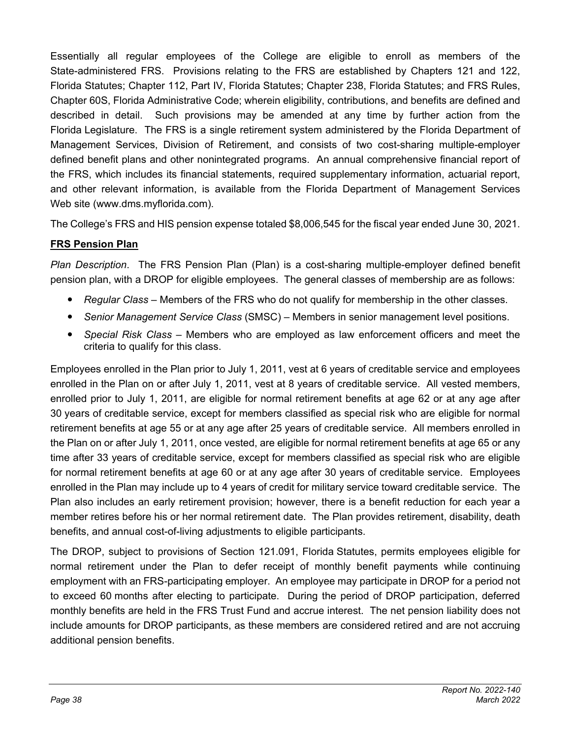Essentially all regular employees of the College are eligible to enroll as members of the State-administered FRS. Provisions relating to the FRS are established by Chapters 121 and 122, Florida Statutes; Chapter 112, Part IV, Florida Statutes; Chapter 238, Florida Statutes; and FRS Rules, Chapter 60S, Florida Administrative Code; wherein eligibility, contributions, and benefits are defined and described in detail. Such provisions may be amended at any time by further action from the Florida Legislature. The FRS is a single retirement system administered by the Florida Department of Management Services, Division of Retirement, and consists of two cost-sharing multiple-employer defined benefit plans and other nonintegrated programs. An annual comprehensive financial report of the FRS, which includes its financial statements, required supplementary information, actuarial report, and other relevant information, is available from the Florida Department of Management Services Web site (www.dms.myflorida.com).

The College's FRS and HIS pension expense totaled \$8,006,545 for the fiscal year ended June 30, 2021.

## **FRS Pension Plan**

*Plan Description*. The FRS Pension Plan (Plan) is a cost-sharing multiple-employer defined benefit pension plan, with a DROP for eligible employees. The general classes of membership are as follows:

- *Regular Class* Members of the FRS who do not qualify for membership in the other classes.
- *Senior Management Service Class* (SMSC) Members in senior management level positions.
- *Special Risk Class* Members who are employed as law enforcement officers and meet the criteria to qualify for this class.

Employees enrolled in the Plan prior to July 1, 2011, vest at 6 years of creditable service and employees enrolled in the Plan on or after July 1, 2011, vest at 8 years of creditable service. All vested members, enrolled prior to July 1, 2011, are eligible for normal retirement benefits at age 62 or at any age after 30 years of creditable service, except for members classified as special risk who are eligible for normal retirement benefits at age 55 or at any age after 25 years of creditable service. All members enrolled in the Plan on or after July 1, 2011, once vested, are eligible for normal retirement benefits at age 65 or any time after 33 years of creditable service, except for members classified as special risk who are eligible for normal retirement benefits at age 60 or at any age after 30 years of creditable service. Employees enrolled in the Plan may include up to 4 years of credit for military service toward creditable service. The Plan also includes an early retirement provision; however, there is a benefit reduction for each year a member retires before his or her normal retirement date. The Plan provides retirement, disability, death benefits, and annual cost-of-living adjustments to eligible participants.

The DROP, subject to provisions of Section 121.091, Florida Statutes, permits employees eligible for normal retirement under the Plan to defer receipt of monthly benefit payments while continuing employment with an FRS-participating employer. An employee may participate in DROP for a period not to exceed 60 months after electing to participate. During the period of DROP participation, deferred monthly benefits are held in the FRS Trust Fund and accrue interest. The net pension liability does not include amounts for DROP participants, as these members are considered retired and are not accruing additional pension benefits.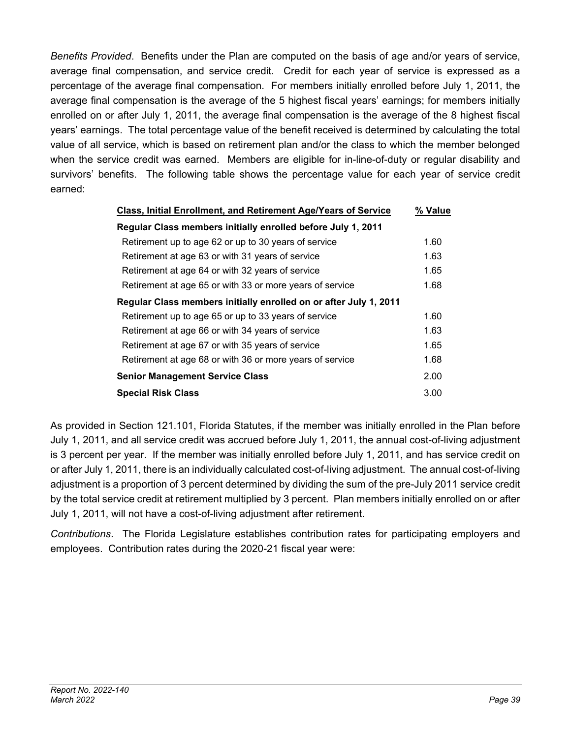*Benefits Provided*. Benefits under the Plan are computed on the basis of age and/or years of service, average final compensation, and service credit. Credit for each year of service is expressed as a percentage of the average final compensation. For members initially enrolled before July 1, 2011, the average final compensation is the average of the 5 highest fiscal years' earnings; for members initially enrolled on or after July 1, 2011, the average final compensation is the average of the 8 highest fiscal years' earnings. The total percentage value of the benefit received is determined by calculating the total value of all service, which is based on retirement plan and/or the class to which the member belonged when the service credit was earned. Members are eligible for in-line-of-duty or regular disability and survivors' benefits. The following table shows the percentage value for each year of service credit earned:

| Class, Initial Enrollment, and Retirement Age/Years of Service    | % Value |
|-------------------------------------------------------------------|---------|
| Regular Class members initially enrolled before July 1, 2011      |         |
| Retirement up to age 62 or up to 30 years of service              | 1.60    |
| Retirement at age 63 or with 31 years of service                  | 1.63    |
| Retirement at age 64 or with 32 years of service                  | 1.65    |
| Retirement at age 65 or with 33 or more years of service          | 1.68    |
| Regular Class members initially enrolled on or after July 1, 2011 |         |
| Retirement up to age 65 or up to 33 years of service              | 1.60    |
| Retirement at age 66 or with 34 years of service                  | 1.63    |
| Retirement at age 67 or with 35 years of service                  | 1.65    |
| Retirement at age 68 or with 36 or more years of service          | 1.68    |
| <b>Senior Management Service Class</b>                            | 2.00    |
| <b>Special Risk Class</b>                                         | 3.00    |

As provided in Section 121.101, Florida Statutes, if the member was initially enrolled in the Plan before July 1, 2011, and all service credit was accrued before July 1, 2011, the annual cost-of-living adjustment is 3 percent per year. If the member was initially enrolled before July 1, 2011, and has service credit on or after July 1, 2011, there is an individually calculated cost-of-living adjustment. The annual cost-of-living adjustment is a proportion of 3 percent determined by dividing the sum of the pre-July 2011 service credit by the total service credit at retirement multiplied by 3 percent. Plan members initially enrolled on or after July 1, 2011, will not have a cost-of-living adjustment after retirement.

*Contributions*. The Florida Legislature establishes contribution rates for participating employers and employees. Contribution rates during the 2020-21 fiscal year were: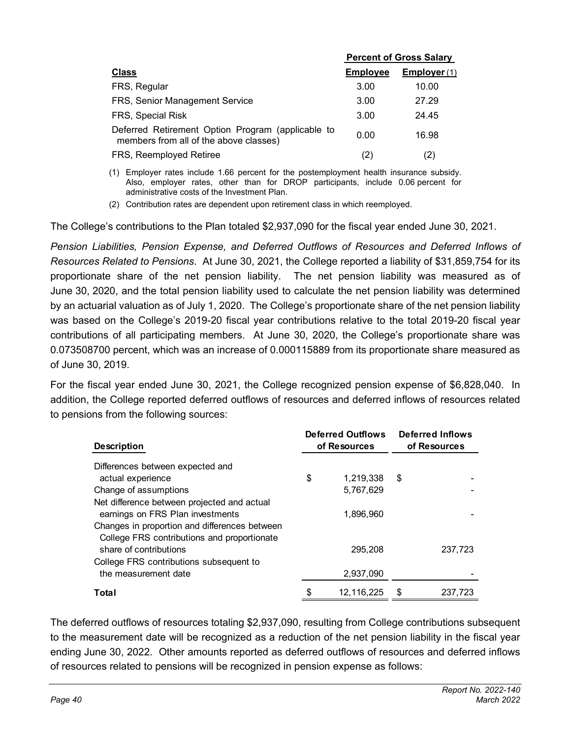|                                                                                             | <b>Percent of Gross Salary</b> |             |
|---------------------------------------------------------------------------------------------|--------------------------------|-------------|
| <b>Class</b>                                                                                | <b>Employee</b>                | Emplover(1) |
| FRS, Regular                                                                                | 3.00                           | 10.00       |
| FRS, Senior Management Service                                                              | 3.00                           | 27.29       |
| FRS, Special Risk                                                                           | 3.00                           | 24.45       |
| Deferred Retirement Option Program (applicable to<br>members from all of the above classes) | 0.00                           | 16.98       |
| FRS, Reemployed Retiree                                                                     | (2)                            | 2)          |

(1) Employer rates include 1.66 percent for the postemployment health insurance subsidy. Also, employer rates, other than for DROP participants, include 0.06 percent for administrative costs of the Investment Plan.

(2) Contribution rates are dependent upon retirement class in which reemployed.

The College's contributions to the Plan totaled \$2,937,090 for the fiscal year ended June 30, 2021.

*Pension Liabilities, Pension Expense, and Deferred Outflows of Resources and Deferred Inflows of Resources Related to Pensions*. At June 30, 2021, the College reported a liability of \$31,859,754 for its proportionate share of the net pension liability. The net pension liability was measured as of June 30, 2020, and the total pension liability used to calculate the net pension liability was determined by an actuarial valuation as of July 1, 2020. The College's proportionate share of the net pension liability was based on the College's 2019-20 fiscal year contributions relative to the total 2019-20 fiscal year contributions of all participating members. At June 30, 2020, the College's proportionate share was 0.073508700 percent, which was an increase of 0.000115889 from its proportionate share measured as of June 30, 2019.

For the fiscal year ended June 30, 2021, the College recognized pension expense of \$6,828,040. In addition, the College reported deferred outflows of resources and deferred inflows of resources related to pensions from the following sources:

| <b>Description</b>                            | <b>Deferred Outflows</b><br>of Resources |            | Deferred Inflows<br>of Resources |         |
|-----------------------------------------------|------------------------------------------|------------|----------------------------------|---------|
| Differences between expected and              |                                          |            |                                  |         |
| actual experience                             | \$                                       | 1,219,338  | S                                |         |
| Change of assumptions                         |                                          | 5,767,629  |                                  |         |
| Net difference between projected and actual   |                                          |            |                                  |         |
| earnings on FRS Plan investments              |                                          | 1.896.960  |                                  |         |
| Changes in proportion and differences between |                                          |            |                                  |         |
| College FRS contributions and proportionate   |                                          |            |                                  |         |
| share of contributions                        |                                          | 295.208    |                                  | 237,723 |
| College FRS contributions subsequent to       |                                          |            |                                  |         |
| the measurement date                          |                                          | 2,937,090  |                                  |         |
| Total                                         | \$                                       | 12,116,225 | \$                               | 237,723 |

The deferred outflows of resources totaling \$2,937,090, resulting from College contributions subsequent to the measurement date will be recognized as a reduction of the net pension liability in the fiscal year ending June 30, 2022. Other amounts reported as deferred outflows of resources and deferred inflows of resources related to pensions will be recognized in pension expense as follows: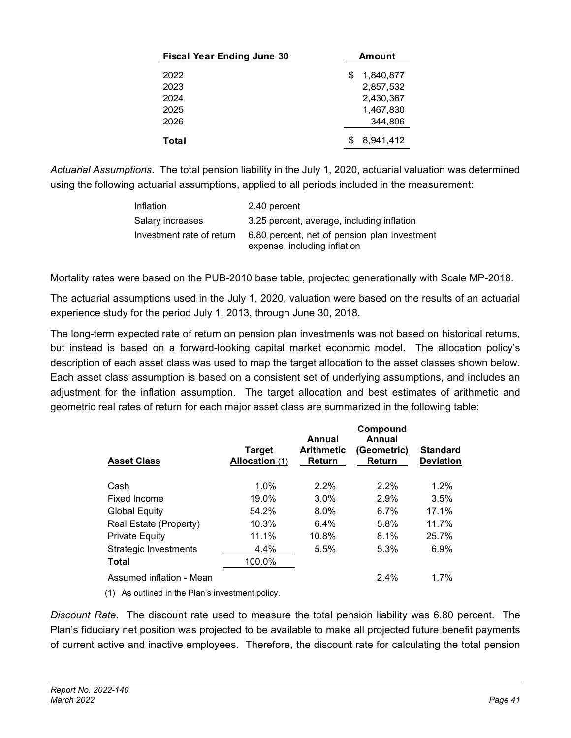| <b>Fiscal Year Ending June 30</b><br>Amount |                |
|---------------------------------------------|----------------|
| 2022                                        | 1,840,877<br>S |
| 2023                                        | 2,857,532      |
| 2024                                        | 2,430,367      |
| 2025                                        | 1,467,830      |
| 2026                                        | 344,806        |
| Total                                       | 8,941,412      |

*Actuarial Assumptions*. The total pension liability in the July 1, 2020, actuarial valuation was determined using the following actuarial assumptions, applied to all periods included in the measurement:

| Inflation                 | 2.40 percent                                                                 |
|---------------------------|------------------------------------------------------------------------------|
| Salary increases          | 3.25 percent, average, including inflation                                   |
| Investment rate of return | 6.80 percent, net of pension plan investment<br>expense, including inflation |

Mortality rates were based on the PUB-2010 base table, projected generationally with Scale MP-2018.

The actuarial assumptions used in the July 1, 2020, valuation were based on the results of an actuarial experience study for the period July 1, 2013, through June 30, 2018.

The long-term expected rate of return on pension plan investments was not based on historical returns, but instead is based on a forward-looking capital market economic model. The allocation policy's description of each asset class was used to map the target allocation to the asset classes shown below. Each asset class assumption is based on a consistent set of underlying assumptions, and includes an adjustment for the inflation assumption. The target allocation and best estimates of arithmetic and geometric real rates of return for each major asset class are summarized in the following table:

| <b>Target</b><br>Allocation (1) | Annual<br><b>Arithmetic</b><br>Return | Compound<br>Annual<br>(Geometric)<br>Return | <b>Standard</b><br><b>Deviation</b> |
|---------------------------------|---------------------------------------|---------------------------------------------|-------------------------------------|
| 1.0%                            | 2.2%                                  | 2.2%                                        | $1.2\%$                             |
| 19.0%                           | 3.0%                                  | 2.9%                                        | 3.5%                                |
| 54.2%                           | 8.0%                                  | 6.7%                                        | 17.1%                               |
| 10.3%                           | 6.4%                                  | 5.8%                                        | 11.7%                               |
| 11.1%                           | 10.8%                                 | 8.1%                                        | 25.7%                               |
| 4.4%                            | 5.5%                                  | 5.3%                                        | 6.9%                                |
| 100.0%                          |                                       |                                             |                                     |
|                                 |                                       | 2.4%                                        | 1.7%                                |
|                                 |                                       |                                             |                                     |

(1) As outlined in the Plan's investment policy.

*Discount Rate*. The discount rate used to measure the total pension liability was 6.80 percent. The Plan's fiduciary net position was projected to be available to make all projected future benefit payments of current active and inactive employees. Therefore, the discount rate for calculating the total pension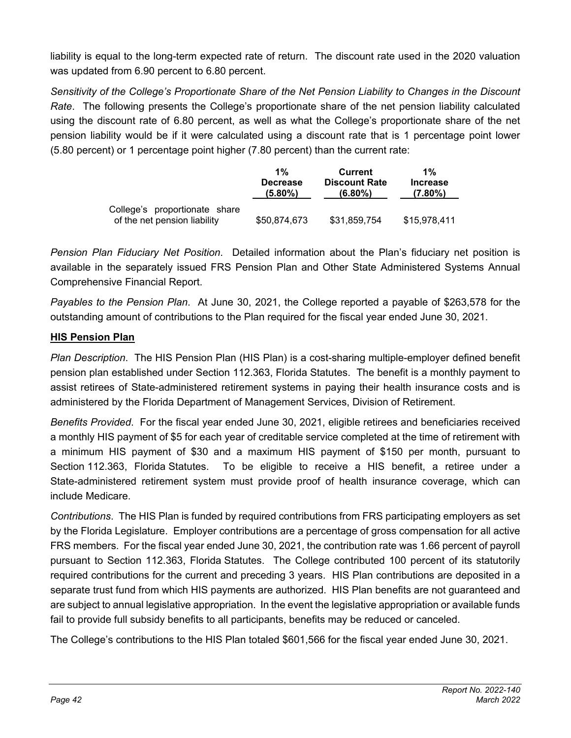liability is equal to the long-term expected rate of return. The discount rate used in the 2020 valuation was updated from 6.90 percent to 6.80 percent.

*Sensitivity of the College's Proportionate Share of the Net Pension Liability to Changes in the Discount Rate*. The following presents the College's proportionate share of the net pension liability calculated using the discount rate of 6.80 percent, as well as what the College's proportionate share of the net pension liability would be if it were calculated using a discount rate that is 1 percentage point lower (5.80 percent) or 1 percentage point higher (7.80 percent) than the current rate:

|                                                               | 1%              | <b>Current</b>       | 1%              |
|---------------------------------------------------------------|-----------------|----------------------|-----------------|
|                                                               | <b>Decrease</b> | <b>Discount Rate</b> | <b>Increase</b> |
|                                                               | $(5.80\%)$      | $(6.80\%)$           | $(7.80\%)$      |
| College's proportionate share<br>of the net pension liability | \$50,874,673    | \$31,859,754         | \$15,978,411    |

*Pension Plan Fiduciary Net Position*. Detailed information about the Plan's fiduciary net position is available in the separately issued FRS Pension Plan and Other State Administered Systems Annual Comprehensive Financial Report.

*Payables to the Pension Plan*. At June 30, 2021, the College reported a payable of \$263,578 for the outstanding amount of contributions to the Plan required for the fiscal year ended June 30, 2021.

## **HIS Pension Plan**

*Plan Description*. The HIS Pension Plan (HIS Plan) is a cost-sharing multiple-employer defined benefit pension plan established under Section 112.363, Florida Statutes. The benefit is a monthly payment to assist retirees of State-administered retirement systems in paying their health insurance costs and is administered by the Florida Department of Management Services, Division of Retirement.

*Benefits Provided*. For the fiscal year ended June 30, 2021, eligible retirees and beneficiaries received a monthly HIS payment of \$5 for each year of creditable service completed at the time of retirement with a minimum HIS payment of \$30 and a maximum HIS payment of \$150 per month, pursuant to Section 112.363, Florida Statutes. To be eligible to receive a HIS benefit, a retiree under a State-administered retirement system must provide proof of health insurance coverage, which can include Medicare.

*Contributions*. The HIS Plan is funded by required contributions from FRS participating employers as set by the Florida Legislature. Employer contributions are a percentage of gross compensation for all active FRS members. For the fiscal year ended June 30, 2021, the contribution rate was 1.66 percent of payroll pursuant to Section 112.363, Florida Statutes. The College contributed 100 percent of its statutorily required contributions for the current and preceding 3 years. HIS Plan contributions are deposited in a separate trust fund from which HIS payments are authorized. HIS Plan benefits are not guaranteed and are subject to annual legislative appropriation. In the event the legislative appropriation or available funds fail to provide full subsidy benefits to all participants, benefits may be reduced or canceled.

The College's contributions to the HIS Plan totaled \$601,566 for the fiscal year ended June 30, 2021.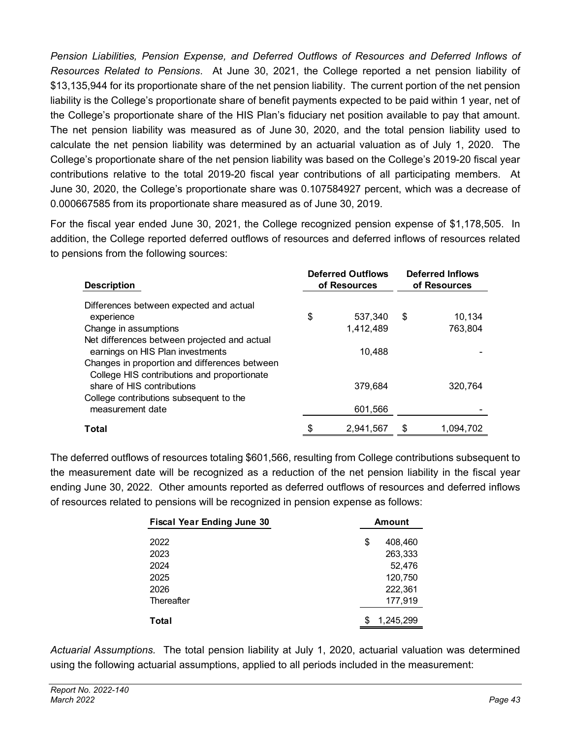*Pension Liabilities, Pension Expense, and Deferred Outflows of Resources and Deferred Inflows of Resources Related to Pensions*. At June 30, 2021, the College reported a net pension liability of \$13,135,944 for its proportionate share of the net pension liability. The current portion of the net pension liability is the College's proportionate share of benefit payments expected to be paid within 1 year, net of the College's proportionate share of the HIS Plan's fiduciary net position available to pay that amount. The net pension liability was measured as of June 30, 2020, and the total pension liability used to calculate the net pension liability was determined by an actuarial valuation as of July 1, 2020. The College's proportionate share of the net pension liability was based on the College's 2019-20 fiscal year contributions relative to the total 2019-20 fiscal year contributions of all participating members. At June 30, 2020, the College's proportionate share was 0.107584927 percent, which was a decrease of 0.000667585 from its proportionate share measured as of June 30, 2019.

For the fiscal year ended June 30, 2021, the College recognized pension expense of \$1,178,505. In addition, the College reported deferred outflows of resources and deferred inflows of resources related to pensions from the following sources:

| <b>Description</b>                            | <b>Deferred Outflows</b><br>of Resources |           | <b>Deferred Inflows</b><br>of Resources |           |
|-----------------------------------------------|------------------------------------------|-----------|-----------------------------------------|-----------|
| Differences between expected and actual       |                                          |           |                                         |           |
| experience                                    | \$                                       | 537,340   | \$                                      | 10.134    |
| Change in assumptions                         |                                          | 1,412,489 |                                         | 763,804   |
| Net differences between projected and actual  |                                          |           |                                         |           |
| earnings on HIS Plan investments              |                                          | 10,488    |                                         |           |
| Changes in proportion and differences between |                                          |           |                                         |           |
| College HIS contributions and proportionate   |                                          |           |                                         |           |
| share of HIS contributions                    |                                          | 379.684   |                                         | 320.764   |
| College contributions subsequent to the       |                                          |           |                                         |           |
| measurement date                              |                                          | 601,566   |                                         |           |
| Total                                         | \$                                       | 2,941,567 |                                         | 1,094,702 |

The deferred outflows of resources totaling \$601,566, resulting from College contributions subsequent to the measurement date will be recognized as a reduction of the net pension liability in the fiscal year ending June 30, 2022. Other amounts reported as deferred outflows of resources and deferred inflows of resources related to pensions will be recognized in pension expense as follows:

| <b>Fiscal Year Ending June 30</b> | Amount        |
|-----------------------------------|---------------|
| 2022                              | \$<br>408,460 |
| 2023                              | 263,333       |
| 2024                              | 52,476        |
| 2025                              | 120,750       |
| 2026                              | 222,361       |
| Thereafter                        | 177,919       |
| Total                             | 1,245,299     |

*Actuarial Assumptions.* The total pension liability at July 1, 2020, actuarial valuation was determined using the following actuarial assumptions, applied to all periods included in the measurement: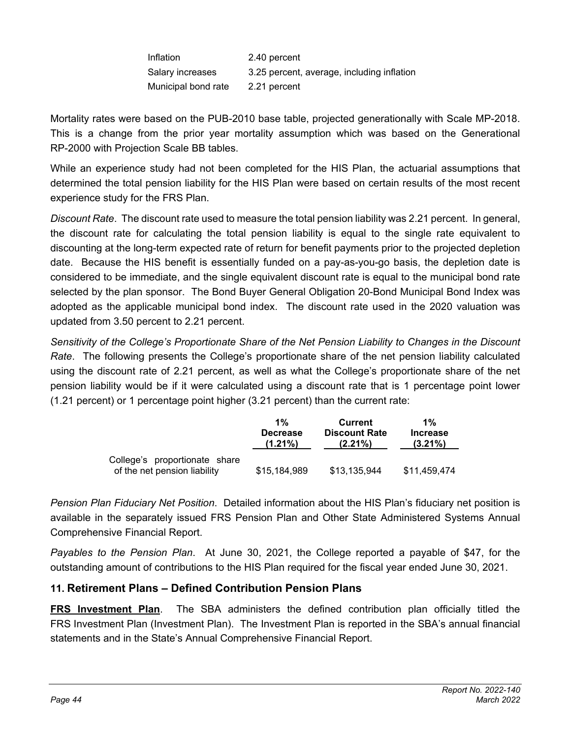| Inflation           | 2.40 percent                               |
|---------------------|--------------------------------------------|
| Salary increases    | 3.25 percent, average, including inflation |
| Municipal bond rate | 2.21 percent                               |

Mortality rates were based on the PUB-2010 base table, projected generationally with Scale MP-2018. This is a change from the prior year mortality assumption which was based on the Generational RP-2000 with Projection Scale BB tables.

While an experience study had not been completed for the HIS Plan, the actuarial assumptions that determined the total pension liability for the HIS Plan were based on certain results of the most recent experience study for the FRS Plan.

*Discount Rate*. The discount rate used to measure the total pension liability was 2.21 percent. In general, the discount rate for calculating the total pension liability is equal to the single rate equivalent to discounting at the long-term expected rate of return for benefit payments prior to the projected depletion date. Because the HIS benefit is essentially funded on a pay-as-you-go basis, the depletion date is considered to be immediate, and the single equivalent discount rate is equal to the municipal bond rate selected by the plan sponsor. The Bond Buyer General Obligation 20-Bond Municipal Bond Index was adopted as the applicable municipal bond index. The discount rate used in the 2020 valuation was updated from 3.50 percent to 2.21 percent.

*Sensitivity of the College's Proportionate Share of the Net Pension Liability to Changes in the Discount Rate*. The following presents the College's proportionate share of the net pension liability calculated using the discount rate of 2.21 percent, as well as what the College's proportionate share of the net pension liability would be if it were calculated using a discount rate that is 1 percentage point lower (1.21 percent) or 1 percentage point higher (3.21 percent) than the current rate:

|                                                               | 1%                            | <b>Current</b>                     | $1\%$                         |
|---------------------------------------------------------------|-------------------------------|------------------------------------|-------------------------------|
|                                                               | <b>Decrease</b><br>$(1.21\%)$ | <b>Discount Rate</b><br>$(2.21\%)$ | <b>Increase</b><br>$(3.21\%)$ |
| College's proportionate share<br>of the net pension liability | \$15,184,989                  | \$13,135,944                       | \$11,459,474                  |

*Pension Plan Fiduciary Net Position*. Detailed information about the HIS Plan's fiduciary net position is available in the separately issued FRS Pension Plan and Other State Administered Systems Annual Comprehensive Financial Report.

*Payables to the Pension Plan*. At June 30, 2021, the College reported a payable of \$47, for the outstanding amount of contributions to the HIS Plan required for the fiscal year ended June 30, 2021.

# **11. Retirement Plans – Defined Contribution Pension Plans**

**FRS Investment Plan**. The SBA administers the defined contribution plan officially titled the FRS Investment Plan (Investment Plan). The Investment Plan is reported in the SBA's annual financial statements and in the State's Annual Comprehensive Financial Report.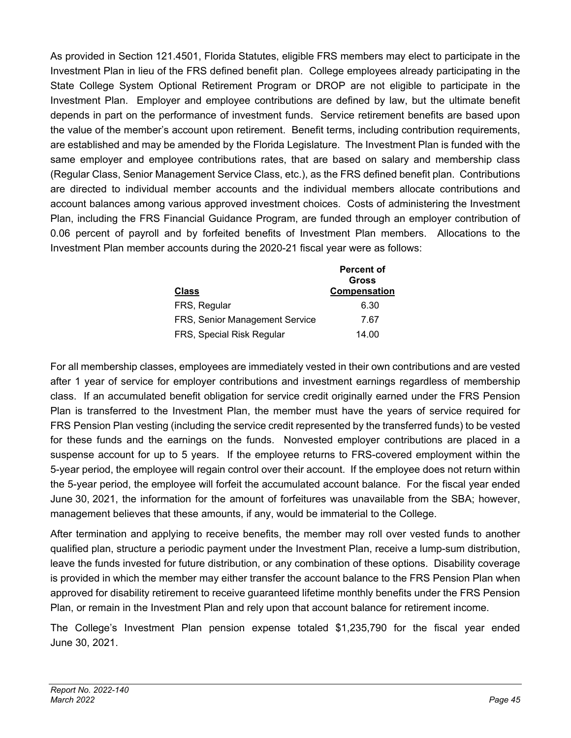As provided in Section 121.4501, Florida Statutes, eligible FRS members may elect to participate in the Investment Plan in lieu of the FRS defined benefit plan. College employees already participating in the State College System Optional Retirement Program or DROP are not eligible to participate in the Investment Plan. Employer and employee contributions are defined by law, but the ultimate benefit depends in part on the performance of investment funds. Service retirement benefits are based upon the value of the member's account upon retirement. Benefit terms, including contribution requirements, are established and may be amended by the Florida Legislature. The Investment Plan is funded with the same employer and employee contributions rates, that are based on salary and membership class (Regular Class, Senior Management Service Class, etc.), as the FRS defined benefit plan. Contributions are directed to individual member accounts and the individual members allocate contributions and account balances among various approved investment choices. Costs of administering the Investment Plan, including the FRS Financial Guidance Program, are funded through an employer contribution of 0.06 percent of payroll and by forfeited benefits of Investment Plan members. Allocations to the Investment Plan member accounts during the 2020-21 fiscal year were as follows:

|                                | <b>Percent of</b><br>Gross |
|--------------------------------|----------------------------|
| Class                          | Compensation               |
| FRS, Regular                   | 6.30                       |
| FRS, Senior Management Service | 7.67                       |
| FRS, Special Risk Regular      | 14.00                      |

For all membership classes, employees are immediately vested in their own contributions and are vested after 1 year of service for employer contributions and investment earnings regardless of membership class. If an accumulated benefit obligation for service credit originally earned under the FRS Pension Plan is transferred to the Investment Plan, the member must have the years of service required for FRS Pension Plan vesting (including the service credit represented by the transferred funds) to be vested for these funds and the earnings on the funds. Nonvested employer contributions are placed in a suspense account for up to 5 years. If the employee returns to FRS-covered employment within the 5-year period, the employee will regain control over their account. If the employee does not return within the 5-year period, the employee will forfeit the accumulated account balance. For the fiscal year ended June 30, 2021, the information for the amount of forfeitures was unavailable from the SBA; however, management believes that these amounts, if any, would be immaterial to the College.

After termination and applying to receive benefits, the member may roll over vested funds to another qualified plan, structure a periodic payment under the Investment Plan, receive a lump-sum distribution, leave the funds invested for future distribution, or any combination of these options. Disability coverage is provided in which the member may either transfer the account balance to the FRS Pension Plan when approved for disability retirement to receive guaranteed lifetime monthly benefits under the FRS Pension Plan, or remain in the Investment Plan and rely upon that account balance for retirement income.

The College's Investment Plan pension expense totaled \$1,235,790 for the fiscal year ended June 30, 2021.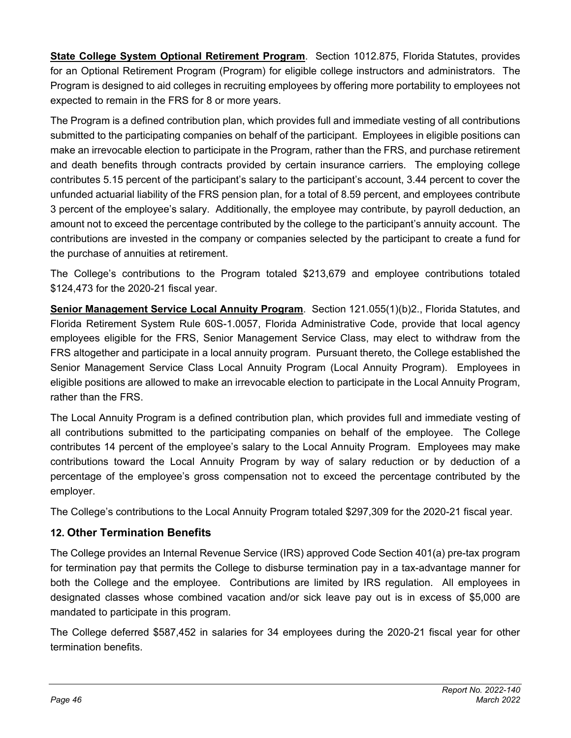**State College System Optional Retirement Program**. Section 1012.875, Florida Statutes, provides for an Optional Retirement Program (Program) for eligible college instructors and administrators. The Program is designed to aid colleges in recruiting employees by offering more portability to employees not expected to remain in the FRS for 8 or more years.

The Program is a defined contribution plan, which provides full and immediate vesting of all contributions submitted to the participating companies on behalf of the participant. Employees in eligible positions can make an irrevocable election to participate in the Program, rather than the FRS, and purchase retirement and death benefits through contracts provided by certain insurance carriers. The employing college contributes 5.15 percent of the participant's salary to the participant's account, 3.44 percent to cover the unfunded actuarial liability of the FRS pension plan, for a total of 8.59 percent, and employees contribute 3 percent of the employee's salary. Additionally, the employee may contribute, by payroll deduction, an amount not to exceed the percentage contributed by the college to the participant's annuity account. The contributions are invested in the company or companies selected by the participant to create a fund for the purchase of annuities at retirement.

The College's contributions to the Program totaled \$213,679 and employee contributions totaled \$124,473 for the 2020-21 fiscal year.

**Senior Management Service Local Annuity Program**. Section 121.055(1)(b)2., Florida Statutes, and Florida Retirement System Rule 60S-1.0057, Florida Administrative Code, provide that local agency employees eligible for the FRS, Senior Management Service Class, may elect to withdraw from the FRS altogether and participate in a local annuity program. Pursuant thereto, the College established the Senior Management Service Class Local Annuity Program (Local Annuity Program). Employees in eligible positions are allowed to make an irrevocable election to participate in the Local Annuity Program, rather than the FRS.

The Local Annuity Program is a defined contribution plan, which provides full and immediate vesting of all contributions submitted to the participating companies on behalf of the employee. The College contributes 14 percent of the employee's salary to the Local Annuity Program. Employees may make contributions toward the Local Annuity Program by way of salary reduction or by deduction of a percentage of the employee's gross compensation not to exceed the percentage contributed by the employer.

The College's contributions to the Local Annuity Program totaled \$297,309 for the 2020-21 fiscal year.

# **12. Other Termination Benefits**

The College provides an Internal Revenue Service (IRS) approved Code Section 401(a) pre-tax program for termination pay that permits the College to disburse termination pay in a tax-advantage manner for both the College and the employee. Contributions are limited by IRS regulation. All employees in designated classes whose combined vacation and/or sick leave pay out is in excess of \$5,000 are mandated to participate in this program.

The College deferred \$587,452 in salaries for 34 employees during the 2020-21 fiscal year for other termination benefits.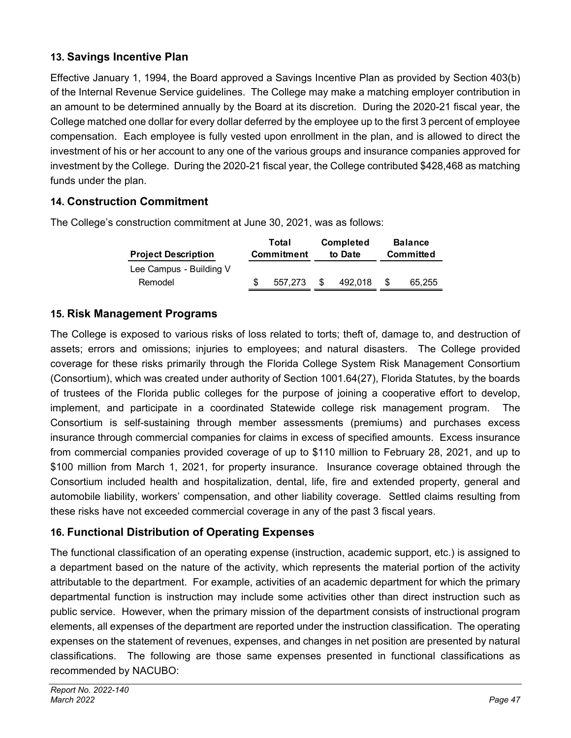# **13. Savings Incentive Plan**

Effective January 1, 1994, the Board approved a Savings Incentive Plan as provided by Section 403(b) of the Internal Revenue Service guidelines. The College may make a matching employer contribution in an amount to be determined annually by the Board at its discretion. During the 2020-21 fiscal year, the College matched one dollar for every dollar deferred by the employee up to the first 3 percent of employee compensation. Each employee is fully vested upon enrollment in the plan, and is allowed to direct the investment of his or her account to any one of the various groups and insurance companies approved for investment by the College. During the 2020-21 fiscal year, the College contributed \$428,468 as matching funds under the plan.

# **14. Construction Commitment**

| <b>Project Description</b> | Total<br><b>Commitment</b> |     | <b>Completed</b><br>to Date | <b>Balance</b><br>Committed |        |  |
|----------------------------|----------------------------|-----|-----------------------------|-----------------------------|--------|--|
| Lee Campus - Building V    |                            |     |                             |                             |        |  |
| Remodel                    | 557.273                    | \$. | 492.018                     |                             | 65,255 |  |

The College's construction commitment at June 30, 2021, was as follows:

# **15. Risk Management Programs**

The College is exposed to various risks of loss related to torts; theft of, damage to, and destruction of assets; errors and omissions; injuries to employees; and natural disasters. The College provided coverage for these risks primarily through the Florida College System Risk Management Consortium (Consortium), which was created under authority of Section 1001.64(27), Florida Statutes, by the boards of trustees of the Florida public colleges for the purpose of joining a cooperative effort to develop, implement, and participate in a coordinated Statewide college risk management program. The Consortium is self-sustaining through member assessments (premiums) and purchases excess insurance through commercial companies for claims in excess of specified amounts. Excess insurance from commercial companies provided coverage of up to \$110 million to February 28, 2021, and up to \$100 million from March 1, 2021, for property insurance. Insurance coverage obtained through the Consortium included health and hospitalization, dental, life, fire and extended property, general and automobile liability, workers' compensation, and other liability coverage. Settled claims resulting from these risks have not exceeded commercial coverage in any of the past 3 fiscal years.

# **16. Functional Distribution of Operating Expenses**

The functional classification of an operating expense (instruction, academic support, etc.) is assigned to a department based on the nature of the activity, which represents the material portion of the activity attributable to the department. For example, activities of an academic department for which the primary departmental function is instruction may include some activities other than direct instruction such as public service. However, when the primary mission of the department consists of instructional program elements, all expenses of the department are reported under the instruction classification. The operating expenses on the statement of revenues, expenses, and changes in net position are presented by natural classifications. The following are those same expenses presented in functional classifications as recommended by NACUBO: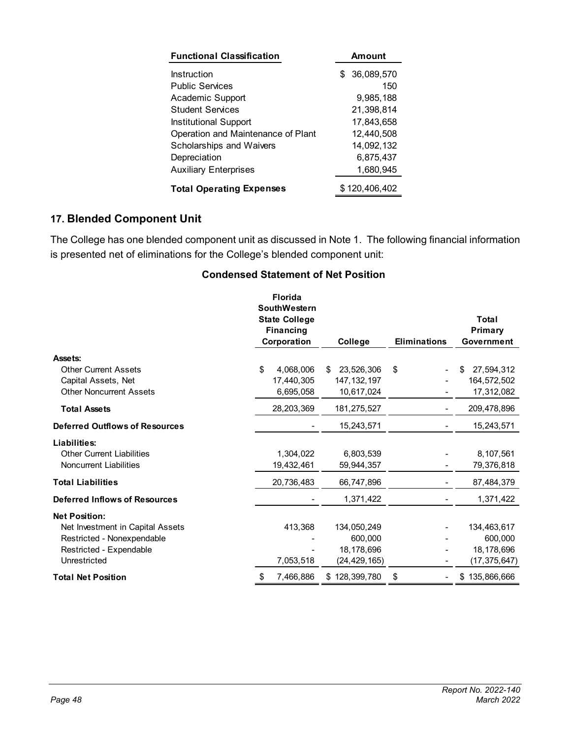| <b>Functional Classification</b>   | <b>Amount</b> |               |  |  |  |
|------------------------------------|---------------|---------------|--|--|--|
| Instruction                        | S             | 36,089,570    |  |  |  |
| <b>Public Services</b>             |               | 150           |  |  |  |
| Academic Support                   |               | 9,985,188     |  |  |  |
| <b>Student Services</b>            |               | 21,398,814    |  |  |  |
| Institutional Support              |               | 17,843,658    |  |  |  |
| Operation and Maintenance of Plant |               | 12,440,508    |  |  |  |
| Scholarships and Waivers           |               | 14,092,132    |  |  |  |
| Depreciation                       |               | 6,875,437     |  |  |  |
| <b>Auxiliary Enterprises</b>       |               | 1,680,945     |  |  |  |
| <b>Total Operating Expenses</b>    |               | \$120,406,402 |  |  |  |

# **17. Blended Component Unit**

The College has one blended component unit as discussed in Note 1. The following financial information is presented net of eliminations for the College's blended component unit:

### **Condensed Statement of Net Position**

|                                                                                                                                   | <b>Florida</b><br>SouthWestern<br><b>State College</b><br><b>Financing</b><br>Corporation | College                                                | <b>Eliminations</b> | <b>Total</b><br>Primary<br>Government                  |  |
|-----------------------------------------------------------------------------------------------------------------------------------|-------------------------------------------------------------------------------------------|--------------------------------------------------------|---------------------|--------------------------------------------------------|--|
| Assets:<br><b>Other Current Assets</b>                                                                                            | \$<br>4.068.006                                                                           | 23,526,306<br>\$                                       | \$                  | 27,594,312<br>\$                                       |  |
| Capital Assets, Net<br><b>Other Noncurrent Assets</b>                                                                             | 17,440,305<br>6,695,058                                                                   | 147, 132, 197<br>10,617,024                            |                     | 164,572,502<br>17,312,082                              |  |
| <b>Total Assets</b>                                                                                                               | 28,203,369                                                                                | 181,275,527                                            |                     | 209,478,896                                            |  |
| <b>Deferred Outflows of Resources</b>                                                                                             |                                                                                           | 15,243,571                                             |                     | 15,243,571                                             |  |
| Liabilities:<br><b>Other Current Liabilities</b><br><b>Noncurrent Liabilities</b>                                                 | 1,304,022<br>19,432,461                                                                   | 6,803,539<br>59,944,357                                |                     | 8,107,561<br>79,376,818                                |  |
| <b>Total Liabilities</b>                                                                                                          | 20,736,483                                                                                | 66,747,896                                             |                     | 87,484,379                                             |  |
| <b>Deferred Inflows of Resources</b>                                                                                              |                                                                                           | 1,371,422                                              |                     | 1,371,422                                              |  |
| <b>Net Position:</b><br>Net Investment in Capital Assets<br>Restricted - Nonexpendable<br>Restricted - Expendable<br>Unrestricted | 413,368<br>7,053,518                                                                      | 134,050,249<br>600,000<br>18,178,696<br>(24, 429, 165) |                     | 134,463,617<br>600,000<br>18,178,696<br>(17, 375, 647) |  |
| <b>Total Net Position</b>                                                                                                         | 7,466,886<br>P.                                                                           | \$128,399,780                                          | \$                  | \$135,866,666                                          |  |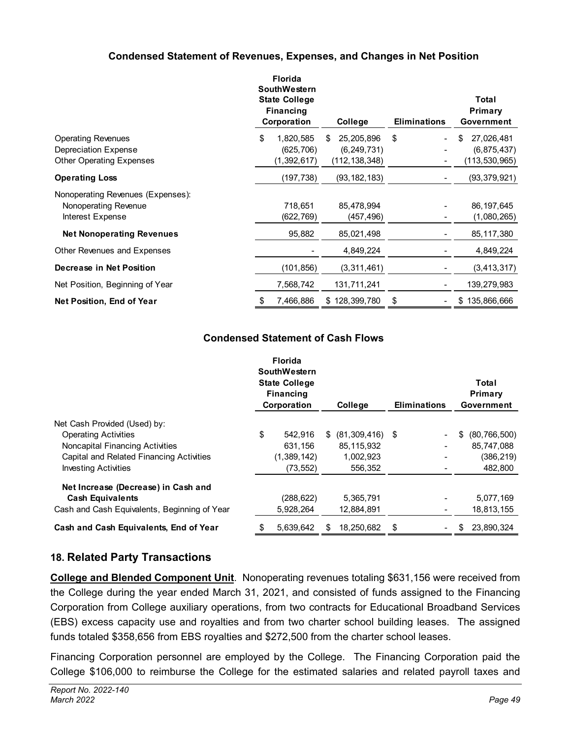### **Condensed Statement of Revenues, Expenses, and Changes in Net Position**

|                                                                | <b>Florida</b><br><b>SouthWestern</b><br><b>State College</b><br><b>Financing</b><br>Corporation | College                          | Total<br>Primary<br>Government |                              |  |
|----------------------------------------------------------------|--------------------------------------------------------------------------------------------------|----------------------------------|--------------------------------|------------------------------|--|
| <b>Operating Revenues</b>                                      | \$<br>1,820,585                                                                                  | 25,205,896<br>S.                 | \$                             | 27,026,481<br>\$             |  |
| <b>Depreciation Expense</b><br><b>Other Operating Expenses</b> | (625, 706)<br>(1,392,617)                                                                        | (6, 249, 731)<br>(112, 138, 348) |                                | (6,875,437)<br>(113,530,965) |  |
| <b>Operating Loss</b>                                          | (197, 738)                                                                                       | (93, 182, 183)                   |                                | (93, 379, 921)               |  |
| Nonoperating Revenues (Expenses):                              |                                                                                                  |                                  |                                |                              |  |
| Nonoperating Revenue                                           | 718,651                                                                                          | 85,478,994                       |                                | 86, 197, 645                 |  |
| Interest Expense                                               | (622, 769)                                                                                       | (457, 496)                       |                                | (1,080,265)                  |  |
| <b>Net Nonoperating Revenues</b>                               | 95,882                                                                                           | 85,021,498                       |                                | 85,117,380                   |  |
| Other Revenues and Expenses                                    |                                                                                                  | 4,849,224                        |                                | 4,849,224                    |  |
| Decrease in Net Position                                       | (101, 856)                                                                                       | (3,311,461)                      |                                | (3, 413, 317)                |  |
| Net Position, Beginning of Year                                | 7,568,742                                                                                        | 131,711,241                      |                                | 139,279,983                  |  |
| <b>Net Position, End of Year</b>                               | 7,466,886<br>\$                                                                                  | \$128,399,780                    | \$                             | \$135,866,666                |  |

### **Condensed Statement of Cash Flows**

|                                              |    | <b>Florida</b><br><b>SouthWestern</b><br><b>State College</b><br><b>Financing</b><br>Corporation |    | College           | <b>Eliminations</b> |    | Total<br>Primary<br>Government |
|----------------------------------------------|----|--------------------------------------------------------------------------------------------------|----|-------------------|---------------------|----|--------------------------------|
| Net Cash Provided (Used) by:                 |    |                                                                                                  |    |                   |                     |    |                                |
| <b>Operating Activities</b>                  | \$ | 542,916                                                                                          | \$ | $(81,309,416)$ \$ |                     | \$ | (80, 766, 500)                 |
| <b>Noncapital Financing Activities</b>       |    | 631.156                                                                                          |    | 85, 115, 932      |                     |    | 85,747,088                     |
| Capital and Related Financing Activities     |    | (1,389,142)                                                                                      |    | 1,002,923         |                     |    | (386, 219)                     |
| <b>Investing Activities</b>                  |    | (73, 552)                                                                                        |    | 556,352           |                     |    | 482,800                        |
| Net Increase (Decrease) in Cash and          |    |                                                                                                  |    |                   |                     |    |                                |
| <b>Cash Equivalents</b>                      |    | (288,622)                                                                                        |    | 5,365,791         |                     |    | 5,077,169                      |
| Cash and Cash Equivalents, Beginning of Year |    | 5,928,264                                                                                        |    | 12,884,891        |                     |    | 18,813,155                     |
| Cash and Cash Equivalents, End of Year       | P  | 5,639,642                                                                                        | S  | 18.250.682        | \$                  | S  | 23,890,324                     |

### **18. Related Party Transactions**

**College and Blended Component Unit**. Nonoperating revenues totaling \$631,156 were received from the College during the year ended March 31, 2021, and consisted of funds assigned to the Financing Corporation from College auxiliary operations, from two contracts for Educational Broadband Services (EBS) excess capacity use and royalties and from two charter school building leases. The assigned funds totaled \$358,656 from EBS royalties and \$272,500 from the charter school leases.

Financing Corporation personnel are employed by the College. The Financing Corporation paid the College \$106,000 to reimburse the College for the estimated salaries and related payroll taxes and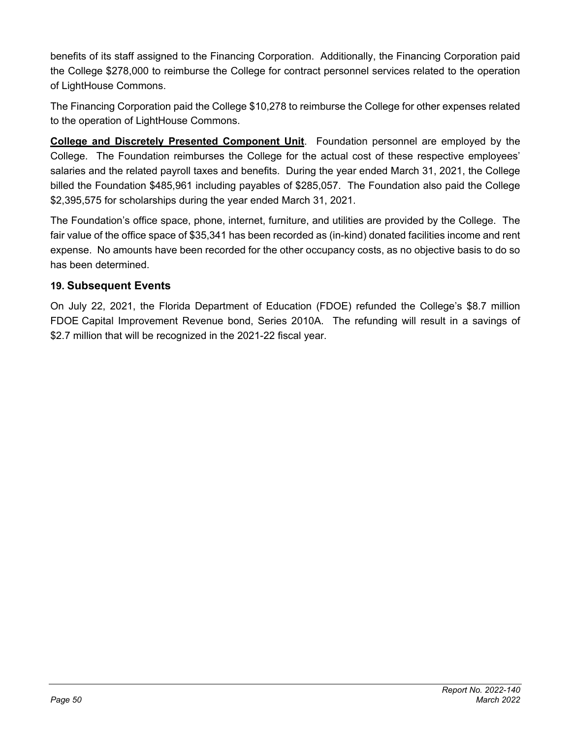benefits of its staff assigned to the Financing Corporation. Additionally, the Financing Corporation paid the College \$278,000 to reimburse the College for contract personnel services related to the operation of LightHouse Commons.

The Financing Corporation paid the College \$10,278 to reimburse the College for other expenses related to the operation of LightHouse Commons.

**College and Discretely Presented Component Unit**. Foundation personnel are employed by the College. The Foundation reimburses the College for the actual cost of these respective employees' salaries and the related payroll taxes and benefits. During the year ended March 31, 2021, the College billed the Foundation \$485,961 including payables of \$285,057. The Foundation also paid the College \$2,395,575 for scholarships during the year ended March 31, 2021.

The Foundation's office space, phone, internet, furniture, and utilities are provided by the College. The fair value of the office space of \$35,341 has been recorded as (in-kind) donated facilities income and rent expense. No amounts have been recorded for the other occupancy costs, as no objective basis to do so has been determined.

## **19. Subsequent Events**

On July 22, 2021, the Florida Department of Education (FDOE) refunded the College's \$8.7 million FDOE Capital Improvement Revenue bond, Series 2010A. The refunding will result in a savings of \$2.7 million that will be recognized in the 2021-22 fiscal year.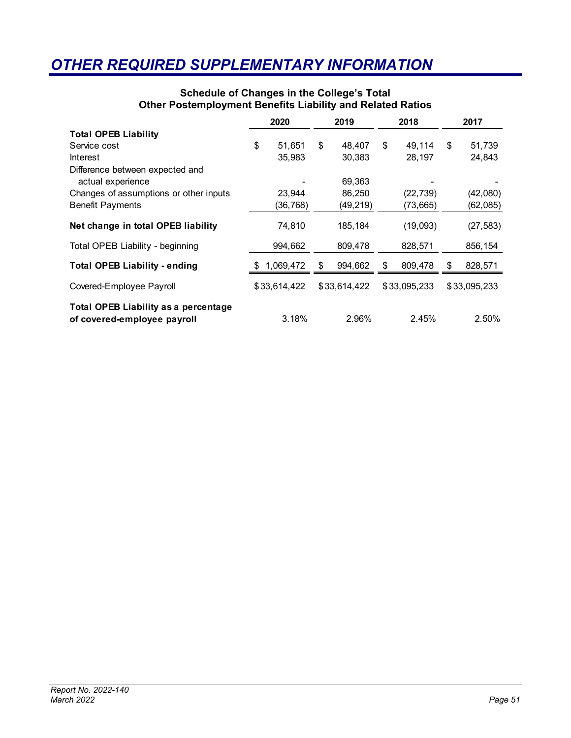# <span id="page-54-0"></span>*OTHER REQUIRED SUPPLEMENTARY INFORMATION*

|                                                                            | 2020           | 2019          | 2018          | 2017          |
|----------------------------------------------------------------------------|----------------|---------------|---------------|---------------|
| <b>Total OPEB Liability</b>                                                |                |               |               |               |
| Service cost                                                               | \$<br>51,651   | \$<br>48.407  | \$<br>49,114  | \$<br>51,739  |
| Interest                                                                   | 35,983         | 30,383        | 28,197        | 24,843        |
| Difference between expected and                                            |                |               |               |               |
| actual experience                                                          |                | 69,363        |               |               |
| Changes of assumptions or other inputs                                     | 23,944         | 86,250        | (22, 739)     | (42,080)      |
| <b>Benefit Payments</b>                                                    | (36, 768)      | (49, 219)     | (73, 665)     | (62,085)      |
| Net change in total OPEB liability                                         | 74,810         | 185.184       | (19,093)      | (27, 583)     |
| Total OPEB Liability - beginning                                           | 994,662        | 809,478       | 828,571       | 856,154       |
| <b>Total OPEB Liability - ending</b>                                       | 1,069,472<br>S | 994,662<br>\$ | \$<br>809,478 | 828,571<br>\$ |
| Covered-Employee Payroll                                                   | \$33,614,422   | \$33,614,422  | \$33,095,233  | \$33,095,233  |
| <b>Total OPEB Liability as a percentage</b><br>of covered-employee payroll | 3.18%          | 2.96%         | 2.45%         | 2.50%         |

### **Schedule of Changes in the College's Total Other Postemployment Benefits Liability and Related Ratios**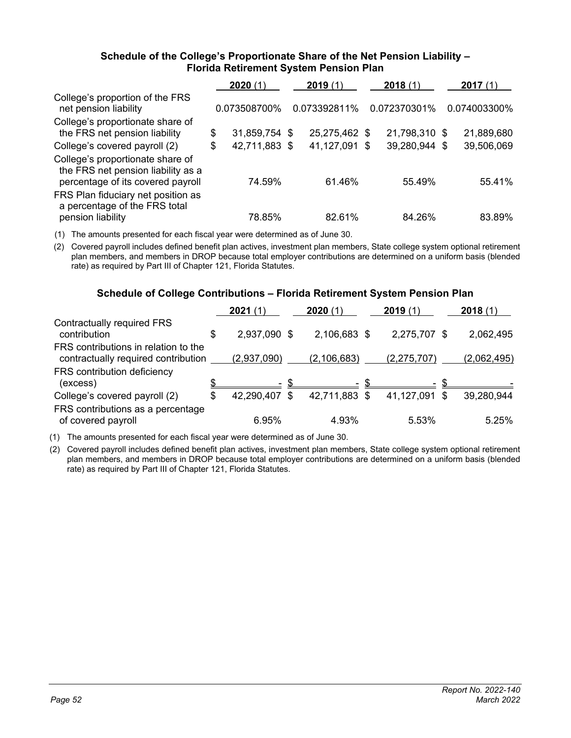### **Schedule of the College's Proportionate Share of the Net Pension Liability – Florida Retirement System Pension Plan**

<span id="page-55-0"></span>

|                                                                                                             | 2020(1)             | 2019(1)       | 2018(1)       |      | 2017(1)      |
|-------------------------------------------------------------------------------------------------------------|---------------------|---------------|---------------|------|--------------|
| College's proportion of the FRS<br>net pension liability<br>College's proportionate share of                | 0.073508700%        | 0.073392811%  | 0.072370301%  |      | 0.074003300% |
| the FRS net pension liability                                                                               | \$<br>31,859,754 \$ | 25,275,462 \$ | 21,798,310 \$ |      | 21,889,680   |
| College's covered payroll (2)                                                                               | \$<br>42,711,883 \$ | 41,127,091 \$ | 39,280,944    | - \$ | 39,506,069   |
| College's proportionate share of<br>the FRS net pension liability as a<br>percentage of its covered payroll | 74.59%              | 61.46%        | 55.49%        |      | 55.41%       |
| FRS Plan fiduciary net position as<br>a percentage of the FRS total<br>pension liability                    | 78.85%              | 82.61%        | 84.26%        |      | 83.89%       |

(1) The amounts presented for each fiscal year were determined as of June 30.

(2) Covered payroll includes defined benefit plan actives, investment plan members, State college system optional retirement plan members, and members in DROP because total employer contributions are determined on a uniform basis (blended rate) as required by Part III of Chapter 121, Florida Statutes.

### **Schedule of College Contributions – Florida Retirement System Pension Plan**

|                                                                             | 2021(1)            |     | 2020(1)       | 2019(1)     | 2018(1)          |
|-----------------------------------------------------------------------------|--------------------|-----|---------------|-------------|------------------|
| <b>Contractually required FRS</b><br>contribution                           | \$<br>2,937,090 \$ |     | 2,106,683 \$  | 2,275,707   | 2,062,495        |
| FRS contributions in relation to the<br>contractually required contribution | (2,937,090)        |     | (2, 106, 683) | (2,275,707) | (2,062,495)      |
| FRS contribution deficiency<br>(excess)                                     | $\,$               | \$. |               |             |                  |
| College's covered payroll (2)                                               | \$<br>42,290,407   | \$. | 42,711,883 \$ | 41,127,091  | \$<br>39,280,944 |
| FRS contributions as a percentage<br>of covered payroll                     | 6.95%              |     | 4.93%         | 5.53%       | 5.25%            |

(1) The amounts presented for each fiscal year were determined as of June 30.

(2) Covered payroll includes defined benefit plan actives, investment plan members, State college system optional retirement plan members, and members in DROP because total employer contributions are determined on a uniform basis (blended rate) as required by Part III of Chapter 121, Florida Statutes.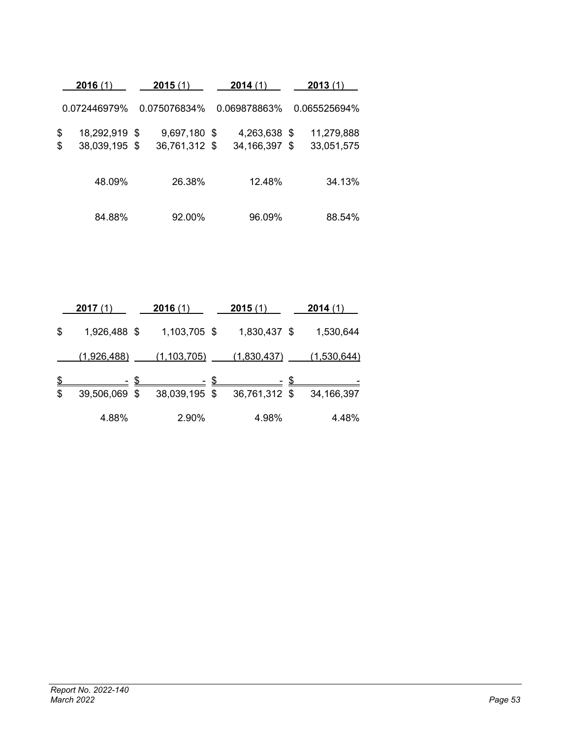|    | 2016(1)       | 2015(1)       | 2014(1)      |      | 2013(1)      |
|----|---------------|---------------|--------------|------|--------------|
|    | 0.072446979%  | 0.075076834%  | 0.069878863% |      | 0.065525694% |
| \$ | 18,292,919 \$ | 9,697,180 \$  | 4,263,638 \$ |      | 11,279,888   |
| \$ | 38,039,195 \$ | 36,761,312 \$ | 34,166,397   | - \$ | 33,051,575   |
|    | 48.09%        | 26.38%        | 12.48%       |      | 34.13%       |
|    | 84.88%        | 92.00%        | 96.09%       |      | 88.54%       |

| 2017(1)             |      | 2016(1)       |     | 2015(1)       | 2014(1)      |
|---------------------|------|---------------|-----|---------------|--------------|
| \$<br>1,926,488 \$  |      | 1,103,705 \$  |     | 1,830,437 \$  | 1,530,644    |
| (1,926,488)         |      | (1, 103, 705) |     | (1,830,437)   | (1,530,644)  |
|                     | - \$ |               | - S |               |              |
| \$<br>39,506,069 \$ |      | 38,039,195 \$ |     | 36,761,312 \$ | 34, 166, 397 |
| 4.88%               |      | 2.90%         |     | 4.98%         | 4.48%        |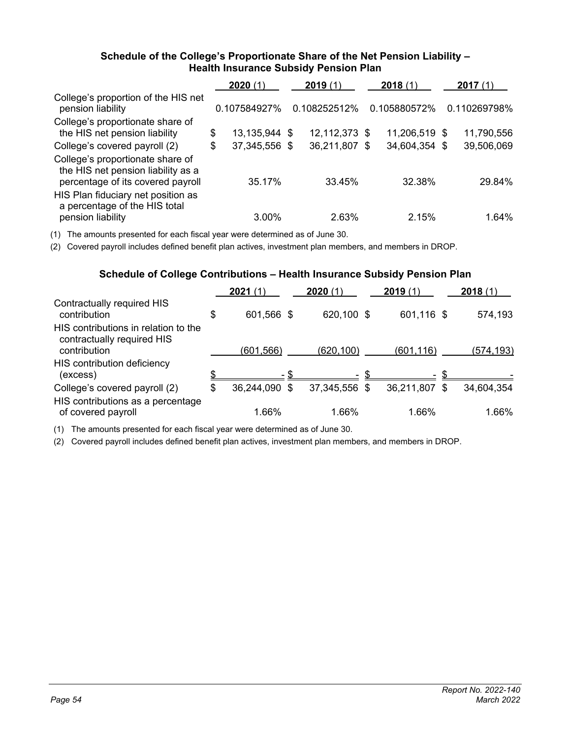### **Schedule of the College's Proportionate Share of the Net Pension Liability – Health Insurance Subsidy Pension Plan**

<span id="page-57-0"></span>

|                                                                                                             | 2020(1)             | 2019(1)       | 2018(1)       | 2017(1)      |
|-------------------------------------------------------------------------------------------------------------|---------------------|---------------|---------------|--------------|
| College's proportion of the HIS net<br>pension liability<br>College's proportionate share of                | 0.107584927%        | 0.108252512%  | 0.105880572%  | 0.110269798% |
| the HIS net pension liability                                                                               | \$<br>13,135,944 \$ | 12,112,373 \$ | 11,206,519 \$ | 11,790,556   |
| College's covered payroll (2)                                                                               | \$<br>37,345,556 \$ | 36,211,807 \$ | 34,604,354 \$ | 39,506,069   |
| College's proportionate share of<br>the HIS net pension liability as a<br>percentage of its covered payroll | 35.17%              | 33.45%        | 32.38%        | 29.84%       |
| HIS Plan fiduciary net position as<br>a percentage of the HIS total<br>pension liability                    | $3.00\%$            | 2.63%         | 2.15%         | 1.64%        |

(1) The amounts presented for each fiscal year were determined as of June 30.

(2) Covered payroll includes defined benefit plan actives, investment plan members, and members in DROP.

### **Schedule of College Contributions – Health Insurance Subsidy Pension Plan**

|                                                                    | 2021 (1             | 2020(1)       | 2019(1)    |   | 2018(1)          |
|--------------------------------------------------------------------|---------------------|---------------|------------|---|------------------|
| Contractually required HIS<br>contribution                         | \$<br>601,566 \$    | 620,100 \$    | 601,116 \$ |   | 574,193          |
| HIS contributions in relation to the<br>contractually required HIS |                     |               |            |   |                  |
| contribution                                                       | (601,566)           | (620, 100)    | (601, 116) |   | <u>(574,193)</u> |
| HIS contribution deficiency                                        |                     |               |            |   |                  |
| (excess)                                                           |                     |               |            |   |                  |
| College's covered payroll (2)                                      | \$<br>36,244,090 \$ | 37,345,556 \$ | 36,211,807 | S | 34,604,354       |
| HIS contributions as a percentage<br>of covered payroll            | 1.66%               | 1.66%         | 1.66%      |   | 1.66%            |

(1) The amounts presented for each fiscal year were determined as of June 30.

(2) Covered payroll includes defined benefit plan actives, investment plan members, and members in DROP.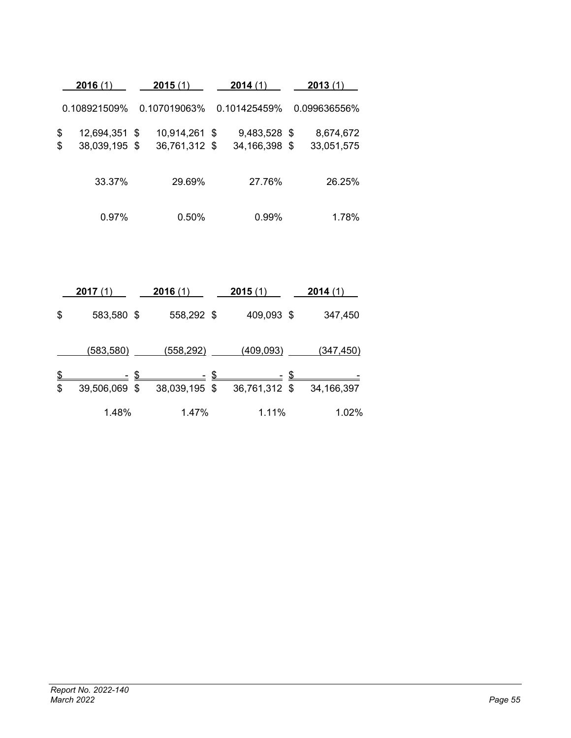| 2016(1) |               |      | 2015(1)       |  | 2014(1)       | 2013 (1 |              |  |  |
|---------|---------------|------|---------------|--|---------------|---------|--------------|--|--|
|         | 0.108921509%  |      | 0.107019063%  |  | 0.101425459%  |         | 0.099636556% |  |  |
| \$      | 12,694,351    | - \$ | 10,914,261 \$ |  | 9,483,528 \$  |         | 8,674,672    |  |  |
| \$      | 38,039,195 \$ |      | 36,761,312 \$ |  | 34,166,398 \$ |         | 33,051,575   |  |  |
|         | 33.37%        |      | 29.69%        |  | 27.76%        |         | 26.25%       |  |  |
|         | 0.97%         |      | 0.50%         |  | $0.99\%$      |         | 1.78%        |  |  |

| 2017(1)             |     | 2016(1)       |      | 2015(1)       |  | 2014(1)      |  |  |
|---------------------|-----|---------------|------|---------------|--|--------------|--|--|
| \$<br>583,580 \$    |     | 558,292 \$    |      | 409,093 \$    |  | 347,450      |  |  |
| (583, 580)          |     | (558, 292)    |      | (409, 093)    |  | (347, 450)   |  |  |
|                     | \$. |               | - \$ |               |  |              |  |  |
| \$<br>39,506,069 \$ |     | 38,039,195 \$ |      | 36,761,312 \$ |  | 34, 166, 397 |  |  |
| 1.48%               |     | 1.47%         |      | 1.11%         |  | 1.02%        |  |  |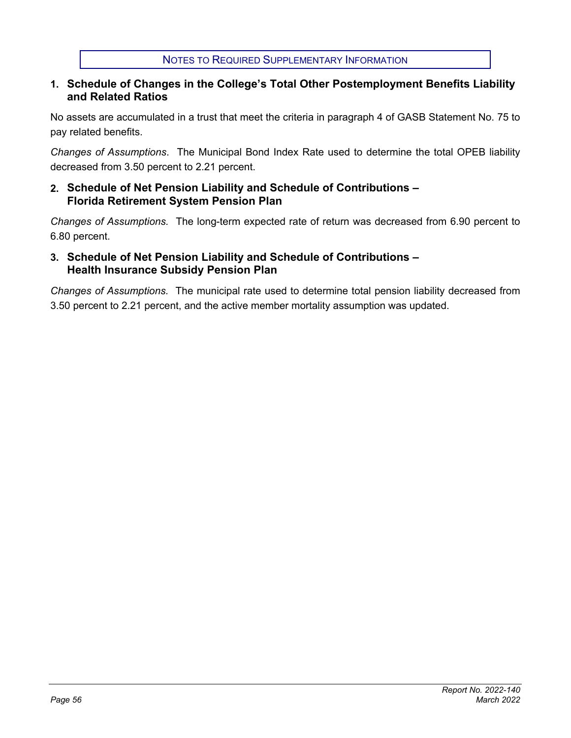### <span id="page-59-0"></span>**1. Schedule of Changes in the College's Total Other Postemployment Benefits Liability and Related Ratios**

No assets are accumulated in a trust that meet the criteria in paragraph 4 of GASB Statement No. 75 to pay related benefits.

*Changes of Assumptions*. The Municipal Bond Index Rate used to determine the total OPEB liability decreased from 3.50 percent to 2.21 percent.

### **2. Schedule of Net Pension Liability and Schedule of Contributions – Florida Retirement System Pension Plan**

*Changes of Assumptions.* The long-term expected rate of return was decreased from 6.90 percent to 6.80 percent.

### **3. Schedule of Net Pension Liability and Schedule of Contributions – Health Insurance Subsidy Pension Plan**

*Changes of Assumptions.* The municipal rate used to determine total pension liability decreased from 3.50 percent to 2.21 percent, and the active member mortality assumption was updated.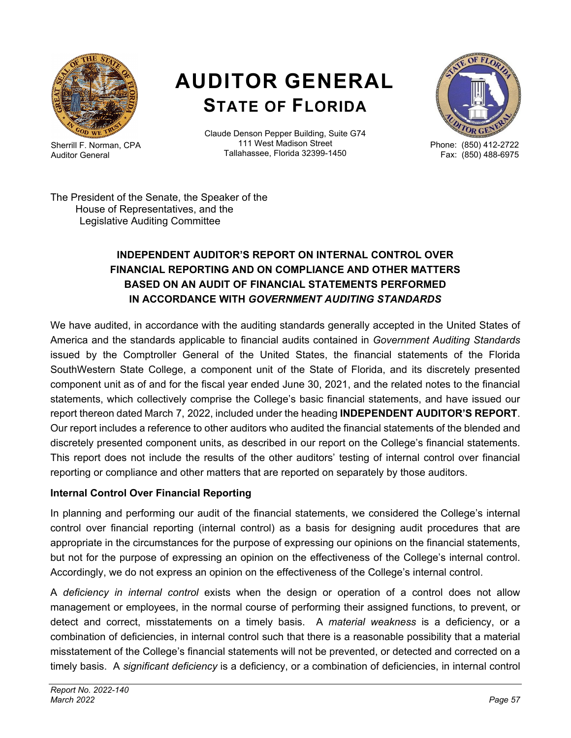<span id="page-60-0"></span>

Sherrill F. Norman, CPA Auditor General

# **AUDITOR GENERAL STATE OF FLORIDA**

Claude Denson Pepper Building, Suite G74 111 West Madison Street Tallahassee, Florida 32399-1450



Phone: (850) 412-2722 Fax: (850) 488-6975

The President of the Senate, the Speaker of the House of Representatives, and the Legislative Auditing Committee

# **INDEPENDENT AUDITOR'S REPORT ON INTERNAL CONTROL OVER FINANCIAL REPORTING AND ON COMPLIANCE AND OTHER MATTERS BASED ON AN AUDIT OF FINANCIAL STATEMENTS PERFORMED IN ACCORDANCE WITH** *GOVERNMENT AUDITING STANDARDS*

We have audited, in accordance with the auditing standards generally accepted in the United States of America and the standards applicable to financial audits contained in *Government Auditing Standards* issued by the Comptroller General of the United States, the financial statements of the Florida SouthWestern State College, a component unit of the State of Florida, and its discretely presented component unit as of and for the fiscal year ended June 30, 2021, and the related notes to the financial statements, which collectively comprise the College's basic financial statements, and have issued our report thereon dated March 7, 2022, included under the heading **INDEPENDENT AUDITOR'S REPORT**. Our report includes a reference to other auditors who audited the financial statements of the blended and discretely presented component units, as described in our report on the College's financial statements. This report does not include the results of the other auditors' testing of internal control over financial reporting or compliance and other matters that are reported on separately by those auditors.

# **Internal Control Over Financial Reporting**

In planning and performing our audit of the financial statements, we considered the College's internal control over financial reporting (internal control) as a basis for designing audit procedures that are appropriate in the circumstances for the purpose of expressing our opinions on the financial statements, but not for the purpose of expressing an opinion on the effectiveness of the College's internal control. Accordingly, we do not express an opinion on the effectiveness of the College's internal control.

A *deficiency in internal control* exists when the design or operation of a control does not allow management or employees, in the normal course of performing their assigned functions, to prevent, or detect and correct, misstatements on a timely basis. A *material weakness* is a deficiency, or a combination of deficiencies, in internal control such that there is a reasonable possibility that a material misstatement of the College's financial statements will not be prevented, or detected and corrected on a timely basis. A *significant deficiency* is a deficiency, or a combination of deficiencies, in internal control